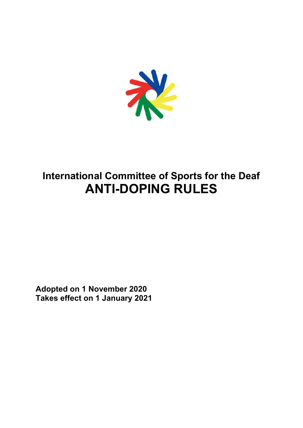

# **International Committee of Sports for the Deaf ANTI-DOPING RULES**

**Adopted on 1 November 2020 Takes effect on 1 January 2021**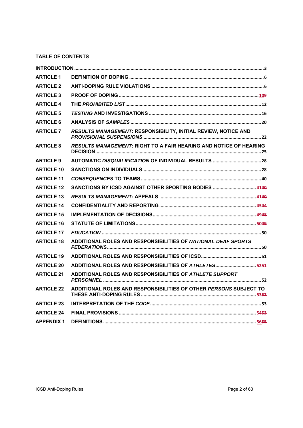# **TABLE OF CONTENTS**

 $\overline{\phantom{a}}$ 

| <b>ARTICLE 1</b>  |                                                                   |
|-------------------|-------------------------------------------------------------------|
| <b>ARTICLE 2</b>  |                                                                   |
| <b>ARTICLE 3</b>  |                                                                   |
| <b>ARTICLE 4</b>  |                                                                   |
| <b>ARTICLE 5</b>  |                                                                   |
| <b>ARTICLE 6</b>  |                                                                   |
| <b>ARTICLE 7</b>  | RESULTS MANAGEMENT: RESPONSIBILITY, INITIAL REVIEW, NOTICE AND    |
| <b>ARTICLE 8</b>  | RESULTS MANAGEMENT: RIGHT TO A FAIR HEARING AND NOTICE OF HEARING |
| <b>ARTICLE 9</b>  |                                                                   |
| <b>ARTICLE 10</b> |                                                                   |
| <b>ARTICLE 11</b> |                                                                   |
| <b>ARTICLE 12</b> | SANCTIONS BY ICSD AGAINST OTHER SPORTING BODIES  4149             |
| <b>ARTICLE 13</b> |                                                                   |
| <b>ARTICLE 14</b> |                                                                   |
| <b>ARTICLE 15</b> |                                                                   |
| <b>ARTICLE 16</b> |                                                                   |
| <b>ARTICLE 17</b> |                                                                   |
| <b>ARTICLE 18</b> | ADDITIONAL ROLES AND RESPONSIBILITIES OF NATIONAL DEAF SPORTS     |
| <b>ARTICLE 19</b> |                                                                   |
| <b>ARTICLE 20</b> | ADDITIONAL ROLES AND RESPONSIBILITIES OF ATHLETES5251             |
| <b>ARTICLE 21</b> | ADDITIONAL ROLES AND RESPONSIBILITIES OF ATHLETE SUPPORT          |
| <b>ARTICLE 22</b> | ADDITIONAL ROLES AND RESPONSIBILITIES OF OTHER PERSONS SUBJECT TO |
| <b>ARTICLE 23</b> |                                                                   |
| <b>ARTICLE 24</b> |                                                                   |
| <b>APPENDIX 1</b> |                                                                   |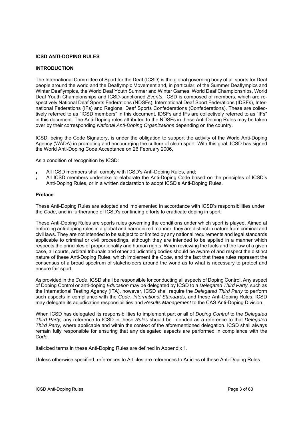# **ICSD ANTI-DOPING RULES**

# **INTRODUCTION**

The International Committee of Sport for the Deaf (ICSD) is the global governing body of all sports for Deaf people around the world and the Deaflympic Movement and, in particular, of the Summer Deaflympics and Winter Deaflympics, the World Deaf Youth Summer and Winter Games, World Deaf Championships, World Deaf Youth Championships and ICSD-sanctioned *Events*. ICSD is composed of members, which are respectively National Deaf Sports Federations (NDSFs), International Deaf Sport Federations (IDSFs), International Federations (IFs) and Regional Deaf Sports Confederations (Confederations). These are collectively referred to as "ICSD members" in this document. IDSFs and IFs are collectively referred to as "IFs" in this document. The Anti-Doping roles attributed to the NDSFs in these Anti-Doping Rules may be taken over by their corresponding *National Anti-Doping Organizations* depending on the country.

ICSD, being the Code Signatory, is under the obligation to support the activity of the World Anti-Doping Agency (WADA) in promoting and encouraging the culture of clean sport. With this goal, ICSD has signed the World Anti-Doping Code Acceptance on 26 February 2006,

As a condition of recognition by ICSD:

- All ICSD members shall comply with ICSD's Anti-Doping Rules, and;
- All ICSD members undertake to elaborate the Anti-Doping Code based on the principles of ICSD's Anti-Doping Rules, or in a written declaration to adopt ICSD's Anti-Doping Rules.

#### **Preface**

These Anti-Doping Rules are adopted and implemented in accordance with ICSD's responsibilities under the *Code*, and in furtherance of ICSD's continuing efforts to eradicate doping in sport.

These Anti-Doping Rules are sports rules governing the conditions under which sport is played. Aimed at enforcing anti-doping rules in a global and harmonized manner, they are distinct in nature from criminal and civil laws. They are not intended to be subject to or limited by any national requirements and legal standards applicable to criminal or civil proceedings, although they are intended to be applied in a manner which respects the principles of proportionality and human rights. When reviewing the facts and the law of a given case, all courts, arbitral tribunals and other adjudicating bodies should be aware of and respect the distinct nature of these Anti-Doping Rules, which implement the *Code*, and the fact that these rules represent the consensus of a broad spectrum of stakeholders around the world as to what is necessary to protect and ensure fair sport.

As provided in the *Code*, ICSD shall be responsible for conducting all aspects of Doping Control. Any aspect of Doping Control or anti-doping *Education* may be delegated by ICSD to a *Delegated Third Party,* such as the International Testing Agency (ITA), however, ICSD shall require the *Delegated Third Party* to perform such aspects in compliance with the *Code*, *International Standards*, and these Anti-Doping Rules. ICSD may delegate its adjudication responsibilities and *Results Management* to the CAS Anti-Doping Division.

When ICSD has delegated its responsibilities to implement part or all of *Doping Control* to the *Delegated Third Party,* any reference to ICSD in these *Rules* should be intended as a reference to that *Delegated Third Party*, where applicable and within the context of the aforementioned delegation. ICSD shall always remain fully responsible for ensuring that any delegated aspects are performed in compliance with the *Code*.

Italicized terms in these Anti-Doping Rules are defined in Appendix 1.

Unless otherwise specified, references to Articles are references to Articles of these Anti-Doping Rules.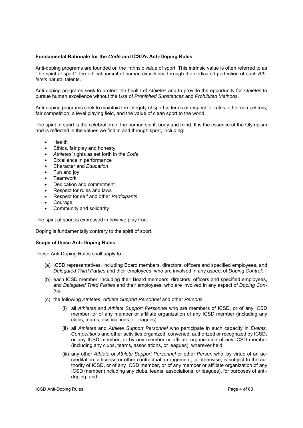# **Fundamental Rationale for the** *Code* **and ICSD's Anti-Doping Rules**

Anti-doping programs are founded on the intrinsic value of sport. This intrinsic value is often referred to as "the spirit of sport": the ethical pursuit of human excellence through the dedicated perfection of each *Athlete's* natural talents.

Anti-doping programs seek to protect the health of *Athletes* and to provide the opportunity for *Athletes* to pursue human excellence without the *Use* of *Prohibited Substances* and *Prohibited Methods*.

Anti-doping programs seek to maintain the integrity of sport in terms of respect for rules, other competitors, fair competition, a level playing field, and the value of clean sport to the world.

The spirit of sport is the celebration of the human spirit, body and mind. It is the essence of the Olympism and is reflected in the values we find in and through sport, including:

- Health
- Ethics, fair play and honesty
- *Athletes'* rights as set forth in the *Code*
- Excellence in performance
- Character and *Education*
- Fun and joy
- Teamwork
- Dedication and commitment
- Respect for rules and laws
- Respect for self and other *Participants*
- Courage
- Community and solidarity

The spirit of sport is expressed in how we play true.

Doping is fundamentally contrary to the spirit of sport.

## **Scope of these Anti-Doping Rules**

These Anti-Doping Rules shall apply to:

- (a) ICSD representatives, including Board members, directors, officers and specified employees, and *Delegated Third Parties* and their employees, who are involved in any aspect of *Doping Control*;
- (b) each ICSD member, including their Board members, directors, officers and specified employees, and *Delegated Third Parties* and their employees, who are involved in any aspect of *Doping Control*;
- (c) the following *Athletes*, *Athlete Support Personnel* and other *Persons*:
	- (i) all *Athletes* and *Athlete Support Personnel* who are members of ICSD, or of any ICSD member, or of any member or affiliate organization of any ICSD member (including any clubs, teams, associations, or leagues);
	- (ii) all *Athletes* and *Athlete Support Personnel* who participate in such capacity in *Events, Competitions* and other activities organized, convened, authorized or recognized by ICSD, or any ICSD member, or by any member or affiliate organization of any ICSD member (including any clubs, teams, associations, or leagues), wherever held;
	- (iii) any other *Athlete* or *Athlete Support Personnel* or other *Person* who, by virtue of an accreditation, a license or other contractual arrangement, or otherwise, is subject to the authority of ICSD, or of any ICSD member, or of any member or affiliate organization of any ICSD member (including any clubs, teams, associations, or leagues), for purposes of antidoping; and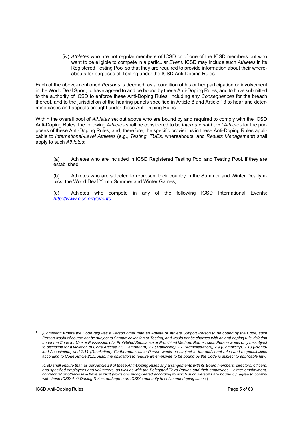(iv) *Athletes* who are not regular members of ICSD or of one of the ICSD members but who want to be eligible to compete in a particular *Event*. ICSD may include such *Athletes* in its Registered Testing Pool so that they are required to provide information about their whereabouts for purposes of Testing under the ICSD Anti-Doping Rules.

Each of the above-mentioned *Persons* is deemed, as a condition of his or her participation or involvement in the World Deaf Sport, to have agreed to and be bound by these Anti-Doping Rules, and to have submitted to the authority of ICSD to enforce these Anti-Doping Rules, including any *Consequences* for the breach thereof, and to the jurisdiction of the hearing panels specified in Article 8 and Article 13 to hear and determine cases and appeals brought under these Anti-Doping Rules.**<sup>1</sup>**

Within the overall pool of *Athletes* set out above who are bound by and required to comply with the ICSD Anti-Doping Rules, the following *Athletes* shall be considered to be *International-Level Athletes* for the purposes of these Anti-Doping Rules, and, therefore, the specific provisions in these Anti-Doping Rules applicable to *International-Level Athletes* (e.g., *Testing*, *TUEs*, whereabouts, and *Results Management*) shall apply to such *Athletes*:

(a) Athletes who are included in ICSD Registered Testing Pool and Testing Pool, if they are established;

(b) Athletes who are selected to represent their country in the Summer and Winter Deaflympics, the World Deaf Youth Summer and Winter Games;

(c) Athletes who compete in any of the following ICSD International Events: *http://www.ciss.org/events*

**<sup>1</sup>***[Comment: Where the Code requires a Person other than an Athlete or Athlete Support Person to be bound by the Code, such Person would of course not be subject to Sample collection or Testing, and would not be charged with an anti-doping rule violation under the Code for Use or Possession of a Prohibited Substance or Prohibited Method. Rather, such Person would only be subject to discipline for a violation of Code Articles 2.5 (Tampering), 2.7 (Trafficking), 2.8 (Administration), 2.9 (Complicity), 2.10 (Prohibited Association) and 2.11 (Retaliation). Furthermore, such Person would be subject to the additional roles and responsibilities according to Code Article 21.3. Also, the obligation to require an employee to be bound by the Code is subject to applicable law.* 

*ICSD shall ensure that, as per Article 19 of these Anti-Doping Rules any arrangements with its Board members, directors, officers, and specified employees and volunteers, as well as with the Delegated Third Parties and their employees – either employment, contractual or otherwise – have explicit provisions incorporated according to which such Persons are bound by, agree to comply with these ICSD Anti-Doping Rules, and agree on ICSD's authority to solve anti-doping cases.]*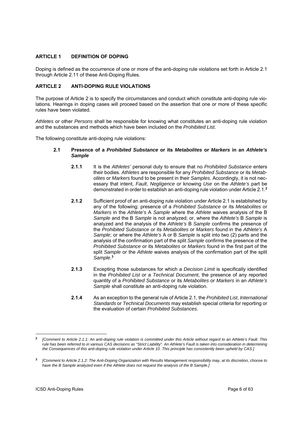# **ARTICLE 1 DEFINITION OF DOPING**

Doping is defined as the occurrence of one or more of the anti-doping rule violations set forth in Article 2.1 through Article 2.11 of these Anti-Doping Rules.

# **ARTICLE 2 ANTI-DOPING RULE VIOLATIONS**

The purpose of Article 2 is to specify the circumstances and conduct which constitute anti-doping rule violations. Hearings in doping cases will proceed based on the assertion that one or more of these specific rules have been violated.

*Athletes* or other *Persons* shall be responsible for knowing what constitutes an anti-doping rule violation and the substances and methods which have been included on the *Prohibited List*.

The following constitute anti-doping rule violations:

## **2.1 Presence of a** *Prohibited Substance* **or its** *Metabolites* **or** *Markers* **in an** *Athlete's Sample*

- **2.1.1** It is the *Athletes'* personal duty to ensure that no *Prohibited Substance* enters their bodies. *Athletes* are responsible for any *Prohibited Substance* or its *Metabolites* or *Markers* found to be present in their *Samples*. Accordingly, it is not necessary that intent, *Fault*, *Negligence* or knowing *Use* on the *Athlete's* part be demonstrated in order to establish an anti-doping rule violation under Article 2.1.**<sup>2</sup>**
- **2.1.2** Sufficient proof of an anti-doping rule violation under Article 2.1 is established by any of the following: presence of a *Prohibited Substance* or its *Metabolites* or *Markers* in the *Athlete's* A *Sample* where the *Athlete* waives analysis of the B *Sample* and the B *Sample* is not analyzed; or, where the *Athlete's* B *Sample* is analyzed and the analysis of the *Athlete's* B *Sample* confirms the presence of the *Prohibited Substance* or its *Metabolites* or *Markers* found in the *Athlete's* A *Sample*; or where the *Athlete's* A or B *Sample* is split into two (2) parts and the analysis of the confirmation part of the split *Sample* confirms the presence of the *Prohibited Substance* or its *Metabolites* or *Markers* found in the first part of the split *Sample* or the *Athlete* waives analysis of the confirmation part of the split *Sample*. **3**
- **2.1.3** Excepting those substances for which a *Decision Limit* is specifically identified in the *Prohibited List* or a *Technical Document*, the presence of any reported quantity of a *Prohibited Substance* or its *Metabolites* or *Markers* in an *Athlete's Sample* shall constitute an anti-doping rule violation.
- **2.1.4** As an exception to the general rule of Article 2.1, the *Prohibited List*, *International Standards* or *Technical Documents* may establish special criteria for reporting or the evaluation of certain *Prohibited Substances*.

**<sup>2</sup>** *[Comment to Article 2.1.1: An anti-doping rule violation is committed under this Article without regard to an Athlete's Fault. This rule has been referred to in various CAS decisions as "Strict Liability". An Athlete's Fault is taken into consideration in determining the Consequences of this anti-doping rule violation under Article 10. This principle has consistently been upheld by CAS.]* 

**<sup>3</sup>***[Comment to Article 2.1.2: The Anti-Doping Organization with Results Management responsibility may, at its discretion, choose to*  have the B Sample analyzed even if the Athlete does not request the analysis of the B Sample.]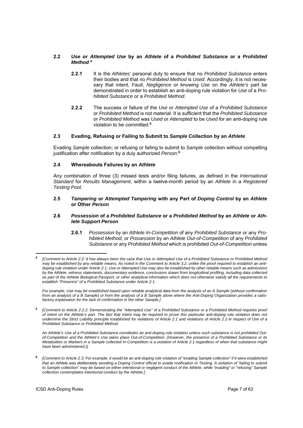# **2.2** *Use* **or** *Attempted Use* **by an** *Athlete* **of a** *Prohibited Substance* **or a** *Prohibited Method* **<sup>4</sup>**

- **2.2.1** It is the *Athletes'* personal duty to ensure that no *Prohibited Substance* enters their bodies and that no *Prohibited Method* is *Used*. Accordingly, it is not necessary that intent, *Fault*, *Negligence* or knowing *Use* on the *Athlete's* part be demonstrated in order to establish an anti-doping rule violation for *Use* of a *Prohibited Substance* or a *Prohibited Method*.
- **2.2.2** The success or failure of the *Use* or *Attempted Use* of a *Prohibited Substance* or *Prohibited Method* is not material. It is sufficient that the *Prohibited Substance* or *Prohibited Method* was *Used* or *Attempted* to be *Used* for an anti-doping rule violation to be committed.**<sup>5</sup>**

# **2.3 Evading, Refusing or Failing to Submit to** *Sample* **Collection by an** *Athlete*

Evading *Sample* collection; or refusing or failing to submit to *Sample* collection without compelling justification after notification by a duly authorized *Person*. **6**

# **2.4 Whereabouts Failures by an** *Athlete*

Any combination of three (3) missed tests and/or filing failures, as defined in the *International Standard* for *Results Management*, within a twelve-month period by an *Athlete* in a *Registered Testing Pool.* 

#### **2.5** *Tampering* **or** *Attempted Tampering* **with any Part of** *Doping Control* **by an** *Athlete* **or Other** *Person*

## **2.6** *Possession* **of a** *Prohibited Substance* **or a** *Prohibited Method* **by an** *Athlete* **or** *Athlete Support Person*

**2.6.1** *Possession* by an *Athlete In-Competition* of any *Prohibited Substance* or any *Prohibited Method*, or *Possession* by an *Athlete Out-of-Competition* of any *Prohibited Substance* or any *Prohibited Method* which is prohibited *Out-of-Competition* unless

*For example, Use may be established based upon reliable analytical data from the analysis of an A Sample (without confirmation from an analysis of a B Sample) or from the analysis of a B Sample alone where the Anti-Doping Organization provides a satisfactory explanation for the lack of confirmation in the other Sample.]* 

**<sup>5</sup>** *[Comment to Article 2.2.2: Demonstrating the "Attempted Use" of a Prohibited Substance or a Prohibited Method requires proof of intent on the Athlete's part. The fact that intent may be required to prove this particular anti-doping rule violation does not undermine the Strict Liability principle established for violations of Article 2.1 and violations of Article 2.2 in respect of Use of a Prohibited Substance or Prohibited Method.* 

*An Athlete's Use of a Prohibited Substance constitutes an anti-doping rule violation unless such substance is not prohibited Outof-Competition and the Athlete's Use takes place Out-of-Competition. (However, the presence of a Prohibited Substance or its Metabolites or Markers in a Sample collected In-Competition is a violation of Article 2.1 regardless of when that substance might have been administered.)]* 

**<sup>6</sup>** *[Comment to Article 2.3: For example, it would be an anti-doping rule violation of "evading Sample collection" if it were established that an Athlete was deliberately avoiding a Doping Control official to evade notification or Testing. A violation of "failing to submit to Sample collection" may be based on either intentional or negligent conduct of the Athlete, while "evading" or "refusing" Sample collection contemplates intentional conduct by the Athlete.]*

1

**<sup>4</sup>** *[Comment to Article 2.2: It has always been the case that Use or Attempted Use of a Prohibited Substance or Prohibited Method may be established by any reliable means. As noted in the Comment to Article 3.2, unlike the proof required to establish an antidoping rule violation under Article 2.1, Use or Attempted Use may also be established by other reliable means such as admissions by the Athlete, witness statements, documentary evidence, conclusions drawn from longitudinal profiling, including data collected as part of the Athlete Biological Passport, or other analytical information which does not otherwise satisfy all the requirements to establish "Presence" of a Prohibited Substance under Article 2.1.*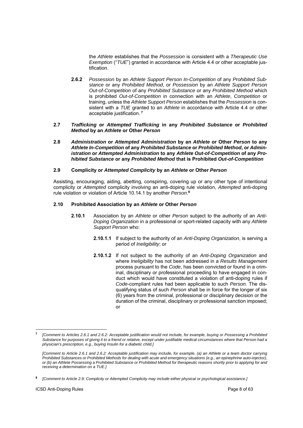the *Athlete* establishes that the *Possession* is consistent with a *Therapeutic Use Exemption* ("*TUE*") granted in accordance with Article 4.4 or other acceptable justification.

- **2.6.2** *Possession* by an *Athlete Support Person In-Competition* of any *Prohibited Substance* or any *Prohibited Method*, or *Possession* by an *Athlete Support Person Out-of-Competition* of any *Prohibited Substance* or any *Prohibited Method* which is prohibited *Out-of-Competition* in connection with an *Athlete*, *Competition* or training, unless the *Athlete Support Person* establishes that the *Possession* is consistent with a *TUE* granted to an *Athlete* in accordance with Article 4.4 or other acceptable justification. **<sup>7</sup>**
- **2.7** *Trafficking* **or** *Attempted Trafficking* **in any** *Prohibited Substance* **or** *Prohibited Method* **by an** *Athlete* **or Other** *Person*
- **2.8** *Administration* **or** *Attempted Administration* **by an** *Athlete* **or Other** *Person* **to any**  *Athlete In-Competition* **of any** *Prohibited Substance* **or** *Prohibited Method***, or** *Administration* **or** *Attempted Administration* **to any** *Athlete Out-of-Competition* **of any** *Prohibited Substance* **or any** *Prohibited Method* **that is Prohibited** *Out-of-Competition*

#### **2.9 Complicity or** *Attempted Complicity* **by an** *Athlete* **or Other** *Person*

Assisting, encouraging, aiding, abetting, conspiring, covering up or any other type of intentional complicity or *Attempted* complicity involving an anti-doping rule violation, *Attempted* anti-doping rule violation or violation of Article 10.14.1 by another *Person*. **8**

#### **2.10 Prohibited Association by an** *Athlete* **or Other** *Person*

- **2.10.1** Association by an *Athlete* or other *Person* subject to the authority of an *Anti-Doping Organization* in a professional or sport-related capacity with any *Athlete Support Person* who:
	- **2.10.1.1** If subject to the authority of an *Anti-Doping Organization*, is serving a period of *Ineligibility*; or
	- **2.10.1.2** If not subject to the authority of an *Anti-Doping Organization* and where *Ineligibility* has not been addressed in a *Results Management* process pursuant to the *Code*, has been convicted or found in a criminal, disciplinary or professional proceeding to have engaged in conduct which would have constituted a violation of anti-doping rules if *Code*-compliant rules had been applicable to such *Person.* The disqualifying status of such *Person* shall be in force for the longer of six (6) years from the criminal, professional or disciplinary decision or the duration of the criminal, disciplinary or professional sanction imposed; or

**<sup>7</sup>** *[Comment to Articles 2.6.1 and 2.6.2: Acceptable justification would not include, for example, buying or Possessing a Prohibited Substance for purposes of giving it to a friend or relative, except under justifiable medical circumstances where that Person had a physician's prescription, e.g., buying Insulin for a diabetic child.]* 

*<sup>[</sup>Comment to Article 2.6.1 and 2.6.2: Acceptable justification may include, for example, (a) an Athlete or a team doctor carrying Prohibited Substances or Prohibited Methods for dealing with acute and emergency situations (e.g., an epinephrine auto-injector), or (b) an Athlete Possessing a Prohibited Substance or Prohibited Method for therapeutic reasons shortly prior to applying for and receiving a determination on a TUE.]* 

**<sup>8</sup>** *[Comment to Article 2.9: Complicity or Attempted Complicity may include either physical or psychological assistance.]*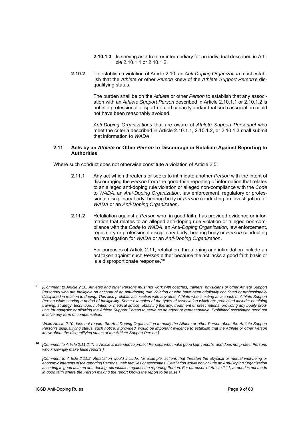- **2.10.1.3** Is serving as a front or intermediary for an individual described in Article 2.10.1.1 or 2.10.1.2.
- **2.10.2** To establish a violation of Article 2.10, an *Anti-Doping Organization* must establish that the *Athlete* or other *Person* knew of the *Athlete Support Person'*s disqualifying status.

The burden shall be on the *Athlete* or other *Person* to establish that any association with an *Athlete Support Person* described in Article 2.10.1.1 or 2.10.1.2 is not in a professional or sport-related capacity and/or that such association could not have been reasonably avoided.

*Anti-Doping Organizations* that are aware of *Athlete Support Personnel* who meet the criteria described in Article 2.10.1.1, 2.10.1.2, or 2.10.1.3 shall submit that information to *WADA*. **9**

# **2.11 Acts by an** *Athlete* **or Other** *Person* **to Discourage or Retaliate Against Reporting to Authorities**

Where such conduct does not otherwise constitute a violation of Article 2.5:

- **2.11.1** Any act which threatens or seeks to intimidate another *Person* with the intent of discouraging the *Person* from the good-faith reporting of information that relates to an alleged anti-doping rule violation or alleged non-compliance with the *Code* to *WADA*, an *Anti-Doping Organization*, law enforcement, regulatory or professional disciplinary body, hearing body or *Person* conducting an investigation for *WADA* or an *Anti-Doping Organization*.
- **2.11.2** Retaliation against a *Person* who, in good faith, has provided evidence or information that relates to an alleged anti-doping rule violation or alleged non-compliance with the *Code* to *WADA*, an *Anti-Doping Organization*, law enforcement, regulatory or professional disciplinary body, hearing body or *Person* conducting an investigation for *WADA* or an *Anti-Doping Organization*.

For purposes of Article 2.11, retaliation, threatening and intimidation include an act taken against such *Person* either because the act lacks a good faith basis or is a disproportionate response.**<sup>10</sup>**

**<sup>10</sup>** *[Comment to Article 2.11.2: This Article is intended to protect Persons who make good faith reports, and does not protect Persons who knowingly make false reports.]*

1

**<sup>9</sup>***[Comment to Article 2.10: Athletes and other Persons must not work with coaches, trainers, physicians or other Athlete Support*  Personnel who are Ineligible on account of an anti-doping rule violation or who have been criminally convicted or professionally *disciplined in relation to doping. This also prohibits association with any other Athlete who is acting as a coach or Athlete Support Person while serving a period of Ineligibility. Some examples of the types of association which are prohibited include: obtaining training, strategy, technique, nutrition or medical advice; obtaining therapy, treatment or prescriptions; providing any bodily products for analysis; or allowing the Athlete Support Person to serve as an agent or representative. Prohibited association need not involve any form of compensation.* 

*While Article 2.10 does not require the Anti-Doping Organization to notify the Athlete or other Person about the Athlete Support Person's disqualifying status, such notice, if provided, would be important evidence to establish that the Athlete or other Person knew about the disqualifying status of the Athlete Support Person.]* 

*<sup>[</sup>Comment to Article 2.11.2: Retaliation would include, for example, actions that threaten the physical or mental well-being or economic interests of the reporting Persons, their families or associates. Retaliation would not include an Anti-Doping Organization asserting in good faith an anti-doping rule violation against the reporting Person. For purposes of Article 2.11, a report is not made in good faith where the Person making the report knows the report to be false.]*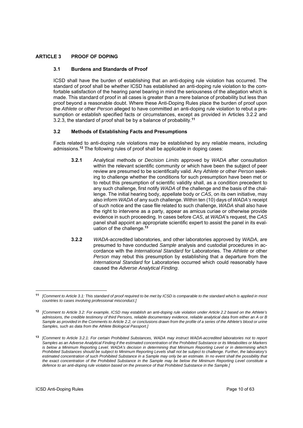# **ARTICLE 3 PROOF OF DOPING**

# **3.1 Burdens and Standards of Proof**

ICSD shall have the burden of establishing that an anti-doping rule violation has occurred. The standard of proof shall be whether ICSD has established an anti-doping rule violation to the comfortable satisfaction of the hearing panel bearing in mind the seriousness of the allegation which is made. This standard of proof in all cases is greater than a mere balance of probability but less than proof beyond a reasonable doubt. Where these Anti-Doping Rules place the burden of proof upon the *Athlete* or other *Person* alleged to have committed an anti-doping rule violation to rebut a presumption or establish specified facts or circumstances, except as provided in Articles 3.2.2 and 3.2.3, the standard of proof shall be by a balance of probability.**<sup>11</sup>**

# **3.2 Methods of Establishing Facts and Presumptions**

Facts related to anti-doping rule violations may be established by any reliable means, including admissions.**<sup>12</sup>** The following rules of proof shall be applicable in doping cases:

- **3.2.1** Analytical methods or *Decision Limits* approved by *WADA* after consultation within the relevant scientific community or which have been the subject of peer review are presumed to be scientifically valid. Any *Athlete* or other *Person* seeking to challenge whether the conditions for such presumption have been met or to rebut this presumption of scientific validity shall, as a condition precedent to any such challenge, first notify *WADA* of the challenge and the basis of the challenge. The initial hearing body, appellate body or *CAS*, on its own initiative, may also inform *WADA* of any such challenge. Within ten (10) days of *WADA's* receipt of such notice and the case file related to such challenge, *WADA* shall also have the right to intervene as a party, appear as amicus curiae or otherwise provide evidence in such proceeding. In cases before *CAS*, at *WADA*'s request, the *CAS* panel shall appoint an appropriate scientific expert to assist the panel in its evaluation of the challenge.**<sup>13</sup>**
- **3.2.2** *WADA*-accredited laboratories, and other laboratories approved by *WADA*, are presumed to have conducted *Sample* analysis and custodial procedures in accordance with the *International Standard* for Laboratories. The *Athlete* or other *Person* may rebut this presumption by establishing that a departure from the *International Standard* for Laboratories occurred which could reasonably have caused the *Adverse Analytical Finding*.

 $\overline{a}$ 

**<sup>11</sup>** *[Comment to Article 3.1: This standard of proof required to be met by ICSD is comparable to the standard which is applied in most countries to cases involving professional misconduct.]* 

**<sup>12</sup>** *[Comment to Article 3.2: For example, ICSD may establish an anti-doping rule violation under Article 2.2 based on the Athlete's admissions, the credible testimony of third Persons, reliable documentary evidence, reliable analytical data from either an A or B Sample as provided in the Comments to Article 2.2, or conclusions drawn from the profile of a series of the Athlete's blood or urine Samples, such as data from the Athlete Biological Passport.]* 

**<sup>13</sup>** *[Comment to Article 3.2.1: For certain Prohibited Substances, WADA may instruct WADA-accredited laboratories not to report Samples as an Adverse Analytical Finding if the estimated concentration of the Prohibited Substance or its Metabolites or Markers is below a Minimum Reporting Level. WADA's decision in determining that Minimum Reporting Level or in determining which Prohibited Substances should be subject to Minimum Reporting Levels shall not be subject to challenge. Further, the laboratory's*  estimated concentration of such Prohibited Substance in a Sample may only be an estimate. In no event shall the possibility that *the exact concentration of the Prohibited Substance in the Sample may be below the Minimum Reporting Level constitute a defence to an anti-doping rule violation based on the presence of that Prohibited Substance in the Sample.]*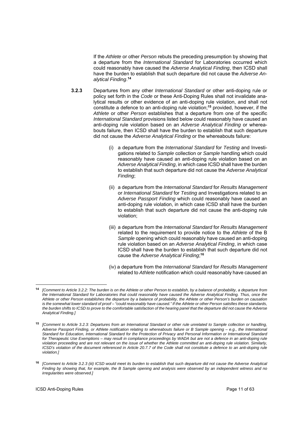If the *Athlete* or other *Person* rebuts the preceding presumption by showing that a departure from the *International Standard* for Laboratories occurred which could reasonably have caused the *Adverse Analytical Finding*, then ICSD shall have the burden to establish that such departure did not cause the *Adverse Analytical Finding*. **14**

- **3.2.3** Departures from any other *International Standard* or other anti-doping rule or policy set forth in the *Code* or these Anti-Doping Rules shall not invalidate analytical results or other evidence of an anti-doping rule violation, and shall not constitute a defence to an anti-doping rule violation;**<sup>15</sup>** provided, however, if the *Athlete* or other *Person* establishes that a departure from one of the specific *International Standard* provisions listed below could reasonably have caused an anti-doping rule violation based on an *Adverse Analytical Finding* or whereabouts failure, then ICSD shall have the burden to establish that such departure did not cause the *Adverse Analytical Finding* or the whereabouts failure:
	- (i) a departure from the *International Standard* for *Testing* and Investigations related to *Sample* collection or *Sample* handling which could reasonably have caused an anti-doping rule violation based on an *Adverse Analytical Finding*, in which case ICSD shall have the burden to establish that such departure did not cause the *Adverse Analytical Finding*;
	- (ii) a departure from the *International Standard* for *Results Management* or *International Standard* for *Testing* and Investigations related to an *Adverse Passport Finding* which could reasonably have caused an anti-doping rule violation, in which case ICSD shall have the burden to establish that such departure did not cause the anti-doping rule violation;
	- (iii) a departure from the *International Standard* for *Results Management* related to the requirement to provide notice to the *Athlete* of the B *Sample* opening which could reasonably have caused an anti-doping rule violation based on an *Adverse Analytical Finding*, in which case ICSD shall have the burden to establish that such departure did not cause the *Adverse Analytical Finding*; **16**
	- (iv) a departure from the *International Standard* for *Results Management* related to *Athlete* notification which could reasonably have caused an

**<sup>14</sup>***[Comment to Article 3.2.2: The burden is on the Athlete or other Person to establish, by a balance of probability, a departure from the International Standard for Laboratories that could reasonably have caused the Adverse Analytical Finding. Thus, once the Athlete or other Person establishes the departure by a balance of probability, the Athlete or other Person's burden on causation is the somewhat lower standard of proof – "could reasonably have caused." If the Athlete or other Person satisfies these standards, the burden shifts to ICSD to prove to the comfortable satisfaction of the hearing panel that the departure did not cause the Adverse Analytical Finding.]* 

**<sup>15</sup>** *[Comment to Article 3.2.3: Departures from an International Standard or other rule unrelated to Sample collection or handling, Adverse Passport Finding, or Athlete notification relating to whereabouts failure or B Sample opening – e.g., the International Standard for Education, International Standard for the Protection of Privacy and Personal Information or International Standard* for Therapeutic Use Exemptions – may result in compliance proceedings by WADA but are not a defence in an anti-doping rule *violation proceeding and are not relevant on the issue of whether the Athlete committed an anti-doping rule violation. Similarly, ICSD's violation of the document referenced in Article 20.7.7 of the Code shall not constitute a defence to an anti-doping rule violation.]* 

**<sup>16</sup>** *[Comment to Article 3.2.3 (iii) ICSD would meet its burden to establish that such departure did not cause the Adverse Analytical Finding by showing that, for example, the B Sample opening and analysis were observed by an independent witness and no irregularities were observed.]*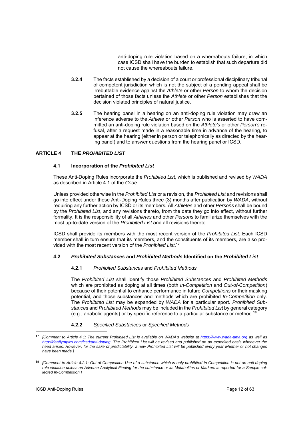anti-doping rule violation based on a whereabouts failure, in which case ICSD shall have the burden to establish that such departure did not cause the whereabouts failure.

- **3.2.4** The facts established by a decision of a court or professional disciplinary tribunal of competent jurisdiction which is not the subject of a pending appeal shall be irrebuttable evidence against the *Athlete* or other *Person* to whom the decision pertained of those facts unless the *Athlete* or other *Person* establishes that the decision violated principles of natural justice.
- **3.2.5** The hearing panel in a hearing on an anti-doping rule violation may draw an inference adverse to the *Athlete* or other *Person* who is asserted to have committed an anti-doping rule violation based on the *Athlete's* or other *Person's* refusal, after a request made in a reasonable time in advance of the hearing, to appear at the hearing (either in person or telephonically as directed by the hearing panel) and to answer questions from the hearing panel or ICSD.

# **ARTICLE 4 THE** *PROHIBITED LIST*

## **4.1 Incorporation of the** *Prohibited List*

These Anti-Doping Rules incorporate the *Prohibited List*, which is published and revised by *WADA* as described in Article 4.1 of the *Code*.

Unless provided otherwise in the *Prohibited List* or a revision, the *Prohibited List* and revisions shall go into effect under these Anti-Doping Rules three (3) months after publication by *WADA*, without requiring any further action by ICSD or its members*.* All *Athletes* and other *Persons* shall be bound by the *Prohibited List*, and any revisions thereto, from the date they go into effect, without further formality. It is the responsibility of all *Athletes* and other *Persons* to familiarize themselves with the most up-to-date version of the *Prohibited List* and all revisions thereto.

ICSD shall provide its members with the most recent version of the *Prohibited List*. Each ICSD member shall in turn ensure that its members, and the constituents of its members, are also provided with the most recent version of the *Prohibited List*. **17**

## **4.2** *Prohibited Substances* **and** *Prohibited Methods* **Identified on the** *Prohibited List*

## **4.2.1** *Prohibited Substances* and *Prohibited Methods*

The *Prohibited List* shall identify those *Prohibited Substances* and *Prohibited Methods*  which are prohibited as doping at all times (both *In-Competition* and *Out-of-Competition*) because of their potential to enhance performance in future *Competitions* or their masking potential, and those substances and methods which are prohibited *In-Competition* only. The *Prohibited List* may be expanded by *WADA* for a particular sport. *Prohibited Substance*s and *Prohibited Methods* may be included in the *Prohibited List* by general category (e.g., anabolic agents) or by specific reference to a particular substance or method.**<sup>18</sup>**

## **4.2.2** *Specified Substances* or *Specified Methods*

**<sup>17</sup>** *[Comment to Article 4.1: The current Prohibited List is available on WADA's website at https://www.wada-ama.org as well as http://deaflympics.com/icsd/anti-doping. The Prohibited List will be revised and published on an expedited basis whenever the need arises. However, for the sake of predictability, a new Prohibited List will be published every year whether or not changes have been made.]* 

**<sup>18</sup>** *[Comment to Article 4.2.1: Out-of-Competition Use of a substance which is only prohibited In-Competition is not an anti-doping rule violation unless an Adverse Analytical Finding for the substance or its Metabolites or Markers is reported for a Sample collected In-Competition.]*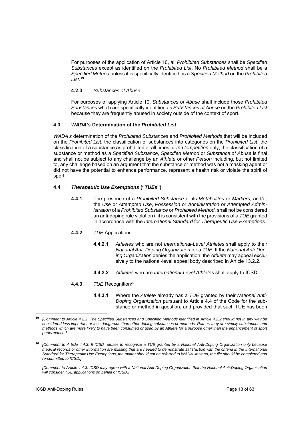For purposes of the application of Article 10, all *Prohibited Substances* shall be *Specified Substances* except as identified on the *Prohibited List*. No *Prohibited Method* shall be a *Specified Method* unless it is specifically identified as a *Specified Method* on the *Prohibited List*. **19**

# **4.2.3** *Substances of Abuse*

For purposes of applying Article 10, *Substances of Abuse* shall include those *Prohibited Substances* which are specifically identified as *Substances of Abuse* on the *Prohibited List* because they are frequently abused in society outside of the context of sport.

# **4.3** *WADA's* **Determination of the** *Prohibited List*

*WADA's* determination of the *Prohibited Substances* and *Prohibited Methods* that will be included on the *Prohibited List*, the classification of substances into categories on the *Prohibited List*, the classification of a substance as prohibited at all times or *In-Competition* only, the classification of a substance or method as a *Specified Substance*, *Specified Method* or *Substance of Abuse* is final and shall not be subject to any challenge by an *Athlete* or other *Person* including, but not limited to, any challenge based on an argument that the substance or method was not a masking agent or did not have the potential to enhance performance, represent a health risk or violate the spirit of sport.

# **4.4** *Therapeutic Use Exemptions* **("***TUEs***")**

- **4.4.1** The presence of a *Prohibited Substance* or its *Metabolites* or *Markers*, and/or the *Use* or *Attempted Use*, *Possession* or *Administration* or *Attempted Administration* of a *Prohibited Substance* or *Prohibited Method*, shall not be considered an anti-doping rule violation if it is consistent with the provisions of a *TUE* granted in accordance with the *International Standard* for *Therapeutic Use Exemptions*.
- **4.4.2** *TUE* Applications
	- **4.4.2.1** *Athletes* who are not *International-Level Athletes* shall apply to their *National Anti-Doping Organization* for a *TUE*. If the *National Anti-Doping Organization* denies the application, the *Athlete* may appeal exclusively to the national-level appeal body described in Article 13.2.2.
	- **4.4.2.2** *Athletes* who are *International-Level Athletes* shall apply to ICSD.
- **4.4.3** *TUE* Recognition**<sup>20</sup>**
	- **4.4.3.1** Where the *Athlete* already has a *TUE* granted by their *National Anti-Doping Organization* pursuant to Article 4.4 of the Code for the substance or method in question, and provided that such TUE has been

**<sup>19</sup>** *[Comment to Article 4.2.2: The Specified Substances and Specified Methods identified in Article 4.2.2 should not in any way be considered less important or less dangerous than other doping substances or methods. Rather, they are simply substances and methods which are more likely to have been consumed or used by an Athlete for a purpose other than the enhancement of sport performance.]* 

**<sup>20</sup>** *[Comment to Article 4.4.3: If ICSD refuses to recognize a TUE granted by a National Anti-Doping Organization only because medical records or other information are missing that are needed to demonstrate satisfaction with the criteria in the International Standard for Therapeutic Use Exemptions, the matter should not be referred to WADA. Instead, the file should be completed and re-submitted to ICSD.]* 

*<sup>[</sup>Comment to Article 4.4.3: ICSD may agree with a National Anti-Doping Organization that the National Anti-Doping Organization will consider TUE applications on behalf of ICSD.]*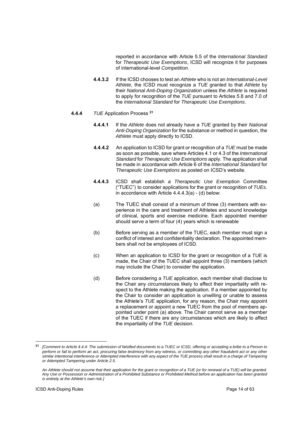reported in accordance with Article 5.5 of the *International Standard* for *Therapeutic Use Exemptions*, ICSD will recognize it for purposes of international-level *Competition*.

**4.4.3.2** If the ICSD chooses to test an *Athlete* who is not an *International-Level Athlete*, the ICSD must recognize a *TUE* granted to that *Athlete* by their *National Anti-Doping Organization* unless the *Athlete* is required to apply for recognition of the *TUE* pursuant to Articles 5.8 and 7.0 of the *International Standard* for *Therapeutic Use Exemptions*.

## **4.4.4** *TUE* Application Process **<sup>21</sup>**

- **4.4.4.1** If the *Athlete* does not already have a *TUE* granted by their *National Anti-Doping Organization* for the substance or method in question, the *Athlete* must apply directly to ICSD.
- **4.4.4.2** An application to ICSD for grant or recognition of a *TUE* must be made as soon as possible, save where Articles 4.1 or 4.3 of the *International Standard* for *Therapeutic Use Exemptions* apply. The application shall be made in accordance with Article 6 of the *International Standard* for *Therapeutic Use Exemptions* as posted on ICSD's website.
- **4.4.4.3** ICSD shall establish a *Therapeutic Use Exemption* Committee ("TUEC") to consider applications for the grant or recognition of *TUEs*. in accordance with Article 4.4.4.3(a) - (d) below:
- (a) The TUEC shall consist of a minimum of three (3) members with experience in the care and treatment of Athletes and sound knowledge of clinical, sports and exercise medicine. Each appointed member should serve a term of four (4) years which is renewable
- (b) Before serving as a member of the TUEC, each member must sign a conflict of interest and confidentiality declaration. The appointed members shall not be employees of ICSD.
- (c) When an application to ICSD for the grant or recognition of a *TUE* is made, the Chair of the TUEC shall appoint three (3) members (which may include the Chair) to consider the application.
- (d) Before considering a *TUE* application, each member shall disclose to the Chair any circumstances likely to affect their impartiality with respect to the Athlete making the application. If a member appointed by the Chair to consider an application is unwilling or unable to assess the Athlete's *TUE* application, for any reason, the Chair may appoint a replacement or appoint a new TUEC from the pool of members appointed under point (a) above. The Chair cannot serve as a member of the TUEC if there are any circumstances which are likely to affect the impartiality of the *TUE* decision.

**<sup>21</sup>** *[Comment to Article 4.4.4: The submission of falsified documents to a TUEC or ICSD, offering or accepting a bribe to a Person to*  **perform or fail to perform an act, procuring false testimony from any witness, or committing any other fraudulent act or any other** *similar intentional interference or Attempted interference with any aspect of the TUE process shall result in a charge of Tampering or Attempted Tampering under Article 2.5.*

*An Athlete should not assume that their application for the grant or recognition of a TUE (or for renewal of a TUE) will be granted. Any Use or Possession or Administration of a Prohibited Substance or Prohibited Method before an application has been granted is entirely at the Athlete's own risk.]*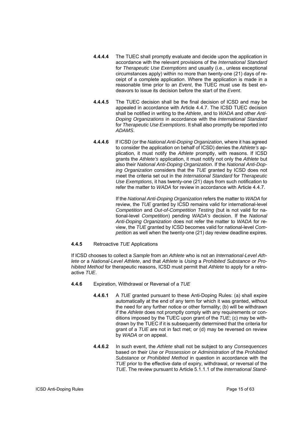- **4.4.4.4** The TUEC shall promptly evaluate and decide upon the application in accordance with the relevant provisions of the *International Standard* for *Therapeutic Use Exemptions* and usually (i.e., unless exceptional circumstances apply) within no more than twenty-one (21) days of receipt of a complete application. Where the application is made in a reasonable time prior to an *Event*, the TUEC must use its best endeavors to issue its decision before the start of the *Event*.
- **4.4.4.5** The TUEC decision shall be the final decision of ICSD and may be appealed in accordance with Article 4.4.7. The ICSD TUEC decision shall be notified in writing to the *Athlete*, and to *WADA* and other *Anti-Doping Organizations* in accordance with the *International Standard* for *Therapeutic Use Exemptions*. It shall also promptly be reported into *ADAMS*.
- **4.4.4.6** If ICSD (or the *National Anti-Doping Organization*, where it has agreed to consider the application on behalf of ICSD) denies the *Athlete's* application, it must notify the *Athlete* promptly, with reasons. If ICSD grants the *Athlete's* application, it must notify not only the *Athlete* but also their *National Anti-Doping Organization*. If the *National Anti-Doping Organization* considers that the *TUE* granted by ICSD does not meet the criteria set out in the *International Standard* for *Therapeutic Use Exemptions*, it has twenty-one (21) days from such notification to refer the matter to *WADA* for review in accordance with Article 4.4.7.

If the *National Anti-Doping Organization* refers the matter to *WADA* for review, the *TUE* granted by ICSD remains valid for international-level *Competition* and *Out-of-Competition Testing* (but is not valid for national-level *Competition*) pending *WADA's* decision. If the *National Anti-Doping Organization* does not refer the matter to *WADA* for review, the *TUE* granted by ICSD becomes valid for national-level *Competitio*n as well when the twenty-one (21) day review deadline expires.

## **4.4.5** Retroactive *TUE* Applications

If ICSD chooses to collect a *Sample* from an *Athlete* who is not an *International-Level Athlete* or a *National-Level Athlete*, and that *Athlete* is *Using* a *Prohibited Substance* or *Prohibited Method* for therapeutic reasons, ICSD must permit that *Athlete* to apply for a retroactive *TUE*.

- **4.4.6** Expiration, Withdrawal or Reversal of a *TUE*
	- **4.4.6.1** A *TUE* granted pursuant to these Anti-Doping Rules: (a) shall expire automatically at the end of any term for which it was granted, without the need for any further notice or other formality; (b) will be withdrawn if the *Athlete* does not promptly comply with any requirements or conditions imposed by the TUEC upon grant of the *TUE*; (c) may be withdrawn by the TUEC if it is subsequently determined that the criteria for grant of a *TUE* are not in fact met; or (d) may be reversed on review by *WADA* or on appeal.
	- **4.4.6.2** In such event, the *Athlete* shall not be subject to any *Consequences* based on their *Use* or *Possession* or *Administration* of the *Prohibited Substance* or *Prohibited Method* in question in accordance with the *TUE* prior to the effective date of expiry, withdrawal, or reversal of the *TUE*. The review pursuant to Article 5.1.1.1 of the *International Stand-*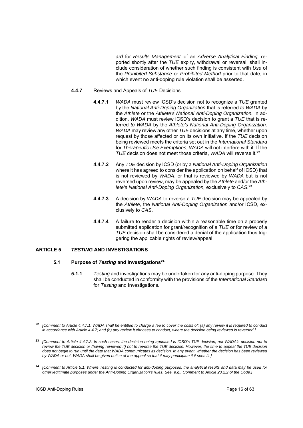*ard* for *Results Management* of an *Adverse Analytical Finding,* reported shortly after the *TUE* expiry, withdrawal or reversal, shall include consideration of whether such finding is consistent with *Use* of the *Prohibited Substance* or *Prohibited Method* prior to that date, in which event no anti-doping rule violation shall be asserted.

#### **4.4.7** Reviews and Appeals of *TUE* Decisions

- **4.4.7.1** *WADA* must review ICSD's decision not to recognize a *TUE* granted by the *National Anti-Doping Organization* that is referred *to WADA* by the *Athlete* or the *Athlete's National Anti-Doping Organization.* In addition, *WADA* must review ICSD's decision to grant a *TUE* that is referred *to WADA* by the *Athlete's National Anti-Doping Organization*. *WADA* may review any other *TUE* decisions at any time, whether upon request by those affected or on its own initiative. If the *TUE* decision being reviewed meets the criteria set out in the *International Standard*  for *Therapeutic Use Exemptions*, *WADA* will not interfere with it. If the *TUE* decision does not meet those criteria, *WADA* will reverse it.**<sup>22</sup>**
- **4.4.7.2** Any *TUE* decision by ICSD (or by a *National Anti-Doping Organization* where it has agreed to consider the application on behalf of ICSD) that is not reviewed by *WADA*, or that is reviewed by *WADA* but is not reversed upon review, may be appealed by the *Athlete* and/or the *Athlete's National Anti-Doping Organization,* exclusively to *CAS*. **23**
- **4.4.7.3** A decision by *WADA* to reverse a *TUE* decision may be appealed by the *Athlete,* the *National Anti-Doping Organization* and/or ICSD, exclusively to *CAS*.
- **4.4.7.4** A failure to render a decision within a reasonable time on a properly submitted application for grant/recognition of a *TUE* or for review of a *TUE* decision shall be considered a denial of the application thus triggering the applicable rights of review/appeal.

## **ARTICLE 5** *TESTING* **AND INVESTIGATIONS**

## **5.1 Purpose of** *Testing* **and Investigations24**

**5.1.1** *Testing* and investigations may be undertaken for any anti-doping purpose. They shall be conducted in conformity with the provisions of the *International Standard* for *Testing* and Investigations*.*

<sup>1</sup> **<sup>22</sup>** *[Comment to Article 4.4.7.1: WADA shall be entitled to charge a fee to cover the costs of: (a) any review it is required to conduct in accordance with Article 4.4.7; and (b) any review it chooses to conduct, where the decision being reviewed is reversed.]* 

**<sup>23</sup>** *[Comment to Article 4.4.7.2: In such cases, the decision being appealed is ICSD's TUE decision, not WADA's decision not to review the TUE decision or (having reviewed it) not to reverse the TUE decision. However, the time to appeal the TUE decision does not begin to run until the date that WADA communicates its decision. In any event, whether the decision has been reviewed by WADA or not, WADA shall be given notice of the appeal so that it may participate if it sees fit.]* 

**<sup>24</sup>** *[Comment to Article 5.1: Where Testing is conducted for anti-doping purposes, the analytical results and data may be used for other legitimate purposes under the Anti-Doping Organization's rules. See, e.g., Comment to Article 23.2.2 of the Code.]*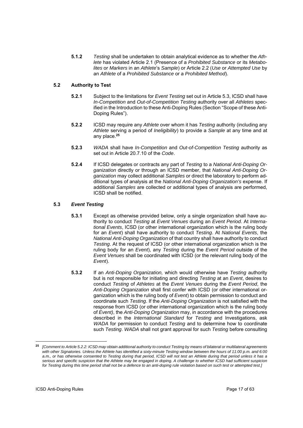**5.1.2** *Testing* shall be undertaken to obtain analytical evidence as to whether the *Athlete* has violated Article 2.1 (Presence of a *Prohibited Substance* or its *Metabolites* or *Markers* in an *Athlete*'s *Sample*) or Article 2.2 (*Use* or *Attempted Use* by an *Athlete* of a *Prohibited Substance* or a *Prohibited Method*).

# **5.2 Authority to Test**

- **5.2.1** Subject to the limitations for *Event Testing* set out in Article 5.3, ICSD shall have *In-Competition* and *Out-of-Competition Testing* authority over all *Athletes* specified in the Introduction to these Anti-Doping Rules (Section "Scope of these Anti-Doping Rules").
- **5.2.2** ICSD may require any *Athlete* over whom it has *Testing* authority (including any *Athlete* serving a period of *Ineligibility*) to provide a *Sample* at any time and at any place.**<sup>25</sup>**
- **5.2.3** *WADA* shall have *In-Competition* and *Out-of-Competition Testing* authority as set out in Article 20.7.10 of the *Code*.
- **5.2.4** If ICSD delegates or contracts any part of *Testing* to a *National Anti-Doping Organization* directly or through an ICSD member, that *National Anti-Doping Organization* may collect additional *Samples* or direct the laboratory to perform additional types of analysis at the *National Anti-Doping Organization's* expense. If additional *Samples* are collected or additional types of analysis are performed, ICSD shall be notified.

# **5.3** *Event Testing*

- **5.3.1** Except as otherwise provided below, only a single organization shall have authority to conduct *Testing* at *Event Venues* during an *Event Period*. At *International Events*, ICSD (or other international organization which is the ruling body for an *Event*) shall have authority to conduct *Testing*. At *National Events*, the *National Anti-Doping Organization* of that country shall have authority to conduct *Testing*. At the request of ICSD (or other international organization which is the ruling body for an *Event*), any *Testing* during the *Event Period* outside of the *Event Venues* shall be coordinated with ICSD (or the relevant ruling body of the *Event*).
- **5.3.2** If an *Anti-Doping Organization,* which would otherwise have *Testing* authority but is not responsible for initiating and directing *Testing* at an *Event*, desires to conduct *Testing* of *Athletes* at the *Event Venues* during the *Event Period*, the *Anti-Doping Organization* shall first confer with ICSD (or other international organization which is the ruling body of *Event*) to obtain permission to conduct and coordinate such *Testing*. If the *Anti-Doping Organization* is not satisfied with the response from ICSD (or other international organization which is the ruling body of *Event)*, the *Anti-Doping Organization* may, in accordance with the procedures described in the *International Standard* for *Testing* and Investigations, ask *WADA* for permission to conduct *Testing* and to determine how to coordinate such *Testing*. *WADA* shall not grant approval for such *Testing* before consulting

<sup>25</sup> **<sup>25</sup>** *[Comment to Article 5.2.2: ICSD may obtain additional authority to conduct Testing by means of bilateral or multilateral agreements with other Signatories. Unless the Athlete has identified a sixty-minute Testing window between the hours of 11:00 p.m. and 6:00 a.m., or has otherwise consented to Testing during that period, ICSD will not test an Athlete during that period unless it has a serious and specific suspicion that the Athlete may be engaged in doping. A challenge to whether ICSD had sufficient suspicion for Testing during this time period shall not be a defence to an anti-doping rule violation based on such test or attempted test.]*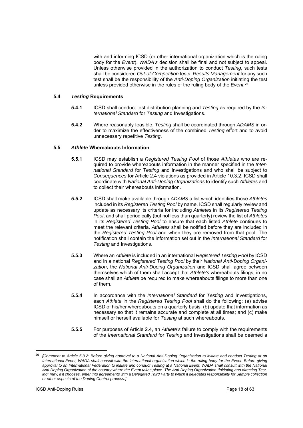with and informing ICSD (or other international organization which is the ruling body for the *Event*). *WADA's* decision shall be final and not subject to appeal. Unless otherwise provided in the authorization to conduct *Testing*, such tests shall be considered *Out-of-Competition* tests*. Results Management* for any such test shall be the responsibility of the *Anti-Doping Organization* initiating the test unless provided otherwise in the rules of the ruling body of the *Event.***<sup>26</sup>**

# **5.4** *Testing* **Requirements**

- **5.4.1** ICSD shall conduct test distribution planning and *Testing* as required by the *International Standard* for *Testing* and Investigations.
- **5.4.2** Where reasonably feasible, *Testing* shall be coordinated through *ADAMS* in order to maximize the effectiveness of the combined *Testing* effort and to avoid unnecessary repetitive *Testing*.

# **5.5** *Athlete* **Whereabouts Information**

- **5.5.1** ICSD may establish a *Registered Testing Pool* of those *Athletes* who are required to provide whereabouts information in the manner specified in the *International Standard* for *Testing* and Investigations and who shall be subject to *Consequences* for Article 2.4 violations as provided in Article 10.3.2. ICSD shall coordinate with *National Anti-Doping Organizations* to identify such *Athletes* and to collect their whereabouts information.
- **5.5.2** ICSD shall make available through *ADAMS* a list which identifies those *Athletes* included in its *Registered Testing Pool* by name. ICSD shall regularly review and update as necessary its criteria for including *Athletes* in its *Registered Testing Pool*, and shall periodically (but not less than quarterly) review the list of *Athletes* in its *Registered Testing Pool* to ensure that each listed *Athlete* continues to meet the relevant criteria. *Athletes* shall be notified before they are included in the *Registered Testing Pool* and when they are removed from that pool. The notification shall contain the information set out in the *International Standard* for *Testing* and Investigations.
- **5.5.3** Where an *Athlete* is included in an international *Registered Testing Pool* by ICSD and in a national *Registered Testing Pool* by their *National Anti-Doping Organization*, the *National Anti-Doping Organization* and ICSD shall agree between themselves which of them shall accept that *Athlete's* whereabouts filings; in no case shall an *Athlete* be required to make whereabouts filings to more than one of them.
- **5.5.4** In accordance with the *International Standard* for *Testing* and Investigations, each *Athlete* in the *Registered Testing Pool* shall do the following: (a) advise ICSD of his/her whereabouts on a quarterly basis; (b) update that information as necessary so that it remains accurate and complete at all times; and (c) make himself or herself available for *Testing* at such whereabouts.
- **5.5.5** For purposes of Article 2.4, an *Athlete's* failure to comply with the requirements of the *International Standard* for *Testing* and Investigations shall be deemed a

**<sup>26</sup>** *[Comment to Article 5.3.2: Before giving approval to a National Anti-Doping Organization to initiate and conduct Testing at an International Event, WADA shall consult with the international organization which is the ruling body for the Event. Before giving*  approval to an International Federation to initiate and conduct Testing at a National Event, WADA shall consult with the National *Anti-Doping Organization of the country where the Event takes place. The Anti-Doping Organization "initiating and directing Testing" may, if it chooses, enter into agreements with a Delegated Third Party to which it delegates responsibility for Sample collection or other aspects of the Doping Control process.]*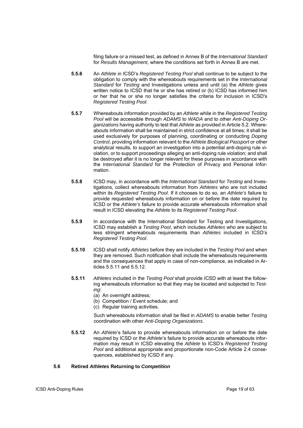filing failure or a missed test, as defined in Annex B of the *International Standard*  for *Results Management*, where the conditions set forth in Annex B are met.

- **5.5.6** An *Athlete* in ICSD's *Registered Testing Pool* shall continue to be subject to the obligation to comply with the whereabouts requirements set in the *International Standard* for *Testing* and Investigations unless and until (a) the *Athlete* gives written notice to ICSD that he or she has retired or (b) ICSD has informed him or her that he or she no longer satisfies the criteria for inclusion in ICSD's *Registered Testing Pool*.
- **5.5.7** Whereabouts information provided by an *Athlete* while in the *Registered Testing Pool* will be accessible through *ADAMS* to *WADA* and to other *Anti-Doping Organizations* having authority to test that *Athlete* as provided in Article 5.2. Whereabouts information shall be maintained in strict confidence at all times; it shall be used exclusively for purposes of planning, coordinating or conducting *Doping Control*, providing information relevant to the *Athlete Biological Passport* or other analytical results, to support an investigation into a potential anti-doping rule violation, or to support proceedings alleging an anti-doping rule violation; and shall be destroyed after it is no longer relevant for these purposes in accordance with the *International Standard* for the Protection of Privacy and Personal Information.
- **5.5.8** ICSD may, in accordance with the *International Standard* for *Testing* and Investigations, collect whereabouts information from *Athletes* who are not included within its *Registered Testing Pool*. If it chooses to do so, an *Athlete's* failure to provide requested whereabouts information on or before the date required by ICSD or the *Athlete's* failure to provide accurate whereabouts information shall result in ICSD elevating the *Athlete* to its *Registered Testing Pool*.
- **5.5.9** In accordance with the International Standard for Testing and Investigations, ICSD may establish a *Testing Pool*, which includes *Athletes* who are subject to less stringent whereabouts requirements than *Athletes* included in ICSD's *Registered Testing Pool*.
- **5.5.10** ICSD shall notify *Athletes* before they are included in the *Testing Pool* and when they are removed. Such notification shall include the whereabouts requirements and the consequences that apply in case of non-compliance, as indicated in Articles 5.5.11 and 5.5.12.
- **5.5.11** *Athletes* included in the *Testing Pool* shall provide ICSD with at least the following whereabouts information so that they may be located and subjected to *Testing*:
	- (a) An overnight address;
	- (b) Competition / Event schedule; and
	- (c) Regular training activities.

Such whereabouts information shall be filed in *ADAMS* to enable better *Testing* coordination with other *Anti-Doping Organizations*.

**5.5.12** An *Athlete*'s failure to provide whereabouts information on or before the date required by ICSD or the *Athlete*'s failure to provide accurate whereabouts information may result in ICSD elevating the *Athlete* to ICSD's *Registered Testing Pool* and additional appropriate and proportionate non-Code Article 2.4 consequences, established by ICSD if any.

## **5.6 Retired** *Athletes* **Returning to** *Competition*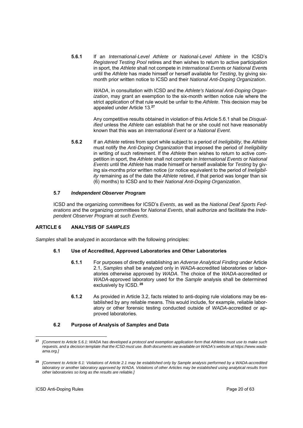**5.6.1** If an *International-Level Athlete or National-Level Athlete* in the ICSD's *Registered Testing Pool* retires and then wishes to return to active participation in sport, the *Athlete* shall not compete in *International Event*s or *National Event*s until the *Athlete* has made himself or herself available for *Testing*, by giving sixmonth prior written notice to ICSD and their *National Anti-Doping Organization*.

> *WADA*, in consultation with ICSD and the *Athlete's National Anti-Doping Organization*, may grant an exemption to the six-month written notice rule where the strict application of that rule would be unfair to the *Athlete*. This decision may be appealed under Article 13.**<sup>27</sup>**

> Any competitive results obtained in violation of this Article 5.6.1 shall be *Disqualified* unless the *Athlete* can establish that he or she could not have reasonably known that this was an *International Event* or a *National Event*.

**5.6.2** If an *Athlete* retires from sport while subject to a period of *Ineligibility*, the *Athlete*  must notify the *Anti-Doping Organization* that imposed the period of *Ineligibility* in writing of such retirement. If the *Athlete* then wishes to return to active competition in sport, the *Athlete* shall not compete in *International Events* or *National Events* until the *Athlete* has made himself or herself available for *Testing* by giving six-months prior written notice (or notice equivalent to the period of *Ineligibility* remaining as of the date the *Athlete* retired, if that period was longer than six (6) months) to ICSD and to their *National Anti-Doping Organization*.

# **5.7** *Independent Observer Program*

ICSD and the organizing committees for ICSD's *Events*, as well as the *National Deaf Sports Federations* and the organizing committees for *National Events,* shall authorize and facilitate the *Independent Observer Program* at *such Events*.

# **ARTICLE 6 ANALYSIS OF** *SAMPLES*

*Samples* shall be analyzed in accordance with the following principles:

## **6.1 Use of Accredited, Approved Laboratories and Other Laboratories**

- **6.1.1** For purposes of directly establishing an *Adverse Analytical Finding* under Article 2.1, *Samples* shall be analyzed only in *WADA*-accredited laboratories or laboratories otherwise approved by *WADA*. The choice of the *WADA*-accredited or *WADA*-approved laboratory used for the *Sample* analysis shall be determined exclusively by ICSD.**<sup>28</sup>**
- **6.1.2** As provided in Article 3.2, facts related to anti-doping rule violations may be established by any reliable means. This would include, for example, reliable laboratory or other forensic testing conducted outside of *WADA*-accredited or approved laboratories.

## **6.2 Purpose of Analysis of** *Samples* **and Data**

**<sup>27</sup>** *[Comment to Article 5.6.1: WADA has developed a protocol and exemption application form that Athletes must use to make such requests, and a decision template that the ICSD must use. Both documents are available on WADA's website at https://www.wadaama.org.]* 

**<sup>28</sup>** *[Comment to Article 6.1: Violations of Article 2.1 may be established only by Sample analysis performed by a WADA-accredited laboratory or another laboratory approved by WADA. Violations of other Articles may be established using analytical results from other laboratories so long as the results are reliable.]*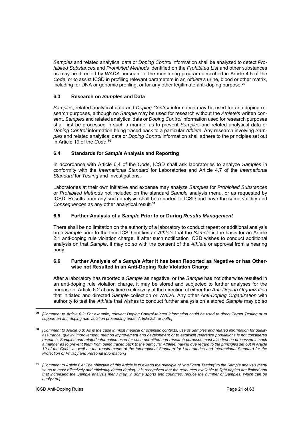*Samples* and related analytical data or *Doping Control* information shall be analyzed to detect *Prohibited Substances* and *Prohibited Methods* identified on the *Prohibited List* and other substances as may be directed by *WADA* pursuant to the monitoring program described in Article 4.5 of the *Code*, or to assist ICSD in profiling relevant parameters in an *Athlete's* urine, blood or other matrix, including for DNA or genomic profiling, or for any other legitimate anti-doping purpose.**<sup>29</sup>**

# **6.3 Research on** *Samples* **and Data**

*Samples*, related analytical data and *Doping Control* information may be used for anti-doping research purposes, although no *Sample* may be used for research without the *Athlete's* written consent. *Samples* and related analytical data or *Doping Control* information used for research purposes shall first be processed in such a manner as to prevent *Samples* and related analytical data or *Doping Control* information being traced back to a particular *Athlete*. Any research involving *Samples* and related analytical data or *Doping Control* information shall adhere to the principles set out in Article 19 of the *Code*. **30**

# **6.4 Standards for** *Sample* **Analysis and Reporting**

In accordance with Article 6.4 of the *Code*, ICSD shall ask laboratories to analyze *Samples* in conformity with the *International Standard* for Laboratories and Article 4.7 of the *International Standard* for *Testing* and Investigations.

Laboratories at their own initiative and expense may analyze *Samples* for *Prohibited Substances*  or *Prohibited Methods* not included on the standard *Sample* analysis menu, or as requested by ICSD. Results from any such analysis shall be reported to ICSD and have the same validity and *Consequences* as any other analytical result.**<sup>31</sup>**

# **6.5 Further Analysis of a** *Sample* **Prior to or During** *Results Management*

There shall be no limitation on the authority of a laboratory to conduct repeat or additional analysis on a *Sample* prior to the time ICSD notifies an *Athlete* that the *Sample* is the basis for an Article 2.1 anti-doping rule violation charge. If after such notification ICSD wishes to conduct additional analysis on that *Sample*, it may do so with the consent of the *Athlete* or approval from a hearing body.

# **6.6 Further Analysis of a** *Sample* **After it has been Reported as Negative or has Otherwise not Resulted in an Anti-Doping Rule Violation Charge**

After a laboratory has reported a *Sample* as negative, or the *Sample* has not otherwise resulted in an anti-doping rule violation charge, it may be stored and subjected to further analyses for the purpose of Article 6.2 at any time exclusively at the direction of either the *Anti-Doping Organization* that initiated and directed *Sample* collection or *WADA*. Any other *Anti-Doping Organization* with authority to test the *Athlete* that wishes to conduct further analysis on a stored *Sample* may do so

<sup>-</sup>**<sup>29</sup>** *[Comment to Article 6.2: For example, relevant Doping Control-related information could be used to direct Target Testing or to support an anti-doping rule violation proceeding under Article 2.2, or both.]* 

**<sup>30</sup>***[Comment to Article 6.3: As is the case in most medical or scientific contexts, use of Samples and related information for quality assurance, quality improvement, method improvement and development or to establish reference populations is not considered research. Samples and related information used for such permitted non-research purposes must also first be processed in such a manner as to prevent them from being traced back to the particular Athlete, having due regard to the principles set out in Article 19 of the Code, as well as the requirements of the International Standard for Laboratories and International Standard for the Protection of Privacy and Personal Information.]* 

**<sup>31</sup>***[Comment to Article 6.4: The objective of this Article is to extend the principle of "Intelligent Testing" to the Sample analysis menu so as to most effectively and efficiently detect doping. It is recognized that the resources available to fight doping are limited and*  that increasing the Sample analysis menu may, in some sports and countries, reduce the number of Samples, which can be *analyzed.]*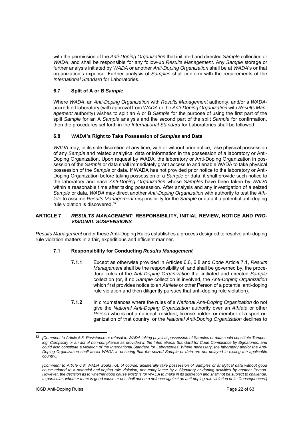with the permission of the *Anti-Doping Organization* that initiated and directed *Sample* collection or *WADA*, and shall be responsible for any follow-up *Results Management*. Any *Sample* storage or further analysis initiated by *WADA* or another *Anti-Doping Organization* shall be at *WADA*'s or that organization's expense. Further analysis of *Samples* shall conform with the requirements of the *International Standard* for Laboratories.

# **6.7 Split of A or B** *Sample*

Where *WADA*, an *Anti-Doping Organization* with *Results Management* authority, and/or a *WADA*accredited laboratory (with approval from *WADA* or the *Anti-Doping Organization* with *Results Management* authority) wishes to split an A or B *Sample* for the purpose of using the first part of the split *Sample* for an A *Sample* analysis and the second part of the split *Sample* for confirmation, then the procedures set forth in the *International Standard* for Laboratories shall be followed.

# **6.8** *WADA***'s Right to Take Possession of** *Samples* **and Data**

*WADA* may, in its sole discretion at any time, with or without prior notice, take physical possession of any *Sample* and related analytical data or information in the possession of a laboratory or Anti-Doping Organization. Upon request by WADA, the laboratory or Anti-Doping Organization in possession of the *Sample* or data shall immediately grant access to and enable WADA to take physical possession of the *Sample* or data. If WADA has not provided prior notice to the laboratory or Anti-Doping Organization before taking possession of a *Sample* or data, it shall provide such notice to the laboratory and each *Anti-Doping Organization* whose *Samples* have been taken by *WADA* within a reasonable time after taking possession. After analysis and any investigation of a seized *Sample* or data, *WADA* may direct another *Anti-Doping Organization* with authority to test the *Athlete* to assume *Results Management* responsibility for the *Sample* or data if a potential anti-doping rule violation is discovered.**<sup>32</sup>**

# **ARTICLE 7** *RESULTS MANAGEMENT***: RESPONSIBILITY, INITIAL REVIEW, NOTICE AND** *PRO-VISIONAL SUSPENSIONS*

*Results Management* under these Anti-Doping Rules establishes a process designed to resolve anti-doping rule violation matters in a fair, expeditious and efficient manner.

## **7.1 Responsibility for Conducting** *Results Management*

- **7.1.1** Except as otherwise provided in Articles 6.6, 6.8 and *Code* Article 7.1, *Results Management* shall be the responsibility of, and shall be governed by, the procedural rules of the *Anti-Doping Organization* that initiated and directed *Sample* collection (or, if no *Sample* collection is involved, the *Anti-Doping Organization*  which first provides notice to an *Athlete* or other Person of a potential anti-doping rule violation and then diligently pursues that anti-doping rule violation).
- **7.1.2** In circumstances where the rules of a *National Anti-Doping Organization* do not give the *National Anti-Doping Organization* authority over an *Athlete* or other *Person* who is not a national, resident, license holder, or member of a sport organization of that country, or the *National Anti-Doping Organization* declines to

**<sup>32</sup>** *[Comment to Article 6.8: Resistance or refusal to WADA taking physical possession of Samples or data could constitute Tampering, Complicity or an act of non-compliance as provided in the International Standard for Code Compliance by Signatories, and could also constitute a violation of the International Standard for Laboratories. Where necessary, the laboratory and/or the Anti-Doping Organization shall assist WADA in ensuring that the seized Sample or data are not delayed in exiting the applicable country.]* 

*<sup>[</sup>Comment to Article 6.8: WADA would not, of course, unilaterally take possession of Samples or analytical data without good cause related to a potential anti-doping rule violation, non-compliance by a Signatory or doping activities by another Person. However, the decision as to whether good cause exists is for WADA to make in its discretion and shall not be subject to challenge. In particular, whether there is good cause or not shall not be a defence against an anti-doping rule violation or its Consequences.]*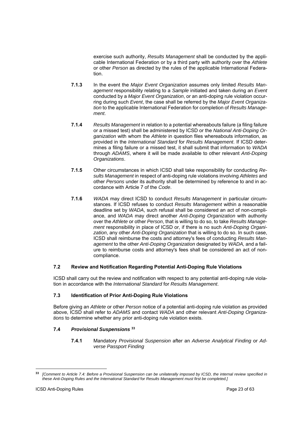exercise such authority, *Results Management* shall be conducted by the applicable International Federation or by a third party with authority over the *Athlete* or other *Person* as directed by the rules of the applicable International Federation.

- **7.1.3** In the event the *Major Event Organization* assumes only limited *Results Management* responsibility relating to a *Sample* initiated and taken during an *Event* conducted by a *Major Event Organization*, or an anti-doping rule violation occurring during such *Event*, the case shall be referred by the *Major Event Organization* to the applicable International Federation for completion of *Results Management*.
- **7.1.4** *Results Management* in relation to a potential whereabouts failure (a filing failure or a missed test) shall be administered by ICSD or the *National Anti-Doping Organization* with whom the *Athlete* in question files whereabouts information, as provided in the *International Standard* for *Results Management*. If ICSD determines a filing failure or a missed test, it shall submit that information to *WADA* through *ADAMS*, where it will be made available to other relevant *Anti-Doping Organizations*.
- **7.1.5** Other circumstances in which ICSD shall take responsibility for conducting *Results Management* in respect of anti-doping rule violations involving *Athletes* and other *Persons* under its authority shall be determined by reference to and in accordance with Article 7 of the *Code*.
- **7.1.6** *WADA* may direct ICSD to conduct *Results Management* in particular circumstances. If ICSD refuses to conduct *Results Management* within a reasonable deadline set by *WADA*, such refusal shall be considered an act of non-compliance, and *WADA* may direct another *Anti-Doping Organization* with authority over the *Athlete* or other *Person*, that is willing to do so, to take *Results Management* responsibility in place of ICSD or, if there is no such *Anti-Doping Organization*, any other *Anti-Doping Organization* that is willing to do so. In such case, ICSD shall reimburse the costs and attorney's fees of conducting *Results Management* to the other *Anti-Doping Organization* designated by *WADA,* and a failure to reimburse costs and attorney's fees shall be considered an act of noncompliance.

# **7.2 Review and Notification Regarding Potential Anti-Doping Rule Violations**

ICSD shall carry out the review and notification with respect to any potential anti-doping rule violation in accordance with the *International Standard* for *Results Management*.

# **7.3 Identification of Prior Anti-Doping Rule Violations**

Before giving an *Athlete* or other *Person* notice of a potential anti-doping rule violation as provided above, ICSD shall refer to *ADAMS* and contact *WADA* and other relevant *Anti-Doping Organizations* to determine whether any prior anti-doping rule violation exists.

# **7.4** *Provisional Suspensions* **<sup>33</sup>**

**7.4.1** Mandatory *Provisional Suspension* after an *Adverse Analytical Finding* or *Adverse Passport Finding*

**<sup>33</sup>** *[Comment to Article 7.4: Before a Provisional Suspension can be unilaterally imposed by ICSD, the internal review specified in these Anti-Doping Rules and the International Standard* for *Results Management must first be completed.]*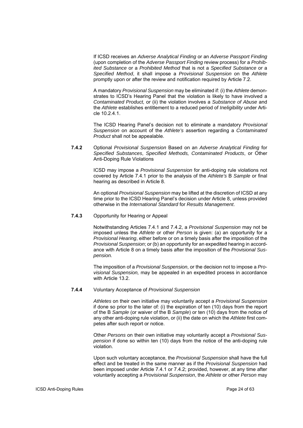If ICSD receives an *Adverse Analytical Finding* or an *Adverse Passport Finding*  (upon completion of the *Adverse Passport Finding* review process) for a *Prohibited Substance* or a *Prohibited Method* that is not a *Specified Substance* or a *Specified Method*, it shall impose a *Provisional Suspension* on the *Athlete* promptly upon or after the review and notification required by Article 7.2.

A mandatory *Provisional Suspension* may be eliminated if: (i) the *Athlete* demonstrates to ICSD's Hearing Panel that the violation is likely to have involved a *Contaminated Product,* or (ii) the violation involves a *Substance of Abuse* and the *Athlete* establishes entitlement to a reduced period of *Ineligibility* under Article 10.2.4.1.

The ICSD Hearing Panel's decision not to eliminate a mandatory *Provisional Suspension* on account of the *Athlete's* assertion regarding a *Contaminated Product* shall not be appealable.

**7.4.2** Optional *Provisional Suspension* Based on an *Adverse Analytical Finding* for *Specified Substances*, *Specified Methods, Contaminated Products*, or Other Anti-Doping Rule Violations

> ICSD may impose a *Provisional Suspension* for anti-doping rule violations not covered by Article 7.4.1 prior to the analysis of the *Athlete's* B *Sample* or final hearing as described in Article 8.

> An optional *Provisional Suspension* may be lifted at the discretion of ICSD at any time prior to the ICSD Hearing Panel's decision under Article 8, unless provided otherwise in the *International Standard* for *Results Management*.

### **7.4.3** Opportunity for Hearing or Appeal

Notwithstanding Articles 7.4.1 and 7.4.2, a *Provisional Suspension* may not be imposed unless the *Athlete* or other *Person* is given: (a) an opportunity for a *Provisional Hearing*, either before or on a timely basis after the imposition of the *Provisional Suspension*; or (b) an opportunity for an expedited hearing in accordance with Article 8 on a timely basis after the imposition of the *Provisional Suspension.*

The imposition of a *Provisional Suspension*, or the decision not to impose a *Provisional Suspension,* may be appealed in an expedited process in accordance with Article 13.2.

#### **7.4.4** Voluntary Acceptance of *Provisional Suspension*

*Athletes* on their own initiative may voluntarily accept a *Provisional Suspension* if done so prior to the later of: (i) the expiration of ten (10) days from the report of the B *Sample* (or waiver of the B *Sample*) or ten (10) days from the notice of any other anti-doping rule violation, or (ii) the date on which the *Athlete* first competes after such report or notice.

Other *Persons* on their own initiative may voluntarily accept a *Provisional Suspension* if done so within ten (10) days from the notice of the anti-doping rule violation.

Upon such voluntary acceptance, the *Provisional Suspension* shall have the full effect and be treated in the same manner as if the *Provisional Suspension* had been imposed under Article 7.4.1 or 7.4.2; provided, however, at any time after voluntarily accepting a *Provisional Suspension*, the *Athlete* or other *Person* may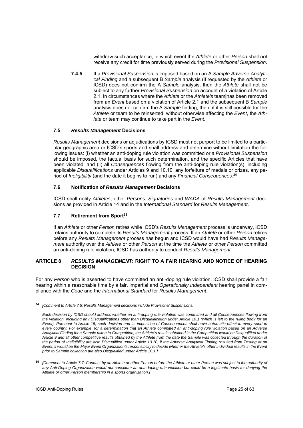withdraw such acceptance, in which event the *Athlete* or other *Person* shall not receive any credit for time previously served during the *Provisional Suspension*.

**7.4.5** If a *Provisional Suspension* is imposed based on an A *Sample Adverse Analytical Finding* and a subsequent B *Sample* analysis (if requested by the *Athlete* or ICSD) does not confirm the A *Sample* analysis, then the *Athlete* shall not be subject to any further *Provisional Suspension* on account of a violation of Article 2.1. In circumstances where the *Athlete* or the *Athlete's* team has been removed from an *Event* based on a violation of Article 2.1 and the subsequent B *Sample*  analysis does not confirm the A *Sample* finding, then, if it is still possible for the *Athlete* or team to be reinserted, without otherwise affecting the *Event*, the *Athlete* or team may continue to take part in the *Event*.

# **7.5** *Results Management* **Decisions**

*Results Management* decisions or adjudications by ICSD must not purport to be limited to a particular geographic area or ICSD's sports and shall address and determine without limitation the following issues: (i) whether an anti-doping rule violation was committed or a *Provisional Suspension* should be imposed, the factual basis for such determination, and the specific Articles that have been violated, and (ii) all *Consequences* flowing from the anti-doping rule violation(s), including applicable *Disqualifications* under Articles 9 and 10.10, any forfeiture of medals or prizes, any period of *Ineligibility* (and the date it begins to run) and any *Financial Consequences.***<sup>34</sup>**

# **7.6 Notification of** *Results Management* **Decisions**

ICSD shall notify *Athletes*, other *Persons*, *Signatories* and *WADA* of *Results Management* decisions as provided in Article 14 and in the *International Standard* for *Results Management*.

# **7.7 Retirement from Sport35**

If an *Athlete* or other *Person* retires while ICSD's *Results Management* process is underway, ICSD retains authority to complete its *Results Management* process. If an *Athlete* or other *Person* retires before any *Results Management* process has begun and ICSD would have had *Results Management* authority over the *Athlete* or other *Person* at the time the *Athlete* or other *Person* committed an anti-doping rule violation, ICSD has authority to conduct *Results Management*.

# **ARTICLE 8** *RESULTS MANAGEMENT***: RIGHT TO A FAIR HEARING AND NOTICE OF HEARING DECISION**

For any *Person* who is asserted to have committed an anti-doping rule violation, ICSD shall provide a fair hearing within a reasonable time by a fair, impartial and *Operationally Independent* hearing panel in compliance with the *Code* and the *International Standard* for *Results Management*.

<sup>-</sup>**<sup>34</sup>** *[Comment to Article 7.5: Results Management decisions include Provisional Suspensions.*

*Each decision by ICSD should address whether an anti-doping rule violation was committed and all Consequences flowing from the violation, including any Disqualifications other than Disqualification under Article 10.1 (which is left to the ruling body for an Event). Pursuant to Article 15, such decision and its imposition of Consequences shall have automatic effect in every sport in every country. For example, for a determination that an Athlete committed an anti-doping rule violation based on an Adverse Analytical Finding for a Sample taken In-Competition, the Athlete's results obtained in the Competition would be Disqualified under Article 9 and all other competitive results obtained by the Athlete from the date the Sample was collected through the duration of the period of Ineligibility are also Disqualified under Article 10.10; if the Adverse Analytical Finding resulted from Testing at an Event, it would be the Major Event Organization's responsibility to decide whether the Athlete's other individual results in the Event prior to Sample collection are also Disqualified under Article 10.1.]* 

**<sup>35</sup>** *[Comment to Article 7.7: Conduct by an Athlete or other Person before the Athlete or other Person was subject to the authority of any Anti-Doping Organization would not constitute an anti-doping rule violation but could be a legitimate basis for denying the Athlete or other Person membership in a sports organization.]*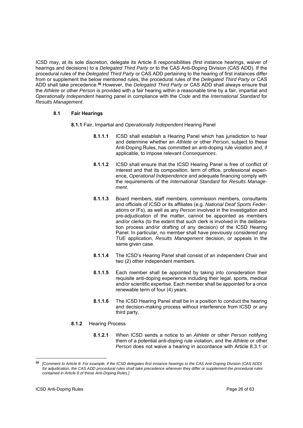ICSD may, at its sole discretion, delegate its Article 8 responsibilities (first instance hearings, waiver of hearings and decisions) to a *Delegated Third Party* or to the CAS Anti-Doping Division (CAS ADD). If the procedural rules of the *Delegated Third Party* or CAS ADD pertaining to the hearing of first instances differ from or supplement the below mentioned rules, the procedural rules of the *Delegated Third Party* or CAS ADD shall take precedence.**<sup>36</sup>** However, the *Delegated Third Party* or CAS ADD shall always ensure that the *Athlete* or other *Person* is provided with a fair hearing within a reasonable time by a fair, impartial and *Operationally Independent* hearing panel in compliance with the *Code* and the *International Standard* for *Results Management*.

# **8.1 Fair Hearings**

- **8.1.1** Fair, Impartial and *Operationally Independent* Hearing Panel
	- **8.1.1.1** ICSD shall establish a Hearing Panel which has jurisdiction to hear and determine whether an *Athlete* or other *Person*, subject to these Anti-Doping Rules, has committed an anti-doping rule violation and, if applicable, to impose relevant *Consequences*.
	- **8.1.1.2** ICSD shall ensure that the ICSD Hearing Panel is free of conflict of interest and that its composition, term of office, professional experience, *Operational Independence* and adequate financing comply with the requirements of the *International Standard* for *Results Management*.
	- **8.1.1.3** Board members, staff members, commission members, consultants and officials of ICSD or its affiliates (e.g. *National Deaf Sports Federations* or IFs), as well as any *Person* involved in the investigation and pre-adjudication of the matter, cannot be appointed as members and/or clerks (to the extent that such clerk is involved in the deliberation process and/or drafting of any decision) of the ICSD Hearing Panel. In particular, no member shall have previously considered any *TUE* application, *Results Management* decision, or appeals in the same given case.
	- **8.1.1.4** The ICSD's Hearing Panel shall consist of an independent Chair and two (2) other independent members.
	- **8.1.1.5** Each member shall be appointed by taking into consideration their requisite anti-doping experience including their legal, sports, medical and/or scientific expertise. Each member shall be appointed for a once renewable term of four (4) years.
	- **8.1.1.6** The ICSD Hearing Panel shall be in a position to conduct the hearing and decision-making process without interference from ICSD or any third party.
- **8.1.2** Hearing Process
	- **8.1.2.1** When ICSD sends a notice to an *Athlete* or other *Person* notifying them of a potential anti-doping rule violation, and the *Athlete* or other *Person* does not waive a hearing in accordance with Article 8.3.1 or

**<sup>36</sup>** *[Comment to Article 8: For example, if the ICSD delegates first instance hearings to the CAS Anti-Doping Division (CAS ADD) for adjudication, the CAS ADD procedural rules shall take precedence wherever they differ or supplement the procedural rules contained in Article 8 of these Anti-Doping Rules.]*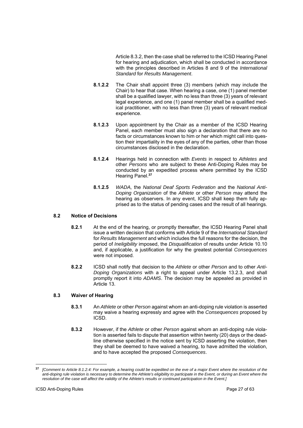Article 8.3.2, then the case shall be referred to the ICSD Hearing Panel for hearing and adjudication, which shall be conducted in accordance with the principles described in Articles 8 and 9 of the *International Standard* for *Results Management*.

- **8.1.2.2** The Chair shall appoint three (3) members (which may include the Chair) to hear that case. When hearing a case, one (1) panel member shall be a qualified lawyer, with no less than three (3) years of relevant legal experience, and one (1) panel member shall be a qualified medical practitioner, with no less than three (3) years of relevant medical experience.
- **8.1.2.3** Upon appointment by the Chair as a member of the ICSD Hearing Panel, each member must also sign a declaration that there are no facts or circumstances known to him or her which might call into question their impartiality in the eyes of any of the parties, other than those circumstances disclosed in the declaration.
- **8.1.2.4** Hearings held in connection with *Events* in respect to *Athletes* and other *Persons* who are subject to these Anti-Doping Rules may be conducted by an expedited process where permitted by the ICSD Hearing Panel.**<sup>37</sup>**
- **8.1.2.5** *WADA,* the *National Deaf Sports Federation* and the *National Anti-Doping Organization* of the *Athlete* or other *Person* may attend the hearing as observers. In any event, ICSD shall keep them fully apprised as to the status of pending cases and the result of all hearings.

# **8.2 Notice of Decisions**

- **8.2.1** At the end of the hearing, or promptly thereafter, the ICSD Hearing Panel shall issue a written decision that conforms with Article 9 of the *International Standard*  for *Results Management* and which includes the full reasons for the decision, the period of *Ineligibility* imposed, the *Disqualification* of results under Article 10.10 and, if applicable, a justification for why the greatest potential *Consequences* were not imposed.
- **8.2.2** ICSD shall notify that decision to the *Athlete* or other *Person* and to other *Anti-Doping Organizations* with a right to appeal under Article 13.2.3, and shall promptly report it into *ADAMS*. The decision may be appealed as provided in Article 13.

# **8.3 Waiver of Hearing**

- **8.3.1** An *Athlete* or other *Person* against whom an anti-doping rule violation is asserted may waive a hearing expressly and agree with the *Consequences* proposed by ICSD.
- **8.3.2** However, if the *Athlete* or other *Person* against whom an anti-doping rule violation is asserted fails to dispute that assertion within twenty (20) days or the deadline otherwise specified in the notice sent by ICSD asserting the violation, then they shall be deemed to have waived a hearing, to have admitted the violation, and to have accepted the proposed *Consequences*.

**<sup>37</sup>** *[Comment to Article 8.1.2.4: For example, a hearing could be expedited on the eve of a major Event where the resolution of the*  anti-doping rule violation is necessary to determine the Athlete's eligibility to participate in the Event, or during an Event where the *resolution of the case will affect the validity of the Athlete's results or continued participation in the Event.]*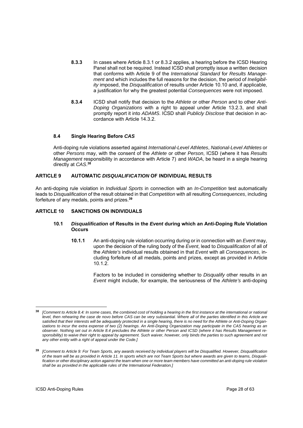- **8.3.3** In cases where Article 8.3.1 or 8.3.2 applies, a hearing before the ICSD Hearing Panel shall not be required. Instead ICSD shall promptly issue a written decision that conforms with Article 9 of the *International Standard* for *Results Management* and which includes the full reasons for the decision, the period of *Ineligibility* imposed, the *Disqualification* of results under Article 10.10 and, if applicable, a justification for why the greatest potential *Consequences* were not imposed.
- **8.3.4** ICSD shall notify that decision to the *Athlete* or other *Person* and to other *Anti-Doping Organizations* with a right to appeal under Article 13.2.3, and shall promptly report it into *ADAMS*. ICSD shall *Publicly Disclose* that decision in accordance with Article 14.3.2.

# **8.4 Single Hearing Before** *CAS*

Anti-doping rule violations asserted against *International-Level Athletes*, *National-Level Athletes* or other *Persons* may, with the consent of the *Athlete* or other *Person*, ICSD (where it has *Results Management* responsibility in accordance with Article 7) and *WADA*, be heard in a single hearing directly at *CAS*. **38**

# **ARTICLE 9 AUTOMATIC** *DISQUALIFICATION* **OF INDIVIDUAL RESULTS**

An anti-doping rule violation in *Individual Sports* in connection with an *In-Competition* test automatically leads to *Disqualification* of the result obtained in that *Competition* with all resulting *Consequences*, including forfeiture of any medals, points and prizes.**<sup>39</sup>**

# **ARTICLE 10 SANCTIONS ON INDIVIDUALS**

## **10.1** *Disqualification* **of Results in the** *Event* **during which an Anti-Doping Rule Violation Occurs**

**10.1.1** An anti-doping rule violation occurring during or in connection with an *Event* may, upon the decision of the ruling body of the *Event*, lead to *Disqualification* of all of the *Athlete's* individual results obtained in that *Event* with all *Consequences*, including forfeiture of all medals, points and prizes, except as provided in Article 10.1.2.

> Factors to be included in considering whether to *Disqualify* other results in an *Event* might include, for example, the seriousness of the *Athlete's* anti-doping

<sup>38</sup> **<sup>38</sup>***[Comment to Article 8.4: In some cases, the combined cost of holding a hearing in the first instance at the international or national level, then rehearing the case de novo before CAS can be very substantial. Where all of the parties identified in this Article are satisfied that their interests will be adequately protected in a single hearing, there is no need for the Athlete or Anti-Doping Organizations to incur the extra expense of two (2) hearings. An Anti-Doping Organization may participate in the CAS hearing as an observer. Nothing set out in Article 8.4 precludes the Athlete or other Person and ICSD (where it has Results Management responsibility) to waive their right to appeal by agreement. Such waiver, however, only binds the parties to such agreement and not any other entity with a right of appeal under the Code.]* 

**<sup>39</sup>** *[Comment to Article 9: For Team Sports, any awards received by individual players will be Disqualified. However, Disqualification of the team will be as provided in Article 11. In sports which are not Team Sports but where awards are given to teams, Disqualification or other disciplinary action against the team when one or more team members have committed an anti-doping rule violation shall be as provided in the applicable rules of the International Federation.]*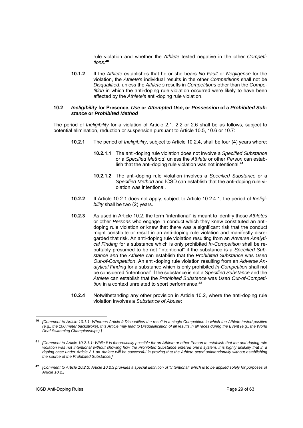rule violation and whether the *Athlete* tested negative in the other *Competitions*. **40**

**10.1.2** If the *Athlete* establishes that he or she bears *No Fault* or *Negligence* for the violation, the *Athlete's* individual results in the other *Competitions* shall not be *Disqualified*, unless the *Athlete's* results in *Competitions* other than the *Competition* in which the anti-doping rule violation occurred were likely to have been affected by the *Athlete's* anti-doping rule violation.

#### **10.2** *Ineligibility* **for Presence,** *Use* **or** *Attempted Use***, or** *Possession* **of a** *Prohibited Substance* **or** *Prohibited Method*

The period of *Ineligibility* for a violation of Article 2.1, 2.2 or 2.6 shall be as follows, subject to potential elimination, reduction or suspension pursuant to Article 10.5, 10.6 or 10.7:

- **10.2.1** The period of *Ineligibility*, subject to Article 10.2.4, shall be four (4) years where:
	- **10.2.1.1** The anti-doping rule violation does not involve a *Specified Substance*  or a *Specified Method*, unless the *Athlete* or other *Person* can establish that the anti-doping rule violation was not intentional.**<sup>41</sup>**
	- **10.2.1.2** The anti-doping rule violation involves a *Specified Substance* or a *Specified Method* and ICSD can establish that the anti-doping rule violation was intentional.
- **10.2.2** If Article 10.2.1 does not apply, subject to Article 10.2.4.1, the period of *Ineligibility* shall be two (2) years.
- **10.2.3** As used in Article 10.2, the term "intentional" is meant to identify those *Athletes* or other *Persons* who engage in conduct which they knew constituted an antidoping rule violation or knew that there was a significant risk that the conduct might constitute or result in an anti-doping rule violation and manifestly disregarded that risk. An anti-doping rule violation resulting from an *Adverse Analytical Finding* for a substance which is only prohibited *In-Competition* shall be rebuttably presumed to be not "intentional" if the substance is a *Specified Substance and* the *Athlete* can establish that the *Prohibited Substance* was *Used Out-of-Competition*. An anti-doping rule violation resulting from an *Adverse Analytical Finding* for a substance which is only prohibited *In-Competition* shall not be considered "intentional" if the substance is not a *Specified Substance* and the *Athlete* can establish that the *Prohibited Substance* was *Used Out-of-Competition* in a context unrelated to sport performance.**<sup>42</sup>**
- **10.2.4** Notwithstanding any other provision in Article 10.2, where the anti-doping rule violation involves a *Substance of Abuse*:

 $\overline{a}$ 

**<sup>40</sup>** *[Comment to Article 10.1.1: Whereas Article 9 Disqualifies the result in a single Competition in which the Athlete tested positive (e.g., the 100 meter backstroke), this Article may lead to Disqualification of all results in all races during the Event (e.g., the World Deaf Swimming Championships).]* 

**<sup>41</sup>** *[Comment to Article 10.2.1.1: While it is theoretically possible for an Athlete or other Person to establish that the anti-doping rule violation was not intentional without showing how the Prohibited Substance entered one's system, it is highly unlikely that in a doping case under Article 2.1 an Athlete will be successful in proving that the Athlete acted unintentionally without establishing the source of the Prohibited Substance.]*

**<sup>42</sup>** *[Comment to Article 10.2.3: Article 10.2.3 provides a special definition of "intentional" which is to be applied solely for purposes of Article 10.2.]*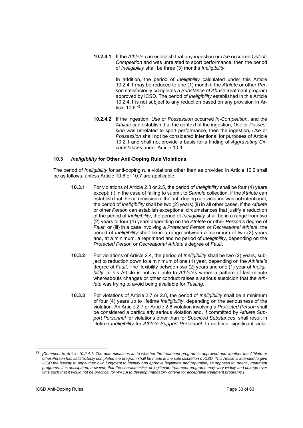**10.2.4.1** If the *Athlete* can establish that any ingestion or *Use* occurred *Out-of-Competition* and was unrelated to sport performance, then the period of *Ineligibility* shall be three (3) months *Ineligibility*.

> In addition, the period of *Ineligibility* calculated under this Article 10.2.4.1 may be reduced to one (1) month if the *Athlete* or other *Person* satisfactorily completes a *Substance of Abuse* treatment program approved by ICSD. The period of *Ineligibility* established in this Article 10.2.4.1 is not subject to any reduction based on any provision in Article 10.6.**<sup>43</sup>**

**10.2.4.2** If the ingestion, *Use* or *Possession* occurred *In-Competition*, and the *Athlete* can establish that the context of the ingestion, *Use* or *Possession* was unrelated to sport performance, then the ingestion, *Use* or *Possession* shall not be considered intentional for purposes of Article 10.2.1 and shall not provide a basis for a finding of *Aggravating Circumstances* under Article 10.4.

# **10.3** *Ineligibility* **for Other Anti-Doping Rule Violations**

The period of *Ineligibility* for anti-doping rule violations other than as provided in Article 10.2 shall be as follows, unless Article 10.6 or 10.7 are applicable:

- **10.3.1** For violations of Article 2.3 or 2.5, the period of *Ineligibility* shall be four (4) years except: (i) in the case of failing to submit to *Sample* collection, if the *Athlete* can establish that the commission of the anti-doping rule violation was not intentional, the period of *Ineligibility* shall be two (2) years; (ii) in all other cases, if the *Athlete* or other *Person* can establish exceptional circumstances that justify a reduction of the period of *Ineligibility*, the period of *Ineligibility* shall be in a range from two (2) years to four (4) years depending on the *Athlete* or other *Person*'s degree of *Fault*; or (iii) in a case involving a *Protected Person* or *Recreational Athlete*, the period of *Ineligibility* shall be in a range between a maximum of two (2) years and, at a minimum, a reprimand and no period of *Ineligibility*, depending on the *Protected Person* or *Recreational Athlete*'s degree of *Fault*.
- **10.3.2** For violations of Article 2.4, the period of *Ineligibility* shall be two (2) years, subject to reduction down to a minimum of one (1) year, depending on the *Athlete's* degree of *Fault*. The flexibility between two (2) years and one (1) year of *Ineligibility* in this Article is not available to *Athletes* where a pattern of last-minute whereabouts changes or other conduct raises a serious suspicion that the *Athlete* was trying to avoid being available for *Testing*.
- **10.3.3** For violations of Article 2.7 or 2.8, the period of *Ineligibility* shall be a minimum of four (4) years up to lifetime *Ineligibility*, depending on the seriousness of the violation. An Article 2.7 or Article 2.8 violation involving a *Protected Person* shall be considered a particularly serious violation and, if committed by *Athlete Support Personnel* for violations other than for *Specified Substances*, shall result in lifetime *Ineligibility* for *Athlete Support Personnel*. In addition, significant viola-

 $43$ **<sup>43</sup>** *[Comment to Article 10.2.4.1: The determinations as to whether the treatment program is approved and whether the Athlete or other Person has satisfactorily completed the program shall be made in the sole discretion o ICSD. This Article is intended to give ICSD the leeway to apply their own judgment to identify and approve legitimate and reputable, as opposed to "sham", treatment programs. It is anticipated, however, that the characteristics of legitimate treatment programs may vary widely and change over time such that it would not be practical for WADA to develop mandatory criteria for acceptable treatment programs.]*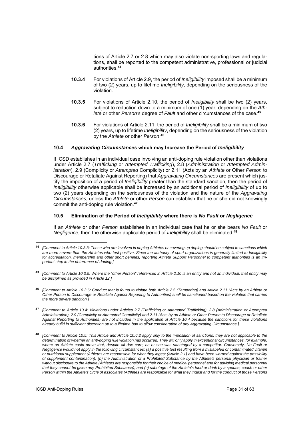tions of Article 2.7 or 2.8 which may also violate non-sporting laws and regulations, shall be reported to the competent administrative, professional or judicial authorities.**<sup>44</sup>**

- **10.3.4** For violations of Article 2.9, the period of *Ineligibility* imposed shall be a minimum of two (2) years, up to lifetime *Ineligibility*, depending on the seriousness of the violation.
- **10.3.5** For violations of Article 2.10, the period of *Ineligibility* shall be two (2) years, subject to reduction down to a minimum of one (1) year, depending on the *Athlete* or other *Person's* degree of *Fault* and other circumstances of the case.**<sup>45</sup>**
- **10.3.6** For violations of Article 2.11, the period of *Ineligibility* shall be a minimum of two (2) years, up to lifetime *Ineligibility*, depending on the seriousness of the violation by the *Athlete* or other *Person*. **46**

# **10.4** *Aggravating Circumstances* **which may Increase the Period of** *Ineligibility*

If ICSD establishes in an individual case involving an anti-doping rule violation other than violations under Article 2.7 (*Trafficking* or *Attempted Trafficking*), 2.8 (*Administration* or *Attempted Administration*), 2.9 (Complicity or *Attempted* Complicity) or 2.11 (Acts by an *Athlete* or Other *Person* to Discourage or Retaliate Against Reporting) that *Aggravating Circumstances* are present which justify the imposition of a period of *Ineligibility* greater than the standard sanction, then the period of *Ineligibility* otherwise applicable shall be increased by an additional period of *Ineligibility* of up to two (2) years depending on the seriousness of the violation and the nature of the *Aggravating Circumstances*, unless the *Athlete* or other *Person* can establish that he or she did not knowingly commit the anti-doping rule violation.**<sup>47</sup>**

## **10.5 Elimination of the Period of** *Ineligibility* **where there is** *No Fault* **or** *Negligence*

If an *Athlete* or other *Person* establishes in an individual case that he or she bears *No Fault* or *Negligence*, then the otherwise applicable period of *Ineligibility* shall be eliminated.**<sup>48</sup>**

 $\overline{a}$ 

**<sup>44</sup>** *[Comment to Article 10.3.3: Those who are involved in doping Athletes or covering up doping should be subject to sanctions which are more severe than the Athletes who test positive. Since the authority of sport organizations is generally limited to Ineligibility for accreditation, membership and other sport benefits, reporting Athlete Support Personnel to competent authorities is an important step in the deterrence of doping.]* 

**<sup>45</sup>** *[Comment to Article 10.3.5: Where the "other Person" referenced in Article 2.10 is an entity and not an individual, that entity may be disciplined as provided in Article 12.]* 

**<sup>46</sup>***[Comment to Article 10.3.6: Conduct that is found to violate both Article 2.5 (Tampering) and Article 2.11 (Acts by an Athlete or Other Person to Discourage or Retaliate Against Reporting to Authorities) shall be sanctioned based on the violation that carries the more severe sanction.]*

**<sup>47</sup>** *[Comment to Article 10.4: Violations under Articles 2.7 (Trafficking or Attempted Trafficking), 2.8 (Administration or Attempted Administration), 2.9 (Complicity or Attempted Complicity) and 2.11 (Acts by an Athlete or Other Person to Discourage or Retaliate Against Reporting to Authorities) are not included in the application of Article 10.4 because the sanctions for these violations already build in sufficient discretion up to a lifetime ban to allow consideration of any Aggravating Circumstance.]* 

**<sup>48</sup>** *[Comment to Article 10.5: This Article and Article 10.6.2 apply only to the imposition of sanctions; they are not applicable to the determination of whether an anti-doping rule violation has occurred. They will only apply in exceptional circumstances, for example, where an Athlete could prove that, despite all due care, he or she was sabotaged by a competitor. Conversely, No Fault or Negligence would not apply in the following circumstances: (a) a positive test resulting from a mislabeled or contaminated vitamin or nutritional supplement (Athletes are responsible for what they ingest (Article 2.1) and have been warned against the possibility of supplement contamination); (b) the Administration of a Prohibited Substance by the Athlete's personal physician or trainer*  without disclosure to the Athlete (Athletes are responsible for their choice of medical personnel and for advising medical personnel *that they cannot be given any Prohibited Substance); and (c) sabotage of the Athlete's food or drink by a spouse, coach or other Person within the Athlete's circle of associates (Athletes are responsible for what they ingest and for the conduct of those Persons*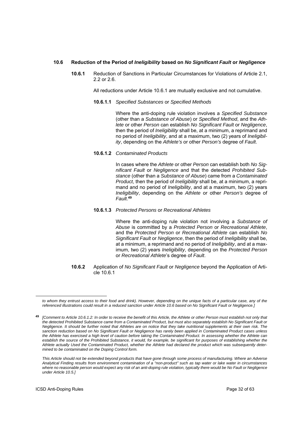#### **10.6 Reduction of the Period of** *Ineligibility* **based on** *No Significant Fault* **or** *Negligence*

**10.6.1** Reduction of Sanctions in Particular Circumstances for Violations of Article 2.1, 2.2 or 2.6.

All reductions under Article 10.6.1 are mutually exclusive and not cumulative.

**10.6.1.1** *Specified Substances* or *Specified Methods*

Where the anti-doping rule violation involves a *Specified Substance* (other than a *Substance of Abuse*) or *Specified Method*, and the *Athlete* or other *Person* can establish *No Significant Fault* or *Negligence*, then the period of *Ineligibility* shall be, at a minimum, a reprimand and no period of *Ineligibility*, and at a maximum, two (2) years of *Ineligibility*, depending on the *Athlete's* or other *Person's* degree of *Fault*.

**10.6.1.2** *Contaminated Products*

In cases where the *Athlete* or other *Person* can establish both *No Significant Fault* or *Negligence* and that the detected *Prohibited Substance* (other than a *Substance of Abuse*) came from a *Contaminated Product*, then the period of *Ineligibility* shall be, at a minimum, a reprimand and no period of *Ineligibility*, and at a maximum, two (2) years *Ineligibility*, depending on the *Athlete* or other *Person's* degree of *Fault*. **49**

**10.6.1.3** *Protected Persons* or *Recreational Athletes* 

Where the anti-doping rule violation not involving a *Substance of Abuse* is committed by a *Protected Person* or *Recreational Athlete*, and the *Protected Person* or *Recreational Athlete* can establish *No Significant Fault* or *Negligence*, then the period of *Ineligibility* shall be, at a minimum, a reprimand and no period of *Ineligibility*, and at a maximum, two (2) years *Ineligibility*, depending on the *Protected Person* or *Recreational Athlete*'s degree of *Fault*.

**10.6.2** Application of *No Significant Fault* or *Negligence* beyond the Application of Article 10.6.1

to whom they entrust access to their food and drink). However, depending on the unique facts of a particular case, any of the *referenced illustrations could result in a reduced sanction under Article 10.6 based on No Significant Fault or Negligence.]* 

**<sup>49</sup>** *[Comment to Article 10.6.1.2: In order to receive the benefit of this Article, the Athlete or other Person must establish not only that the detected Prohibited Substance came from a Contaminated Product, but must also separately establish No Significant Fault or Negligence. It should be further noted that Athletes are on notice that they take nutritional supplements at their own risk. The sanction reduction based on No Significant Fault or Negligence has rarely been applied in Contaminated Product cases unless the Athlete has exercised a high level of caution before taking the Contaminated Product. In assessing whether the Athlete can*  establish the source of the Prohibited Substance, it would, for example, be significant for purposes of establishing whether the *Athlete actually Used the Contaminated Product, whether the Athlete had declared the product which was subsequently determined to be contaminated on the Doping Control form.* 

*This Article should not be extended beyond products that have gone through some process of manufacturing. Where an Adverse Analytical Finding results from environment contamination of a "non-product" such as tap water or lake water in circumstances where no reasonable person would expect any risk of an anti-doping rule violation, typically there would be No Fault or Negligence under Article 10.5.]*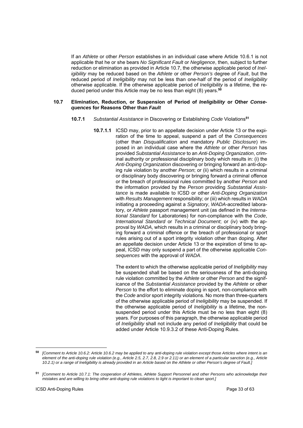If an *Athlete* or other *Person* establishes in an individual case where Article 10.6.1 is not applicable that he or she bears *No Significant Fault* or *Negligence*, then, subject to further reduction or elimination as provided in Article 10.7, the otherwise applicable period of *Ineligibility* may be reduced based on the *Athlete* or other *Person's* degree of *Fault*, but the reduced period of *Ineligibility* may not be less than one-half of the period of *Ineligibility* otherwise applicable. If the otherwise applicable period of *Ineligibility* is a lifetime, the reduced period under this Article may be no less than eight (8) years.**<sup>50</sup>**

#### **10.7 Elimination, Reduction, or Suspension of Period of** *Ineligibility* **or Other** *Consequences* **for Reasons Other than** *Fault*

- **10.7.1** *Substantial Assistance* in Discovering or Establishing *Code* Violations**<sup>51</sup>**
	- **10.7.1.1** ICSD may, prior to an appellate decision under Article 13 or the expiration of the time to appeal, suspend a part of the *Consequences* (other than *Disqualification* and mandatory *Public Disclosure*) imposed in an individual case where the *Athlete* or other *Person* has provided *Substantial Assistance* to an *Anti-Doping Organization*, criminal authority or professional disciplinary body which results in: (i) the *Anti-Doping Organization* discovering or bringing forward an anti-doping rule violation by another *Person*; or (ii) which results in a criminal or disciplinary body discovering or bringing forward a criminal offence or the breach of professional rules committed by another *Person* and the information provided by the *Person* providing *Substantial Assistance* is made available to ICSD or other *Anti-Doping Organization*  with *Results Management* responsibility; or (iii) which results in *WADA* initiating a proceeding against a *Signatory*, *WADA*-accredited laboratory, or *Athlete* passport management unit (as defined in the *International Standard* for Laboratories) for non-compliance with the *Code*, *International Standard* or *Technical Document*; or (iv) with the approval by *WADA*, which results in a criminal or disciplinary body bringing forward a criminal offence or the breach of professional or sport rules arising out of a sport integrity violation other than doping. After an appellate decision under Article 13 or the expiration of time to appeal, ICSD may only suspend a part of the otherwise applicable *Consequences* with the approval of *WADA*.

The extent to which the otherwise applicable period of *Ineligibility* may be suspended shall be based on the seriousness of the anti-doping rule violation committed by the *Athlete* or other *Person* and the significance of the *Substantial Assistance* provided by the *Athlete* or other *Person* to the effort to eliminate doping in sport, non-compliance with the *Code* and/or sport integrity violations. No more than three-quarters of the otherwise applicable period of *Ineligibility* may be suspended. If the otherwise applicable period of *Ineligibility* is a lifetime, the nonsuspended period under this Article must be no less than eight (8) years. For purposes of this paragraph, the otherwise applicable period of *Ineligibility* shall not include any period of *Ineligibility* that could be added under Article 10.9.3.2 of these Anti-Doping Rules.

**<sup>50</sup>** *[Comment to Article 10.6.2: Article 10.6.2 may be applied to any anti-doping rule violation except those Articles where intent is an element of the anti-doping rule violation (e.g., Article 2.5, 2.7, 2.8, 2.9 or 2.11) or an element of a particular sanction (e.g., Article 10.2.1) or a range of Ineligibility is already provided in an Article based on the Athlete or other Person's degree of Fault.]* 

**<sup>51</sup>** *[Comment to Article 10.7.1: The cooperation of Athletes, Athlete Support Personnel and other Persons who acknowledge their mistakes and are willing to bring other anti-doping rule violations to light is important to clean sport.]*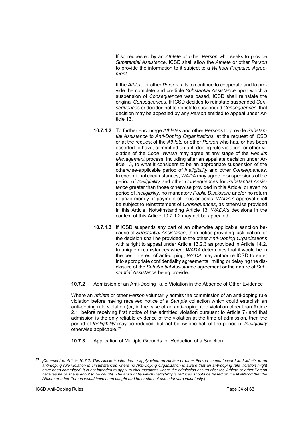If so requested by an *Athlete* or other *Person* who seeks to provide *Substantial Assistance*, ICSD shall allow the *Athlete* or other *Person* to provide the information to it subject to a *Without Prejudice Agreement*.

If the *Athlete* or other *Person* fails to continue to cooperate and to provide the complete and credible *Substantial Assistance* upon which a suspension of *Consequences* was based, ICSD shall reinstate the original *Consequences*. If ICSD decides to reinstate suspended *Consequences* or decides not to reinstate suspended *Consequences*, that decision may be appealed by any *Person* entitled to appeal under Article 13.

- **10.7.1.2** To further encourage *Athletes* and other *Persons* to provide *Substantial Assistance* to *Anti-Doping Organizations*, at the request of ICSD or at the request of the *Athlete* or other *Person* who has, or has been asserted to have, committed an anti-doping rule violation, or other violation of the *Code*, *WADA* may agree at any stage of the *Results Management* process, including after an appellate decision under Article 13, to what it considers to be an appropriate suspension of the otherwise-applicable period of *Ineligibility* and other *Consequences*. In exceptional circumstances, *WADA* may agree to suspensions of the period of *Ineligibility* and other *Consequences* for *Substantial Assistance* greater than those otherwise provided in this Article, or even no period of *Ineligibility*, no mandatory *Public Disclosure* and/or no return of prize money or payment of fines or costs. *WADA's* approval shall be subject to reinstatement of *Consequences*, as otherwise provided in this Article. Notwithstanding Article 13, *WADA's* decisions in the context of this Article 10.7.1.2 may not be appealed.
- **10.7.1.3** If ICSD suspends any part of an otherwise applicable sanction because of *Substantial Assistance*, then notice providing justification for the decision shall be provided to the other *Anti-Doping Organizations* with a right to appeal under Article 13.2.3 as provided in Article 14.2. In unique circumstances where *WADA* determines that it would be in the best interest of anti-doping, *WADA* may authorize ICSD to enter into appropriate confidentiality agreements limiting or delaying the disclosure of the *Substantial Assistance* agreement or the nature of *Substantial Assistance* being provided.
- **10.7.2** Admission of an Anti-Doping Rule Violation in the Absence of Other Evidence

Where an *Athlete* or other *Person* voluntarily admits the commission of an anti-doping rule violation before having received notice of a *Sample* collection which could establish an anti-doping rule violation (or, in the case of an anti-doping rule violation other than Article 2.1, before receiving first notice of the admitted violation pursuant to Article 7) and that admission is the only reliable evidence of the violation at the time of admission, then the period of *Ineligibility* may be reduced, but not below one-half of the period of *Ineligibility* otherwise applicable.**<sup>52</sup>**

**10.7.3** Application of Multiple Grounds for Reduction of a Sanction

 $\overline{a}$ 

**<sup>52</sup>** *[Comment to Article 10.7.2: This Article is intended to apply when an Athlete or other Person comes forward and admits to an anti-doping rule violation in circumstances where no Anti-Doping Organization is aware that an anti-doping rule violation might have been committed. It is not intended to apply to circumstances where the admission occurs after the Athlete or other Person*  believes he or she is about to be caught. The amount by which Ineligibility is reduced should be based on the likelihood that the *Athlete or other Person would have been caught had he or she not come forward voluntarily.]*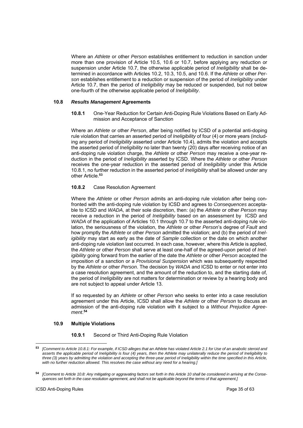Where an *Athlete* or other *Person* establishes entitlement to reduction in sanction under more than one provision of Article 10.5, 10.6 or 10.7, before applying any reduction or suspension under Article 10.7, the otherwise applicable period of *Ineligibility* shall be determined in accordance with Articles 10.2, 10.3, 10.5, and 10.6. If the *Athlete* or other *Person* establishes entitlement to a reduction or suspension of the period of *Ineligibility* under Article 10.7, then the period of *Ineligibility* may be reduced or suspended, but not below one-fourth of the otherwise applicable period of *Ineligibility*.

#### **10.8** *Results Management* **Agreements**

**10.8.1** One-Year Reduction for Certain Anti-Doping Rule Violations Based on Early Admission and Acceptance of Sanction

Where an *Athlete* or other *Person*, after being notified by ICSD of a potential anti-doping rule violation that carries an asserted period of *Ineligibility* of four (4) or more years (including any period of *Ineligibility* asserted under Article 10.4), admits the violation and accepts the asserted period of *Ineligibility* no later than twenty (20) days after receiving notice of an anti-doping rule violation charge, the *Athlete* or other *Person* may receive a one-year reduction in the period of *Ineligibility* asserted by ICSD. Where the *Athlete* or other *Person* receives the one-year reduction in the asserted period of *Ineligibility* under this Article 10.8.1, no further reduction in the asserted period of *Ineligibility* shall be allowed under any other Article.**<sup>53</sup>**

#### **10.8.2** Case Resolution Agreement

Where the *Athlete* or other *Person* admits an anti-doping rule violation after being confronted with the anti-doping rule violation by ICSD and agrees to *Consequences* acceptable to ICSD and *WADA*, at their sole discretion, then: (a) the *Athlete* or other *Person* may receive a reduction in the period of *Ineligibility* based on an assessment by ICSD and *WADA* of the application of Articles 10.1 through 10.7 to the asserted anti-doping rule violation, the seriousness of the violation, the *Athlete* or other *Person*'s degree of *Fault* and how promptly the *Athlete* or other *Person* admitted the violation; and (b) the period of *Ineligibility* may start as early as the date of *Sample* collection or the date on which another anti-doping rule violation last occurred. In each case, however, where this Article is applied, the *Athlete* or other *Person* shall serve at least one-half of the agreed-upon period of *Ineligibility* going forward from the earlier of the date the *Athlete* or other *Person* accepted the imposition of a sanction or a *Provisional Suspension* which was subsequently respected by the *Athlete* or other *Person*. The decision by *WADA* and ICSD to enter or not enter into a case resolution agreement, and the amount of the reduction to, and the starting date of, the period of *Ineligibility* are not matters for determination or review by a hearing body and are not subject to appeal under Article 13.

If so requested by an *Athlete* or other *Person* who seeks to enter into a case resolution agreement under this Article, ICSD shall allow the *Athlete* or other *Person* to discuss an admission of the anti-doping rule violation with it subject to a *Without Prejudice Agreement*. **54**

## **10.9 Multiple Violations**

**10.9.1** Second or Third Anti-Doping Rule Violation

**<sup>53</sup>** *[Comment to Article 10.8.1: For example, if ICSD alleges that an Athlete has violated Article 2.1 for Use of an anabolic steroid and asserts the applicable period of Ineligibility is four (4) years, then the Athlete may unilaterally reduce the period of Ineligibility to three (3) years by admitting the violation and accepting the three-year period of Ineligibility within the time specified in this Article, with no further reduction allowed. This resolves the case without any need for a hearing.]* 

**<sup>54</sup>** *[Comment to Article 10.8: Any mitigating or aggravating factors set forth in this Article 10 shall be considered in arriving at the Consequences set forth in the case resolution agreement, and shall not be applicable beyond the terms of that agreement.]*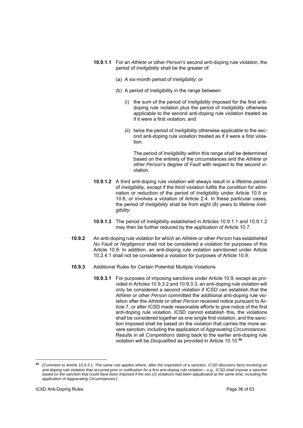- **10.9.1.1** For an *Athlete* or other *Person's* second anti-doping rule violation, the period of *Ineligibility* shall be the greater of:
	- (a) A six-month period of *Ineligibility*; or
	- (b) A period of Ineligibility in the range between:
		- (i) the sum of the period of *Ineligibility* imposed for the first antidoping rule violation plus the period of *Ineligibility* otherwise applicable to the second anti-doping rule violation treated as if it were a first violation, and
		- (ii) twice the period of *Ineligibility* otherwise applicable to the second anti-doping rule violation treated as if it were a first violation.

The period of *Ineligibility* within this range shall be determined based on the entirety of the circumstances and the *Athlete* or other *Person*'s degree of *Fault* with respect to the second violation.

- **10.9.1.2** A third anti-doping rule violation will always result in a lifetime period of *Ineligibility*, except if the third violation fulfils the condition for elimination or reduction of the period of *Ineligibility* under Article 10.5 or 10.6, or involves a violation of Article 2.4. In these particular cases, the period of *Ineligibility* shall be from eight (8) years to lifetime *Ineligibility*.
- **10.9.1.3** The period of *Ineligibility* established in Articles 10.9.1.1 and 10.9.1.2 may then be further reduced by the application of Article 10.7.
- **10.9.2** An anti-doping rule violation for which an *Athlete* or other *Person* has established *No Fault* or *Negligence* shall not be considered a violation for purposes of this Article 10.9. In addition, an anti-doping rule violation sanctioned under Article 10.2.4.1 shall not be considered a violation for purposes of Article 10.9.
- **10.9.3** Additional Rules for Certain Potential Multiple Violations
	- **10.9.3.1** For purposes of imposing sanctions under Article 10.9, except as provided in Articles 10.9.3.2 and 10.9.3.3, an anti-doping rule violation will only be considered a second violation if ICSD can establish that the *Athlete* or other *Person* committed the additional anti-doping rule violation after the *Athlete* or other *Person* received notice pursuant to Article 7, or after ICSD made reasonable efforts to give notice of the first anti-doping rule violation. ICSD cannot establish this, the violations shall be considered together as one single first violation, and the sanction imposed shall be based on the violation that carries the more severe sanction, including the application of *Aggravating Circumstances*. Results in all *Competitions* dating back to the earlier anti-doping rule violation will be *Disqualified* as provided in Article 10.10.**<sup>55</sup>**

 $\overline{a}$ 

**<sup>55</sup>** *[Comment to Article 10.9.3.1: The same rule applies where, after the imposition of a sanction, ICSD discovers facts involving an anti-doping rule violation that occurred prior to notification for a first anti-doping rule violation – e.g., ICSD shall impose a sanction based on the sanction that could have been imposed if the two (2) violations had been adjudicated at the same time, including the application of Aggravating Circumstances.]*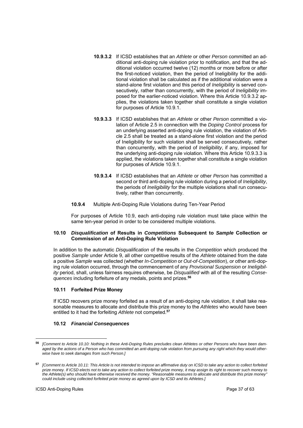- **10.9.3.2** If ICSD establishes that an *Athlete* or other *Person* committed an additional anti-doping rule violation prior to notification, and that the additional violation occurred twelve (12) months or more before or after the first-noticed violation, then the period of Ineligibility for the additional violation shall be calculated as if the additional violation were a stand-alone first violation and this period of *Ineligibility* is served consecutively, rather than concurrently, with the period of *Ineligibility* imposed for the earlier-noticed violation. Where this Article 10.9.3.2 applies, the violations taken together shall constitute a single violation for purposes of Article 10.9.1.
- **10.9.3.3** If ICSD establishes that an *Athlete* or other *Person* committed a violation of Article 2.5 in connection with the *Doping Control* process for an underlying asserted anti-doping rule violation, the violation of Article 2.5 shall be treated as a stand-alone first violation and the period of Ineligibility for such violation shall be served consecutively, rather than concurrently, with the period of *Ineligibility*, if any, imposed for the underlying anti-doping rule violation. Where this Article 10.9.3.3 is applied, the violations taken together shall constitute a single violation for purposes of Article 10.9.1.
- **10.9.3.4** If ICSD establishes that an *Athlete* or other *Person* has committed a second or third anti-doping rule violation during a period of *Ineligibility*, the periods of *Ineligibility* for the multiple violations shall run consecutively, rather than concurrently.
- **10.9.4** Multiple Anti-Doping Rule Violations during Ten-Year Period

For purposes of Article 10.9, each anti-doping rule violation must take place within the same ten-year period in order to be considered multiple violations.

## **10.10** *Disqualification* **of Results in** *Competitions* **Subsequent to** *Sample* **Collection or Commission of an Anti-Doping Rule Violation**

In addition to the automatic *Disqualification* of the results in the *Competition* which produced the positive *Sample* under Article 9, all other competitive results of the *Athlete* obtained from the date a positive *Sample* was collected (whether *In-Competition* or *Out-of-Competition*), or other anti-doping rule violation occurred, through the commencement of any *Provisional Suspension* or *Ineligibility* period, shall, unless fairness requires otherwise, be *Disqualified* with all of the resulting *Consequences* including forfeiture of any medals, points and prizes.**<sup>56</sup>**

# **10.11 Forfeited Prize Money**

If ICSD recovers prize money forfeited as a result of an anti-doping rule violation, it shall take reasonable measures to allocate and distribute this prize money to the *Athletes* who would have been entitled to it had the forfeiting *Athlete* not competed.**<sup>57</sup>**

## **10.12** *Financial Consequences*

**<sup>56</sup>***[Comment to Article 10.10: Nothing in these Anti-Doping Rules precludes clean Athletes or other Persons who have been damaged by the actions of a Person who has committed an anti-doping rule violation from pursuing any right which they would otherwise have to seek damages from such Person.]* 

**<sup>57</sup>** *[Comment to Article 10.11: This Article is not intended to impose an affirmative duty on ICSD to take any action to collect forfeited prize money. If ICSD elects not to take any action to collect forfeited prize money, it may assign its right to recover such money to the Athlete(s) who should have otherwise received the money. "Reasonable measures to allocate and distribute this prize money" could include using collected forfeited prize money as agreed upon by ICSD and its Athletes.]*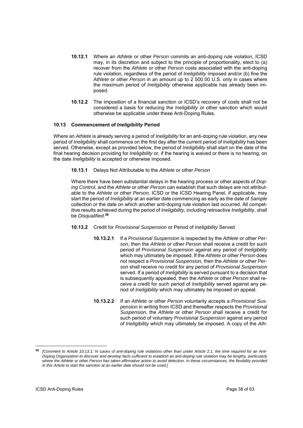- **10.12.1** Where an *Athlete* or other *Person* commits an anti-doping rule violation, ICSD may, in its discretion and subject to the principle of proportionality, elect to (a) recover from the *Athlete* or other *Person* costs associated with the anti-doping rule violation, regardless of the period of *Ineligibility* imposed and/or (b) fine the *Athlete* or other *Person* in an amount up to 2 500.00 U.S. only in cases where the maximum period of *Ineligibility* otherwise applicable has already been imposed.
- **10.12.2** The imposition of a financial sanction or ICSD's recovery of costs shall not be considered a basis for reducing the *Ineligibility* or other sanction which would otherwise be applicable under these Anti-Doping Rules.

## **10.13 Commencement of** *Ineligibility* **Period**

Where an *Athlete* is already serving a period of *Ineligibility* for an anti-doping rule violation, any new period of *Ineligibility* shall commence on the first day after the current period of *Ineligibility* has been served. Otherwise, except as provided below, the period of *Ineligibility* shall start on the date of the final hearing decision providing for *Ineligibility* or, if the hearing is waived or there is no hearing, on the date *Ineligibility* is accepted or otherwise imposed.

#### **10.13.1** Delays Not Attributable to the *Athlete* or other *Person*

Where there have been substantial delays in the hearing process or other aspects of *Doping Control*, and the *Athlete* or other *Person* can establish that such delays are not attributable to the *Athlete* or other *Person*, ICSD or the ICSD Hearing Panel, if applicable, may start the period of *Ineligibility* at an earlier date commencing as early as the date of *Sample*  collection or the date on which another anti-doping rule violation last occurred. All competitive results achieved during the period of *Ineligibility*, including retroactive *Ineligibility*, shall be *Disqualified*. **58**

## **10.13.2** Credit for *Provisional Suspension* or Period of *Ineligibility* Served

- **10.13.2.1** If a *Provisional Suspension* is respected by the *Athlete* or other *Person*, then the *Athlete* or other *Person* shall receive a credit for such period of *Provisional Suspension* against any period of *Ineligibility* which may ultimately be imposed. If the *Athlete* or other *Person* does not respect a *Provisional Suspension*, then the *Athlete* or other *Person* shall receive no credit for any period of *Provisional Suspension* served. If a period of *Ineligibility* is served pursuant to a decision that is subsequently appealed, then the *Athlete* or other *Person* shall receive a credit for such period of *Ineligibility* served against any period of *Ineligibility* which may ultimately be imposed on appeal.
- **10.13.2.2** If an *Athlete* or other *Person* voluntarily accepts a *Provisional Suspension* in writing from ICSD and thereafter respects the *Provisional Suspension*, the *Athlete* or other *Person* shall receive a credit for such period of voluntary *Provisional Suspension* against any period of *Ineligibility* which may ultimately be imposed. A copy of the *Ath-*

**<sup>58</sup>** *[Comment to Article 10.13.1: In cases of anti-doping rule violations other than under Article 2.1, the time required for an Anti-Doping Organization to discover and develop facts sufficient to establish an anti-doping rule violation may be lengthy, particularly where the Athlete or other Person has taken affirmative action to avoid detection. In these circumstances, the flexibility provided in this Article to start the sanction at an earlier date should not be used.]*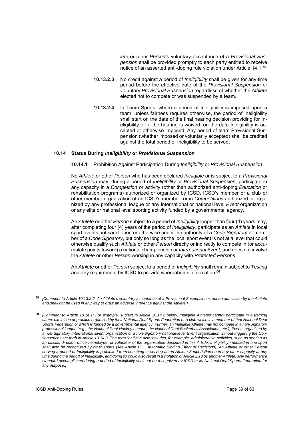*lete* or other *Person's* voluntary acceptance of a *Provisional Suspension* shall be provided promptly to each party entitled to receive notice of an asserted anti-doping rule violation under Article 14.1.**<sup>59</sup>**

- **10.13.2.3** No credit against a period of *Ineligibility* shall be given for any time period before the effective date of the *Provisional Suspension* or voluntary *Provisional Suspension* regardless of whether the *Athlete* elected not to compete or was suspended by a team.
- **10.13.2.4** In Team Sports, where a period of Ineligibility is imposed upon a team, unless fairness requires otherwise, the period of Ineligibility shall start on the date of the final hearing decision providing for Ineligibility or, if the hearing is waived, on the date Ineligibility is accepted or otherwise imposed. Any period of team Provisional Suspension (whether imposed or voluntarily accepted) shall be credited against the total period of Ineligibility to be served.

#### **10.14 Status During** *Ineligibility* **or** *Provisional Suspension*

#### **10.14.1** Prohibition Against Participation During *Ineligibility* or *Provisional Suspension*

No *Athlete* or other *Person* who has been declared *Ineligible* or is subject to a *Provisional Suspension* may, during a period of *Ineligibility* or *Provisional Suspension*, participate in any capacity in a *Competition* or activity (other than authorized anti-doping *Education* or rehabilitation programs) authorized or organized by ICSD, ICSD's member or a club or other member organization of an ICSD's member, or in *Competitions* authorized or organized by any professional league or any international or national level *Event* organization or any elite or national level sporting activity funded by a governmental agency.

An *Athlete* or other *Person* subject to a period of *Ineligibility* longer than four (4) years may, after completing four (4) years of the period of *Ineligibility*, participate as an *Athlete* in local sport events not sanctioned or otherwise under the authority of a *Code Signatory* or member of a *Code Signatory*, but only so long as the local sport event is not at a level that could otherwise qualify such *Athlete* or other *Person* directly or indirectly to compete in (or accumulate points toward) a national championship or *International Event*, and does not involve the *Athlete* or other *Person* working in any capacity with *Protected Persons*.

An *Athlete* or other *Person* subject to a period of *Ineligibility* shall remain subject to *Testing* and any requirement by ICSD to provide whereabouts information.**<sup>60</sup>**

**<sup>59</sup>** *[Comment to Article 10.13.2.2: An Athlete's voluntary acceptance of a Provisional Suspension is not an admission by the Athlete and shall not be used in any way to draw an adverse inference against the Athlete.]* 

**<sup>60</sup>** *[Comment to Article 10.14.1: For example, subject to Article 10.14.2 below, Ineligible Athletes cannot participate in a training camp, exhibition or practice organized by their National Deaf Sports Federation or a club which is a member of that National Deaf Sports Federation or which is funded by a governmental agency. Further, an Ineligible Athlete may not compete in a non-Signatory professional league (e.g., the National Deaf Hockey League, the National Deaf Basketball Association, etc.), Events organized by a non-Signatory International Event organization or a non-Signatory national-level Event organization without triggering the Consequences set forth in Article 10.14.3. The term "activity" also includes, for example, administrative activities, such as serving as an official, director, officer, employee, or volunteer of the organization described in this Article. Ineligibility imposed in one sport shall also be recognized by other sports (see Article 15.1, Automatic Binding Effect of Decisions). An Athlete or other Person serving a period of Ineligibility is prohibited from coaching or serving as an Athlete Support Person in any other capacity at any time during the period of Ineligibility, and doing so could also result in a violation of Article 2.10 by another Athlete. Any performance standard accomplished during a period of Ineligibility shall not be recognized by ICSD or its National Deaf Sports Federation for any purpose.]*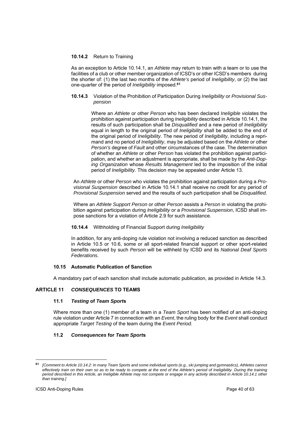# **10.14.2** Return to Training

As an exception to Article 10.14.1, an *Athlete* may return to train with a team or to use the facilities of a club or other member organization of ICSD's or other ICSD's members during the shorter of: (1) the last two months of the *Athlete's* period of *Ineligibility*, or (2) the last one-quarter of the period of *Ineligibility* imposed.**<sup>61</sup>**

**10.14.3** Violation of the Prohibition of Participation During *Ineligibility* or *Provisional Suspension*

> Where an *Athlete* or other *Person* who has been declared *Ineligible* violates the prohibition against participation during *Ineligibility* described in Article 10.14.1, the results of such participation shall be *Disqualified* and a new period of *Ineligibility*  equal in length to the original period of *Ineligibility* shall be added to the end of the original period of *Ineligibility*. The new period of *Ineligibility*, including a reprimand and no period of *Ineligibility*, may be adjusted based on the *Athlete* or other *Person's* degree of *Fault* and other circumstances of the case. The determination of whether an *Athlete* or other *Person* has violated the prohibition against participation, and whether an adjustment is appropriate, shall be made by the *Anti-Doping Organization* whose *Results Management* led to the imposition of the initial period of *Ineligibility*. This decision may be appealed under Article 13.

An *Athlete* or other *Person* who violates the prohibition against participation during a *Provisional Suspension* described in Article 10.14.1 shall receive no credit for any period of *Provisional Suspension* served and the results of such participation shall be *Disqualified*.

Where an *Athlete Support Person* or other *Person* assists a *Person* in violating the prohibition against participation during *Ineligibility* or a *Provisional Suspension*, ICSD shall impose sanctions for a violation of Article 2.9 for such assistance.

## **10.14.4** Withholding of Financial Support during *Ineligibility*

In addition, for any anti-doping rule violation not involving a reduced sanction as described in Article 10.5 or 10.6, some or all sport-related financial support or other sport-related benefits received by such *Person* will be withheld by ICSD and its *National Deaf Sports Federations*.

## **10.15 Automatic Publication of Sanction**

A mandatory part of each sanction shall include automatic publication, as provided in Article 14.3.

# **ARTICLE 11** *CONSEQUENCES* **TO TEAMS**

## **11.1** *Testing* **of** *Team Sport***s**

Where more than one (1) member of a team in a *Team Sport* has been notified of an anti-doping rule violation under Article 7 in connection with an *Event*, the ruling body for the *Event* shall conduct appropriate *Target Testing* of the team during the *Event Period*.

# **11.2** *Consequences* **for** *Team Sport***s**

 $\overline{a}$ 

**<sup>61</sup>** *[Comment to Article 10.14.2: In many Team Sports and some individual sports (e.g., ski jumping and gymnastics), Athletes cannot effectively train on their own so as to be ready to compete at the end of the Athlete's period of Ineligibility. During the training period described in this Article, an Ineligible Athlete may not compete or engage in any activity described in Article 10.14.1 other than training.]*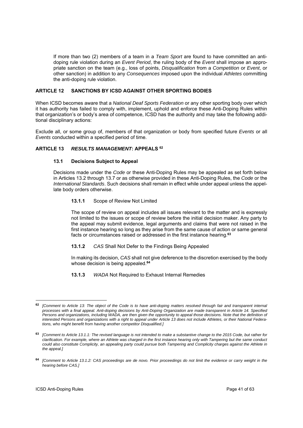If more than two (2) members of a team in a *Team Sport* are found to have committed an antidoping rule violation during an *Event Period*, the ruling body of the *Event* shall impose an appropriate sanction on the team (e.g., loss of points, *Disqualification* from a *Competition* or *Event*, or other sanction) in addition to any *Consequences* imposed upon the individual *Athletes* committing the anti-doping rule violation.

# **ARTICLE 12 SANCTIONS BY ICSD AGAINST OTHER SPORTING BODIES**

When ICSD becomes aware that a *National Deaf Sports Federation* or any other sporting body over which it has authority has failed to comply with, implement, uphold and enforce these Anti-Doping Rules within that organization's or body's area of competence, ICSD has the authority and may take the following additional disciplinary actions:

Exclude all, or some group of, members of that organization or body from specified future *Events* or all *Events* conducted within a specified period of time.

# **ARTICLE 13** *RESULTS MANAGEMENT***: APPEALS 62**

## **13.1 Decisions Subject to Appeal**

Decisions made under the *Code* or these Anti-Doping Rules may be appealed as set forth below in Articles 13.2 through 13.7 or as otherwise provided in these Anti-Doping Rules, the *Code* or the *International Standards*. Such decisions shall remain in effect while under appeal unless the appellate body orders otherwise.

## **13.1.1** Scope of Review Not Limited

The scope of review on appeal includes all issues relevant to the matter and is expressly not limited to the issues or scope of review before the initial decision maker. Any party to the appeal may submit evidence, legal arguments and claims that were not raised in the first instance hearing so long as they arise from the same cause of action or same general facts or circumstances raised or addressed in the first instance hearing.**<sup>63</sup>**

## **13.1.2** *CAS* Shall Not Defer to the Findings Being Appealed

In making its decision, *CAS* shall not give deference to the discretion exercised by the body whose decision is being appealed.**<sup>64</sup>**

**13.1.3** *WADA* Not Required to Exhaust Internal Remedies

<sup>-</sup>**<sup>62</sup>** *[Comment to Article 13: The object of the Code is to have anti-doping matters resolved through fair and transparent internal processes with a final appeal. Anti-doping decisions by Anti-Doping Organization are made transparent in Article 14. Specified Persons and organizations, including WADA, are then given the opportunity to appeal those decisions. Note that the definition of interested Persons and organizations with a right to appeal under Article 13 does not include Athletes, or their National Federations, who might benefit from having another competitor Disqualified.]*

**<sup>63</sup>** *[Comment to Article 13.1.1: The revised language is not intended to make a substantive change to the 2015 Code, but rather for clarification. For example, where an Athlete was charged in the first instance hearing only with Tampering but the same conduct could also constitute Complicity, an appealing party could pursue both Tampering and Complicity charges against the Athlete in the appeal.]* 

**<sup>64</sup>** *[Comment to Article 13.1.2: CAS proceedings are de novo. Prior proceedings do not limit the evidence or carry weight in the hearing before CAS.]*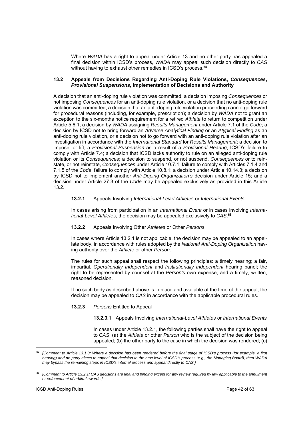Where *WADA* has a right to appeal under Article 13 and no other party has appealed a final decision within ICSD's process, *WADA* may appeal such decision directly to *CAS* without having to exhaust other remedies in ICSD's process.**<sup>65</sup>**

#### **13.2 Appeals from Decisions Regarding Anti-Doping Rule Violations,** *Consequences***,**  *Provisional Suspensions,* **Implementation of Decisions and Authority**

A decision that an anti-doping rule violation was committed, a decision imposing *Consequences* or not imposing *Consequences* for an anti-doping rule violation, or a decision that no anti-doping rule violation was committed; a decision that an anti-doping rule violation proceeding cannot go forward for procedural reasons (including, for example, prescription); a decision by *WADA* not to grant an exception to the six-months notice requirement for a retired *Athlete* to return to competition under Article 5.6.1; a decision by *WADA* assigning *Results Management* under Article 7.1 of the *Code*; a decision by ICSD not to bring forward an *Adverse Analytical Finding* or an *Atypical Finding* as an anti-doping rule violation, or a decision not to go forward with an anti-doping rule violation after an investigation in accordance with the *International Standard* for *Results Management*; a decision to impose, or lift, a *Provisional Suspension* as a result of a *Provisional Hearing*; ICSD's failure to comply with Article 7.4; a decision that ICSD lacks authority to rule on an alleged anti-doping rule violation or its *Consequences*; a decision to suspend, or not suspend, *Consequences* or to reinstate, or not reinstate, *Consequences* under Article 10.7.1; failure to comply with Articles 7.1.4 and 7.1.5 of the *Code*; failure to comply with Article 10.8.1; a decision under Article 10.14.3; a decision by ICSD not to implement another *Anti-Doping Organization's* decision under Article 15; and a decision under Article 27.3 of the *Code* may be appealed exclusively as provided in this Article 13.2.

## **13.2.1** Appeals Involving *International-Level Athletes* or *International Events*

In cases arising from participation in an *International Event* or in cases involving *International-Level Athletes*, the decision may be appealed exclusively to *CAS*. **66**

## **13.2.2** Appeals Involving Other *Athletes* or Other *Persons*

In cases where Article 13.2.1 is not applicable, the decision may be appealed to an appellate body, in accordance with rules adopted by the *National Anti-Doping Organization* having authority over the *Athlete* or other *Person*.

The rules for such appeal shall respect the following principles: a timely hearing; a fair, impartial, *Operationally Independent* and *Institutionally Independent* hearing panel; the right to be represented by counsel at the *Person's* own expense; and a timely, written, reasoned decision.

If no such body as described above is in place and available at the time of the appeal, the decision may be appealed to *CAS* in accordance with the applicable procedural rules.

## **13.2.3** *Persons* Entitled to Appeal

**13.2.3.1** Appeals Involving *International-Level Athletes* or *International Events*

In cases under Article 13.2.1, the following parties shall have the right to appeal to *CAS*: (a) the *Athlete* or other *Person* who is the subject of the decision being appealed; (b) the other party to the case in which the decision was rendered; (c)

<sup>65</sup> **<sup>65</sup>** *[Comment to Article 13.1.3: Where a decision has been rendered before the final stage of ICSD's process (for example, a first hearing) and no party elects to appeal that decision to the next level of ICSD's process (e.g., the Managing Board), then WADA may bypass the remaining steps in ICSD's internal process and appeal directly to CAS.]* 

**<sup>66</sup>** *[Comment to Article 13.2.1: CAS decisions are final and binding except for any review required by law applicable to the annulment or enforcement of arbitral awards.]*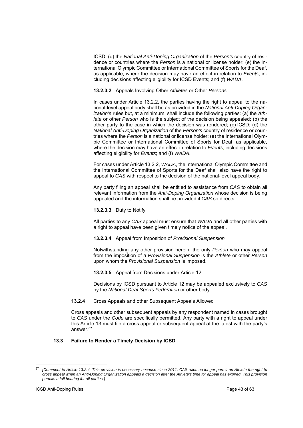ICSD; (d) the *National Anti-Doping Organization* of the *Person's* country of residence or countries where the *Person* is a national or license holder; (e) the International Olympic Committee or International Committee of Sports for the Deaf, as applicable, where the decision may have an effect in relation to *Events*, including decisions affecting eligibility for ICSD Events; and (f) *WADA*.

**13.2.3.2** Appeals Involving Other *Athletes* or Other *Persons*

In cases under Article 13.2.2, the parties having the right to appeal to the national-level appeal body shall be as provided in the *National Anti-Doping Organization's* rules but, at a minimum, shall include the following parties: (a) the *Athlete* or other *Person* who is the subject of the decision being appealed; (b) the other party to the case in which the decision was rendered; (c) ICSD; (d) the *National Anti-Doping Organization* of the *Person's* country of residence or countries where the *Person* is a national or license holder; (e) the International Olympic Committee or International Committee of Sports for Deaf, as applicable, where the decision may have an effect in relation to *Events*, including decisions affecting eligibility for *Events*; and (f) *WADA*.

For cases under Article 13.2.2, *WADA*, the International Olympic Committee and the International Committee of Sports for the Deaf shall also have the right to appeal to *CAS* with respect to the decision of the national-level appeal body.

Any party filing an appeal shall be entitled to assistance from *CAS* to obtain all relevant information from the *Anti-Doping Organization* whose decision is being appealed and the information shall be provided if *CAS* so directs.

**13.2.3.3** Duty to Notify

All parties to any *CAS* appeal must ensure that *WADA* and all other parties with a right to appeal have been given timely notice of the appeal.

**13.2.3.4** Appeal from Imposition of *Provisional Suspension*

Notwithstanding any other provision herein, the only *Person* who may appeal from the imposition of a *Provisional Suspension* is the *Athlete* or other *Person* upon whom the *Provisional Suspension* is imposed.

**13.2.3.5** Appeal from Decisions under Article 12

Decisions by ICSD pursuant to Article 12 may be appealed exclusively to *CAS* by the *National Deaf Sports Federation* or other body.

**13.2.4** Cross Appeals and other Subsequent Appeals Allowed

Cross appeals and other subsequent appeals by any respondent named in cases brought to *CAS* under the *Code* are specifically permitted. Any party with a right to appeal under this Article 13 must file a cross appeal or subsequent appeal at the latest with the party's answer.**<sup>67</sup>**

## **13.3 Failure to Render a Timely Decision by ICSD**

**<sup>67</sup>** *[Comment to Article 13.2.4: This provision is necessary because since 2011, CAS rules no longer permit an Athlete the right to cross appeal when an Anti-Doping Organization appeals a decision after the Athlete's time for appeal has expired. This provision permits a full hearing for all parties.]*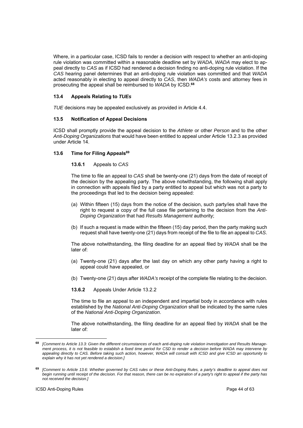Where, in a particular case, ICSD fails to render a decision with respect to whether an anti-doping rule violation was committed within a reasonable deadline set by *WADA*, *WADA* may elect to appeal directly to *CAS* as if ICSD had rendered a decision finding no anti-doping rule violation. If the *CAS* hearing panel determines that an anti-doping rule violation was committed and that *WADA* acted reasonably in electing to appeal directly to *CAS*, then *WADA's* costs and attorney fees in prosecuting the appeal shall be reimbursed to *WADA* by ICSD.**<sup>68</sup>**

# **13.4 Appeals Relating to** *TUEs*

*TUE* decisions may be appealed exclusively as provided in Article 4.4.

## **13.5 Notification of Appeal Decisions**

ICSD shall promptly provide the appeal decision to the *Athlete* or other *Person* and to the other *Anti-Doping Organizations* that would have been entitled to appeal under Article 13.2.3 as provided under Article 14.

## 13.6 Time for Filing Appeals<sup>69</sup>

## **13.6.1** Appeals to *CAS*

The time to file an appeal to *CAS* shall be twenty-one (21) days from the date of receipt of the decision by the appealing party. The above notwithstanding, the following shall apply in connection with appeals filed by a party entitled to appeal but which was not a party to the proceedings that led to the decision being appealed:

- (a) Within fifteen (15) days from the notice of the decision, such party/ies shall have the right to request a copy of the full case file pertaining to the decision from the *Anti-Doping Organization* that had *Results Management* authority;
- (b) If such a request is made within the fifteen (15) day period, then the party making such request shall have twenty-one (21) days from receipt of the file to file an appeal to *CAS*.

The above notwithstanding, the filing deadline for an appeal filed by *WADA* shall be the later of:

- (a) Twenty-one (21) days after the last day on which any other party having a right to appeal could have appealed, or
- (b) Twenty-one (21) days after *WADA's* receipt of the complete file relating to the decision.

**13.6.2** Appeals Under Article 13.2.2

The time to file an appeal to an independent and impartial body in accordance with rules established by the *National Anti-Doping Organization* shall be indicated by the same rules of the *National Anti-Doping Organization*.

The above notwithstanding, the filing deadline for an appeal filed by *WADA* shall be the later of:

**<sup>68</sup>** *[Comment to Article 13.3: Given the different circumstances of each anti-doping rule violation investigation and Results Management process, it is not feasible to establish a fixed time period for CSD to render a decision before WADA may intervene by appealing directly to CAS. Before taking such action, however, WADA will consult with ICSD and give ICSD an opportunity to explain why it has not yet rendered a decision.]* 

**<sup>69</sup>** *[Comment to Article 13.6: Whether governed by CAS rules or these Anti-Doping Rules, a party's deadline to appeal does not begin running until receipt of the decision. For that reason, there can be no expiration of a party's right to appeal if the party has not received the decision.]*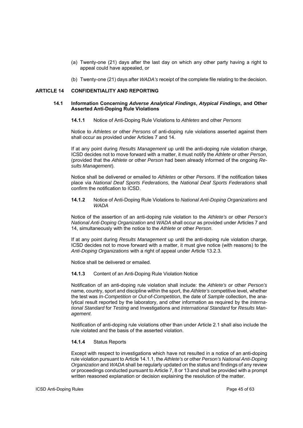- (a) Twenty-one (21) days after the last day on which any other party having a right to appeal could have appealed, or
- (b) Twenty-one (21) days after *WADA's* receipt of the complete file relating to the decision.

#### **ARTICLE 14 CONFIDENTIALITY AND REPORTING**

## **14.1 Information Concerning** *Adverse Analytical Findings***,** *Atypical Findings***, and Other Asserted Anti-Doping Rule Violations**

**14.1.1** Notice of Anti-Doping Rule Violations to *Athletes* and other *Persons*

Notice to *Athletes* or other *Persons* of anti-doping rule violations asserted against them shall occur as provided under Articles 7 and 14.

If at any point during *Results Management* up until the anti-doping rule violation charge, ICSD decides not to move forward with a matter, it must notify the *Athlete* or other *Person*, (provided that the *Athlete* or other *Person* had been already informed of the ongoing *Results Management*).

Notice shall be delivered or emailed to *Athletes* or other *Persons*. If the notification takes place via *National Deaf Sports Federations*, the *National Deaf Sports Federations* shall confirm the notification to ICSD.

**14.1.2** Notice of Anti-Doping Rule Violations to *National Anti-Doping Organizations* and *WADA*

Notice of the assertion of an anti-doping rule violation to the *Athlete's* or other *Person's National Anti-Doping Organization* and *WADA* shall occur as provided under Articles 7 and 14, simultaneously with the notice to the *Athlete* or other *Person*.

If at any point during *Results Management* up until the anti-doping rule violation charge, ICSD decides not to move forward with a matter, it must give notice (with reasons) to the *Anti-Doping Organizations* with a right of appeal under Article 13.2.3.

Notice shall be delivered or emailed.

#### **14.1.3** Content of an Anti-Doping Rule Violation Notice

Notification of an anti-doping rule violation shall include: the *Athlete's* or other *Person's* name, country, sport and discipline within the sport, the *Athlete's* competitive level, whether the test was *In-Competition* or *Out-of-Competition*, the date of *Sample* collection, the analytical result reported by the laboratory, and other information as required by the *International Standard* for *Testing* and Investigations and *International Standard* for *Results Management*.

Notification of anti-doping rule violations other than under Article 2.1 shall also include the rule violated and the basis of the asserted violation.

## **14.1.4** Status Reports

Except with respect to investigations which have not resulted in a notice of an anti-doping rule violation pursuant to Article 14.1.1, the *Athlete's* or other *Person's National Anti-Doping Organization* and *WADA* shall be regularly updated on the status and findings of any review or proceedings conducted pursuant to Article 7, 8 or 13 and shall be provided with a prompt written reasoned explanation or decision explaining the resolution of the matter.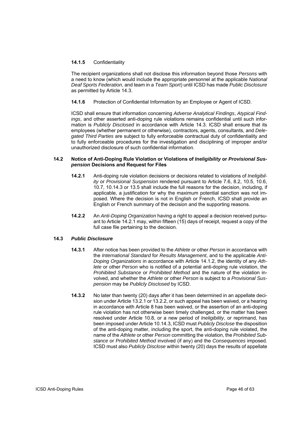# **14.1.5** Confidentiality

The recipient organizations shall not disclose this information beyond those *Persons* with a need to know (which would include the appropriate personnel at the applicable *National Deaf Sports Federation*, and team in a *Team Sport*) until ICSD has made *Public Disclosure* as permitted by Article 14.3.

# **14.1.6** Protection of Confidential Information by an Employee or Agent of ICSD.

ICSD shall ensure that information concerning *Adverse Analytical Findings*, *Atypical Findings*, and other asserted anti-doping rule violations remains confidential until such information is *Publicly Disclosed* in accordance with Article 14.3. ICSD shall ensure that its employees (whether permanent or otherwise), contractors, agents, consultants, and *Delegated Third Parties* are subject to fully enforceable contractual duty of confidentiality and to fully enforceable procedures for the investigation and disciplining of improper and/or unauthorized disclosure of such confidential information.

## **14.2 Notice of Anti-Doping Rule Violation or Violations of** *Ineligibility* **or** *Provisional Suspension* **Decisions and Request for Files**

- **14.2.1** Anti-doping rule violation decisions or decisions related to violations of *Ineligibility* or *Provisional Suspension* rendered pursuant to Article 7.6, 8.2, 10.5, 10.6, 10.7, 10.14.3 or 13.5 shall include the full reasons for the decision, including, if applicable, a justification for why the maximum potential sanction was not imposed. Where the decision is not in English or French, ICSD shall provide an English or French summary of the decision and the supporting reasons.
- **14.2.2** An *Anti-Doping Organization* having a right to appeal a decision received pursuant to Article 14.2.1 may, within fifteen (15) days of receipt, request a copy of the full case file pertaining to the decision.

## **14.3** *Public Disclosure*

- **14.3.1** After notice has been provided to the *Athlete* or other *Person* in accordance with the *International Standard* for *Results Management*, and to the applicable *Anti-Doping Organizations* in accordance with Article 14.1.2, the identity of any *Athlete* or other *Person* who is notified of a potential anti-doping rule violation, the *Prohibited Substance* or *Prohibited Method* and the nature of the violation involved, and whether the *Athlete* or other *Person* is subject to a *Provisional Suspension* may be *Publicly Disclosed* by ICSD.
- **14.3.2** No later than twenty (20) days after it has been determined in an appellate decision under Article 13.2.1 or 13.2.2, or such appeal has been waived, or a hearing in accordance with Article 8 has been waived, or the assertion of an anti-doping rule violation has not otherwise been timely challenged, or the matter has been resolved under Article 10.8, or a new period of *Ineligibility*, or reprimand, has been imposed under Article 10.14.3, ICSD must *Publicly Disclose* the disposition of the anti-doping matter, including the sport, the anti-doping rule violated, the name of the *Athlete* or other *Person* committing the violation, the *Prohibited Substance* or *Prohibited Method* involved (if any) and the *Consequences* imposed. ICSD must also *Publicly Disclose* within twenty (20) days the results of appellate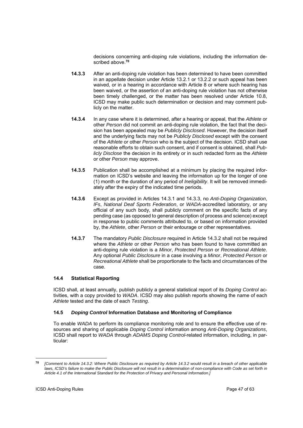decisions concerning anti-doping rule violations, including the information described above.**<sup>70</sup>**

- **14.3.3** After an anti-doping rule violation has been determined to have been committed in an appellate decision under Article 13.2.1 or 13.2.2 or such appeal has been waived, or in a hearing in accordance with Article 8 or where such hearing has been waived, or the assertion of an anti-doping rule violation has not otherwise been timely challenged, or the matter has been resolved under Article 10.8, ICSD may make public such determination or decision and may comment publicly on the matter.
- **14.3.4** In any case where it is determined, after a hearing or appeal, that the *Athlete* or other *Person* did not commit an anti-doping rule violation, the fact that the decision has been appealed may be *Publicly Disclosed*. However, the decision itself and the underlying facts may not be *Publicly Disclosed* except with the consent of the *Athlete* or other *Person* who is the subject of the decision. ICSD shall use reasonable efforts to obtain such consent, and if consent is obtained, shall *Publicly Disclose* the decision in its entirety or in such redacted form as the *Athlete* or other *Person* may approve.
- **14.3.5** Publication shall be accomplished at a minimum by placing the required information on ICSD's website and leaving the information up for the longer of one (1) month or the duration of any period of *Ineligibility*. It will be removed immediately after the expiry of the indicated time periods.
- **14.3.6** Except as provided in Articles 14.3.1 and 14.3.3, no *Anti-Doping Organization*, *IFs*, *National Deaf Sports Federation*, or *WADA-*accredited laboratory, or any official of any such body, shall publicly comment on the specific facts of any pending case (as opposed to general description of process and science) except in response to public comments attributed to, or based on information provided by, the *Athlete*, other *Person* or their entourage or other representatives.
- **14.3.7** The mandatory *Public Disclosure* required in Article 14.3.2 shall not be required where the *Athlete* or other *Person* who has been found to have committed an anti-doping rule violation is a *Minor*, *Protected Person* or *Recreational Athlete*. Any optional *Public Disclosure* in a case involving a *Minor*, *Protected Person* or *Recreational Athlete* shall be proportionate to the facts and circumstances of the case.

# **14.4 Statistical Reporting**

ICSD shall, at least annually, publish publicly a general statistical report of its *Doping Control* activities, with a copy provided to *WADA*. ICSD may also publish reports showing the name of each *Athlete* tested and the date of each *Testing*.

# **14.5** *Doping Control* **Information Database and Monitoring of Compliance**

To enable *WADA* to perform its compliance monitoring role and to ensure the effective use of resources and sharing of applicable *Doping Control* information among *Anti-Doping Organizations*, ICSD shall report to *WADA* through *ADAMS Doping Control*-related information, including, in particular:

<sup>70</sup> **<sup>70</sup>** *[Comment to Article 14.3.2: Where Public Disclosure as required by Article 14.3.2 would result in a breach of other applicable laws, ICSD's failure to make the Public Disclosure will not result in a determination of non-compliance with Code as set forth in Article 4.1 of the International Standard for the Protection of Privacy and Personal Information.]*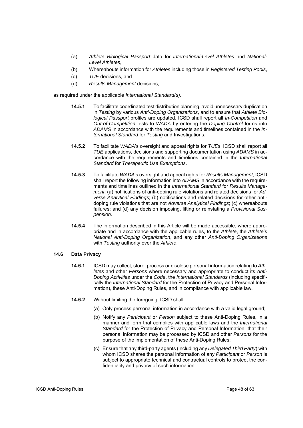- (a) *Athlete Biological Passport* data for *International-Level Athletes* and *National-Level Athletes*,
- (b) Whereabouts information for *Athletes* including those in *Registered Testing Pools*,
- (c) *TUE* decisions, and
- (d) *Results Management* decisions,

as required under the applicable *International Standard(s)*.

- **14.5.1** To facilitate coordinated test distribution planning, avoid unnecessary duplication in *Testing* by various *Anti-Doping Organizations*, and to ensure that *Athlete Biological Passport* profiles are updated, ICSD shall report all *In-Competition* and *Out-of-Competition* tests to *WADA* by entering the *Doping Control* forms into *ADAMS* in accordance with the requirements and timelines contained in the *International Standard* for *Testing* and Investigations.
- **14.5.2** To facilitate *WADA*'s oversight and appeal rights for *TUEs*, ICSD shall report all *TUE* applications, decisions and supporting documentation using *ADAMS* in accordance with the requirements and timelines contained in the *International Standard* for *Therapeutic Use Exemptions*.
- **14.5.3** To facilitate *WADA*'s oversight and appeal rights for *Results Management*, ICSD shall report the following information into *ADAMS* in accordance with the requirements and timelines outlined in the *International Standard* for *Results Management*: (a) notifications of anti-doping rule violations and related decisions for *Adverse Analytical Findings*; (b) notifications and related decisions for other antidoping rule violations that are not *Adverse Analytical Findings*; (c) whereabouts failures; and (d) any decision imposing, lifting or reinstating a *Provisional Suspension*.
- **14.5.4** The information described in this Article will be made accessible, where appropriate and in accordance with the applicable rules, to the *Athlete*, the *Athlete*'s *National Anti-Doping Organization*, and any other *Anti-Doping Organizations* with *Testing* authority over the *Athlete*.

## **14.6 Data Privacy**

- **14.6.1** ICSD may collect, store, process or disclose personal information relating to *Athletes* and other *Persons* where necessary and appropriate to conduct its *Anti-Doping Activities* under the *Code*, the *International Standards* (including specifically the *International Standard* for the Protection of Privacy and Personal Information), these Anti-Doping Rules, and in compliance with applicable law.
- **14.6.2** Without limiting the foregoing, ICSD shall:
	- (a) Only process personal information in accordance with a valid legal ground;
	- (b) Notify any *Participant* or *Person* subject to these Anti-Doping Rules, in a manner and form that complies with applicable laws and the *International Standard* for the Protection of Privacy and Personal Information, that their personal information may be processed by ICSD and other *Persons* for the purpose of the implementation of these Anti-Doping Rules;
	- (c) Ensure that any third-party agents (including any *Delegated Third Party*) with whom ICSD shares the personal information of any *Participant* or *Person* is subject to appropriate technical and contractual controls to protect the confidentiality and privacy of such information.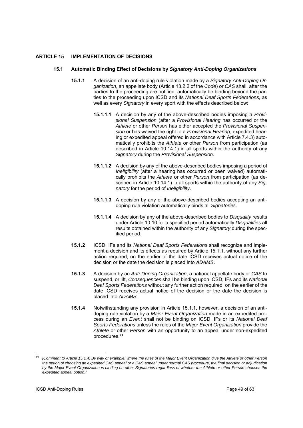# **ARTICLE 15 IMPLEMENTATION OF DECISIONS**

#### **15.1 Automatic Binding Effect of Decisions by** *Signatory Anti-Doping Organizations*

- **15.1.1** A decision of an anti-doping rule violation made by a *Signatory Anti-Doping Organization*, an appellate body (Article 13.2.2 of the *Code*) or *CAS* shall, after the parties to the proceeding are notified, automatically be binding beyond the parties to the proceeding upon ICSD and its *National Deaf Sports Federations,* as well as every *Signatory* in every sport with the effects described below:
	- **15.1.1.1** A decision by any of the above-described bodies imposing a *Provisional Suspension* (after a *Provisional Hearing* has occurred or the *Athlete* or other *Person* has either accepted the *Provisional Suspension* or has waived the right to a *Provisional Hearing*, expedited hearing or expedited appeal offered in accordance with Article 7.4.3) automatically prohibits the *Athlete* or other *Person* from participation (as described in Article 10.14.1) in all sports within the authority of any *Signatory* during the *Provisional Suspension*.
	- **15.1.1.2** A decision by any of the above-described bodies imposing a period of *Ineligibility* (after a hearing has occurred or been waived) automatically prohibits the *Athlete* or other *Person* from participation (as described in Article 10.14.1) in all sports within the authority of any *Signatory* for the period of *Ineligibility*.
	- **15.1.1.3** A decision by any of the above-described bodies accepting an antidoping rule violation automatically binds all *Signatories*.
	- **15.1.1.4** A decision by any of the above-described bodies to *Disqualify* results under Article 10.10 for a specified period automatically *Disqualifies* all results obtained within the authority of any *Signatory* during the specified period.
- **15.1.2** ICSD, IFs and its *National Deaf Sports Federations* shall recognize and implement a decision and its effects as required by Article 15.1.1, without any further action required, on the earlier of the date ICSD receives actual notice of the decision or the date the decision is placed into *ADAMS*.
- **15.1.3** A decision by an *Anti-Doping Organization*, a national appellate body or *CAS* to suspend, or lift, *Consequences* shall be binding upon ICSD, IFs and its *National Deaf Sports Federations* without any further action required, on the earlier of the date ICSD receives actual notice of the decision or the date the decision is placed into *ADAMS*.
- **15.1.4** Notwithstanding any provision in Article 15.1.1, however, a decision of an antidoping rule violation by a *Major Event Organization* made in an expedited process during an *Event* shall not be binding on ICSD, IFs or its *National Deaf Sports Federations* unless the rules of the *Major Event Organization* provide the *Athlete* or other *Person* with an opportunity to an appeal under non-expedited procedures.**<sup>71</sup>**

1

**<sup>71</sup>***[Comment to Article 15.1.4: By way of example, where the rules of the Major Event Organization give the Athlete or other Person the option of choosing an expedited CAS appeal or a CAS appeal under normal CAS procedure, the final decision or adjudication by the Major Event Organization is binding on other Signatories regardless of whether the Athlete or other Person chooses the expedited appeal option.]*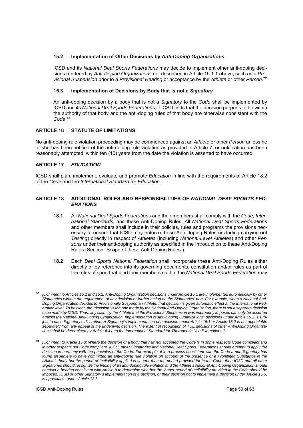# **15.2 Implementation of Other Decisions by** *Anti-Doping Organizations*

ICSD and its *National Deaf Sports Federations* may decide to implement other anti-doping decisions rendered by *Anti-Doping Organizations* not described in Article 15.1.1 above, such as a *Provisional Suspension* prior to a *Provisional Hearing* or acceptance by the *Athlete* or other *Person*. **72**

# **15.3 Implementation of Decisions by Body that is not a** *Signatory*

An anti-doping decision by a body that is not a *Signatory* to the *Code* shall be implemented by ICSD and its *National Deaf Sports Federations*, if ICSD finds that the decision purports to be within the authority of that body and the anti-doping rules of that body are otherwise consistent with the *Code*. **73**

# **ARTICLE 16 STATUTE OF LIMITATIONS**

No anti-doping rule violation proceeding may be commenced against an *Athlete* or other *Person* unless he or she has been notified of the anti-doping rule violation as provided in Article 7, or notification has been reasonably attempted, within ten (10) years from the date the violation is asserted to have occurred.

# **ARTICLE 17** *EDUCATION*

ICSD shall plan, implement, evaluate and promote *Education* in line with the requirements of Article 18.2 of the *Code* and the *International Standard* for *Education*.

## **ARTICLE 18 ADDITIONAL ROLES AND RESPONSIBILITIES OF** *NATIONAL DEAF SPORTS FED-ERATIONS*

- **18.1** All *National Deaf Sports Federations* and their members shall comply with the *Code, International Standards*, and these Anti-Doping Rules. All *National Deaf Sports Federations* and other members shall include in their policies, rules and programs the provisions necessary to ensure that ICSD may enforce these Anti-Doping Rules (including carrying out *Testing*) directly in respect of *Athletes* (including *National-Level Athletes*) and other *Persons* under their anti-doping authority as specified in the Introduction to these Anti-Doping Rules (Section "Scope of these Anti-Doping Rules").
- **18.2** Each *Deaf Sports National Federation* shall incorporate these Anti-Doping Rules either directly or by reference into its governing documents, constitution and/or rules as part of the rules of sport that bind their members so that the *National Deaf Sports Federation* may

**<sup>72</sup>** *[Comment to Articles 15.1 and 15.2: Anti-Doping Organization decisions under Article 15.1 are implemented automatically by other Signatories without the requirement of any decision or further action on the Signatories' part. For example, when a National Anti-Doping Organization decides to Provisionally Suspend an Athlete, that decision is given automatic effect at the International Federation level. To be clear, the "decision" is the one made by the National Anti-Doping Organization, there is not a separate decision to be made by ICSD. Thus, any claim by the Athlete that the Provisional Suspension was improperly imposed can only be asserted against the National Anti-Doping Organization. Implementation of Anti-Doping Organizations' decisions under Article 15.2 is subject to each Signatory's discretion. A Signatory's implementation of a decision under Article 15.1 or Article 15.2 is not appealable separately from any appeal of the underlying decision. The extent of recognition of TUE decisions of other Anti-Doping Organizations shall be determined by Article 4.4 and the International Standard for Therapeutic Use Exemptions.]* 

**<sup>73</sup>** *[Comment to Article 15.3: Where the decision of a body that has not accepted the Code is in some respects Code compliant and in other respects not Code compliant, ICSD, other Signatories and National Deaf Sports Federations should attempt to apply the decision in harmony with the principles of the Code. For example, if in a process consistent with the Code a non-Signatory has*  found an Athlete to have committed an anti-doping rule violation on account of the presence of a Prohibited Substance in the *Athlete's body but the period of Ineligibility applied is shorter than the period provided for in the Code, then ICSD and all other Signatories should recognize the finding of an anti-doping rule violation and the Athlete's National Anti-Doping Organization should conduct a hearing consistent with Article 8 to determine whether the longer period of Ineligibility provided in the Code should be imposed. ICSD or other Signatory's implementation of a decision, or their decision not to implement a decision under Article 15.3, is appealable under Article 13.]*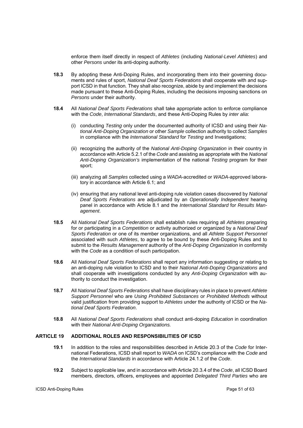enforce them itself directly in respect of *Athletes* (including *National-Level Athletes*) and other *Persons* under its anti-doping authority.

- **18.3** By adopting these Anti-Doping Rules, and incorporating them into their governing documents and rules of sport, *National Deaf Sports Federations* shall cooperate with and support ICSD in that function*.* They shall also recognize, abide by and implement the decisions made pursuant to these Anti-Doping Rules, including the decisions imposing sanctions on *Persons* under their authority.
- **18.4** All *National Deaf Sports Federations* shall take appropriate action to enforce compliance with the *Code*, *International Standards*, and these Anti-Doping Rules by *inter alia*:
	- (i) conducting *Testing* only under the documented authority of ICSD and using their *National Anti-Doping Organization* or other *Sample* collection authority to collect *Samples* in compliance with the *International Standard* for *Testing* and Investigations;
	- (ii) recognizing the authority of the *National Anti-Doping Organization* in their country in accordance with Article 5.2.1 of the *Code* and assisting as appropriate with the *National Anti-Doping Organization's* implementation of the national *Testing* program for their sport;
	- (iii) analyzing all *Samples* collected using a *WADA*-accredited or *WADA*-approved laboratory in accordance with Article 6.1; and
	- (iv) ensuring that any national level anti-doping rule violation cases discovered by *National Deaf Sports Federations* are adjudicated by an *Operationally Independent* hearing panel in accordance with Article 8.1 and the *International Standard* for *Results Management*.
- **18.5** All *National Deaf Sports Federations* shall establish rules requiring all *Athletes* preparing for or participating in a *Competition* or activity authorized or organized by a *National Deaf Sports Federation* or one of its member organizations, and all *Athlete Support Personnel* associated with such *Athletes*, to agree to be bound by these Anti-Doping Rules and to submit to the *Results Management* authority of the *Anti-Doping Organization* in conformity with the *Code* as a condition of such participation.
- **18.6** All *National Deaf Sports Federations* shall report any information suggesting or relating to an anti-doping rule violation to ICSD and to their *National Anti-Doping Organizations* and shall cooperate with investigations conducted by any *Anti-Doping Organization* with authority to conduct the investigation.
- **18.7** All *National Deaf Sports Federations* shall have disciplinary rules in place to prevent *Athlete Support Personnel* who are *Using Prohibited Substances* or *Prohibited Methods* without valid justification from providing support to *Athletes* under the authority of ICSD or the *National Deaf Sports Federation*.
- **18.8** All *National Deaf Sports Federations* shall conduct anti-doping *Education* in coordination with their *National Anti-Doping Organizations.*

## **ARTICLE 19 ADDITIONAL ROLES AND RESPONSIBILITIES OF ICSD**

- **19.1** In addition to the roles and responsibilities described in Article 20.3 of the *Code* for International Federations, ICSD shall report to *WADA* on ICSD's compliance with the *Code* and the *International Standards* in accordance with Article 24.1.2 of the *Code*.
- **19.2** Subject to applicable law, and in accordance with Article 20.3.4 of the *Code*, all ICSD Board members, directors, officers, employees and appointed *Delegated Third Parties* who are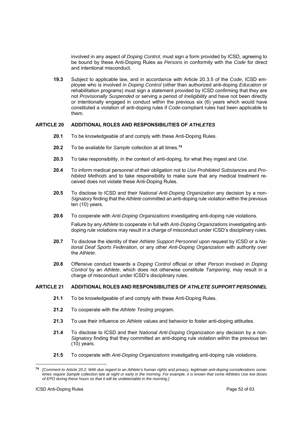involved in any aspect of *Doping Control*, must sign a form provided by ICSD, agreeing to be bound by these Anti-Doping Rules as *Persons* in conformity with the *Code* for direct and intentional misconduct.

**19.3** Subject to applicable law, and in accordance with Article 20.3.5 of the *Code*, ICSD employee who is involved in *Doping Control* (other than authorized anti-doping *Education* or rehabilitation programs) must sign a statement provided by ICSD confirming that they are not *Provisionally Suspended* or serving a period of *Ineligibility* and have not been directly or intentionally engaged in conduct within the previous six (6) years which would have constituted a violation of anti-doping rules if *Code*-compliant rules had been applicable to them.

# **ARTICLE 20 ADDITIONAL ROLES AND RESPONSIBILITIES OF** *ATHLETES*

- **20.1** To be knowledgeable of and comply with these Anti-Doping Rules.
- **20.2** To be available for *Sample* collection at all times.**<sup>74</sup>**
- **20.3** To take responsibility, in the context of anti-doping, for what they ingest and *Use*.
- **20.4** To inform medical personnel of their obligation not to *Use Prohibited Substance*s and *Prohibited Methods* and to take responsibility to make sure that any medical treatment received does not violate these Anti-Doping Rules.
- **20.5** To disclose to ICSD and their *National Anti-Doping Organization* any decision by a non-*Signatory* finding that the *Athlete* committed an anti-doping rule violation within the previous ten (10) years.
- **20.6** To cooperate with *Anti-Doping Organizations* investigating anti-doping rule violations.

 Failure by any *Athlete* to cooperate in full with *Anti-Doping Organizations* investigating antidoping rule violations may result in a charge of misconduct under ICSD's disciplinary rules.

- **20.7** To disclose the identity of their *Athlete Support Personnel* upon request by ICSD or a *National Deaf Sports Federation*, or any other *Anti-Doping Organization* with authority over the *Athlete*.
- **20.8** Offensive conduct towards a *Doping Control* official or other *Person* involved in *Doping Control* by an *Athlete*, which does not otherwise constitute *Tampering*, may result in a charge of misconduct under ICSD's disciplinary rules.

#### **ARTICLE 21 ADDITIONAL ROLES AND RESPONSIBILITIES OF** *ATHLETE SUPPORT PERSONNEL*

- **21.1** To be knowledgeable of and comply with these Anti-Doping Rules.
- **21.2** To cooperate with the *Athlete Testing* program.
- **21.3** To use their influence on *Athlete* values and behavior to foster anti-doping attitudes.
- **21.4** To disclose to ICSD and their *National Anti-Doping Organization* any decision by a non-*Signatory* finding that they committed an anti-doping rule violation within the previous ten (10) years.
- **21.5** To cooperate with *Anti-Doping Organizations* investigating anti-doping rule violations.

 $74$ **<sup>74</sup>** *[Comment to Article 20.2: With due regard to an Athlete's human rights and privacy, legitimate anti-doping considerations sometimes require Sample collection late at night or early in the morning. For example, it is known that some Athletes Use low doses of EPO during these hours so that it will be undetectable in the morning.]*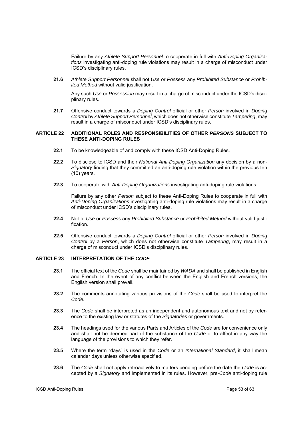Failure by any *Athlete Support Personnel* to cooperate in full with *Anti-Doping Organizations* investigating anti-doping rule violations may result in a charge of misconduct under ICSD's disciplinary rules.

**21.6** *Athlete Support Personnel* shall not *Use* or *Possess* any *Prohibited Substance* or *Prohibited Method* without valid justification.

Any such *Use* or *Possession* may result in a charge of misconduct under the ICSD's disciplinary rules.

**21.7** Offensive conduct towards a *Doping Control* official or other *Person* involved in *Doping Control* by *Athlete Support Personnel*, which does not otherwise constitute *Tampering*, may result in a charge of misconduct under ICSD's disciplinary rules.

#### **ARTICLE 22 ADDITIONAL ROLES AND RESPONSIBILITIES OF OTHER** *PERSONS* **SUBJECT TO THESE ANTI-DOPING RULES**

- **22.1** To be knowledgeable of and comply with these ICSD Anti-Doping Rules.
- **22.2** To disclose to ICSD and their *National Anti-Doping Organization* any decision by a non-*Signatory* finding that they committed an anti-doping rule violation within the previous ten (10) years.
- **22.3** To cooperate with *Anti-Doping Organizations* investigating anti-doping rule violations.

Failure by any other *Person* subject to these Anti-Doping Rules to cooperate in full with *Anti-Doping Organizations* investigating anti-doping rule violations may result in a charge of misconduct under ICSD's disciplinary rules.

- **22.4** Not to *Use* or *Possess* any *Prohibited Substance* or *Prohibited Method* without valid justification.
- **22.5** Offensive conduct towards a *Doping Control* official or other *Person* involved in *Doping Control* by a *Person*, which does not otherwise constitute *Tampering*, may result in a charge of misconduct under ICSD's disciplinary rules.

# **ARTICLE 23 INTERPRETATION OF THE** *CODE*

- **23.1** The official text of the *Code* shall be maintained by *WADA* and shall be published in English and French. In the event of any conflict between the English and French versions, the English version shall prevail.
- **23.2** The comments annotating various provisions of the *Code* shall be used to interpret the *Code*.
- **23.3** The *Code* shall be interpreted as an independent and autonomous text and not by reference to the existing law or statutes of the *Signatories* or governments.
- **23.4** The headings used for the various Parts and Articles of the *Code* are for convenience only and shall not be deemed part of the substance of the *Code* or to affect in any way the language of the provisions to which they refer.
- **23.5** Where the term "days" is used in the *Code* or an *International Standard*, it shall mean calendar days unless otherwise specified.
- **23.6** The *Code* shall not apply retroactively to matters pending before the date the *Code* is accepted by a *Signatory* and implemented in its rules. However, pre-*Code* anti-doping rule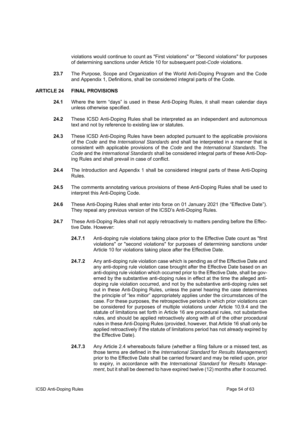violations would continue to count as "First violations" or "Second violations" for purposes of determining sanctions under Article 10 for subsequent post-*Code* violations.

**23.7** The Purpose, Scope and Organization of the World Anti-Doping Program and the Code and Appendix 1, Definitions, shall be considered integral parts of the Code.

#### **ARTICLE 24 FINAL PROVISIONS**

- **24.1** Where the term "days" is used in these Anti-Doping Rules, it shall mean calendar days unless otherwise specified.
- **24.2** These ICSD Anti-Doping Rules shall be interpreted as an independent and autonomous text and not by reference to existing law or statutes.
- **24.3** These ICSD Anti-Doping Rules have been adopted pursuant to the applicable provisions of the *Code* and the *International Standards* and shall be interpreted in a manner that is consistent with applicable provisions of the *Code* and the *International Standards*. The *Code* and the *International Standards* shall be considered integral parts of these Anti-Doping Rules and shall prevail in case of conflict.
- **24.4** The Introduction and Appendix 1 shall be considered integral parts of these Anti-Doping Rules.
- **24.5** The comments annotating various provisions of these Anti-Doping Rules shall be used to interpret this Anti-Doping Code.
- **24.6** These Anti-Doping Rules shall enter into force on 01 January 2021 (the "Effective Date"). They repeal any previous version of the ICSD's Anti-Doping Rules.
- **24.7** These Anti-Doping Rules shall not apply retroactively to matters pending before the Effective Date. However:
	- **24.7.1** Anti-doping rule violations taking place prior to the Effective Date count as "first violations" or "second violations" for purposes of determining sanctions under Article 10 for violations taking place after the Effective Date.
	- **24.7.2** Any anti-doping rule violation case which is pending as of the Effective Date and any anti-doping rule violation case brought after the Effective Date based on an anti-doping rule violation which occurred prior to the Effective Date, shall be governed by the substantive anti-doping rules in effect at the time the alleged antidoping rule violation occurred, and not by the substantive anti-doping rules set out in these Anti-Doping Rules, unless the panel hearing the case determines the principle of "lex mitior" appropriately applies under the circumstances of the case. For these purposes, the retrospective periods in which prior violations can be considered for purposes of multiple violations under Article 10.9.4 and the statute of limitations set forth in Article 16 are procedural rules, not substantive rules, and should be applied retroactively along with all of the other procedural rules in these Anti-Doping Rules (provided, however, that Article 16 shall only be applied retroactively if the statute of limitations period has not already expired by the Effective Date).
	- **24.7.3** Any Article 2.4 whereabouts failure (whether a filing failure or a missed test, as those terms are defined in the *International Standard* for *Results Management*) prior to the Effective Date shall be carried forward and may be relied upon, prior to expiry, in accordance with the *International Standard* for *Results Management*, but it shall be deemed to have expired twelve (12) months after it occurred*.*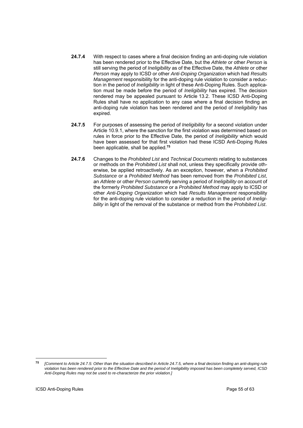- **24.7.4** With respect to cases where a final decision finding an anti-doping rule violation has been rendered prior to the Effective Date, but the *Athlete* or other *Person* is still serving the period of *Ineligibility* as of the Effective Date, the *Athlete* or other *Person* may apply to ICSD or other *Anti-Doping Organization* which had *Results Management* responsibility for the anti-doping rule violation to consider a reduction in the period of *Ineligibility* in light of these Anti-Doping Rules. Such application must be made before the period of *Ineligibility* has expired. The decision rendered may be appealed pursuant to Article 13.2. These ICSD Anti-Doping Rules shall have no application to any case where a final decision finding an anti-doping rule violation has been rendered and the period of *Ineligibility* has expired.
- **24.7.5** For purposes of assessing the period of *Ineligibility* for a second violation under Article 10.9.1, where the sanction for the first violation was determined based on rules in force prior to the Effective Date, the period of *Ineligibility* which would have been assessed for that first violation had these ICSD Anti-Doping Rules been applicable, shall be applied.**<sup>75</sup>**
- **24.7.6** Changes to the *Prohibited List* and *Technical Documents* relating to substances or methods on the *Prohibited List* shall not, unless they specifically provide otherwise, be applied retroactively. As an exception, however, when a *Prohibited Substance* or a *Prohibited Method* has been removed from the *Prohibited List*, an *Athlete* or other *Person* currently serving a period of *Ineligibility* on account of the formerly *Prohibited Substance* or a *Prohibited Method* may apply to ICSD or other *Anti-Doping Organization* which had *Results Management* responsibility for the anti-doping rule violation to consider a reduction in the period of *Ineligibility* in light of the removal of the substance or method from the *Prohibited List*.

<sup>75</sup> **<sup>75</sup>***[Comment to Article 24.7.5: Other than the situation described in Article 24.7.5, where a final decision finding an anti-doping rule violation has been rendered prior to the Effective Date and the period of Ineligibility imposed has been completely served, ICSD Anti-Doping Rules may not be used to re-characterize the prior violation.]*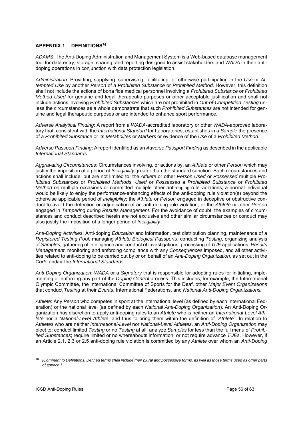# **APPENDIX 1 DEFINITIONS76**

*ADAMS*: The Anti-Doping Administration and Management System is a Web-based database management tool for data entry, storage, sharing, and reporting designed to assist stakeholders and *WADA* in their antidoping operations in conjunction with data protection legislation.

*Administration*: Providing, supplying, supervising, facilitating, or otherwise participating in the *Use* or *Attempted Use* by another *Person* of a *Prohibited Substance* or *Prohibited Method*. However, this definition shall not include the actions of bona fide medical personnel involving a *Prohibited Substance* or *Prohibited Method Used* for genuine and legal therapeutic purposes or other acceptable justification and shall not include actions involving *Prohibited Substances* which are not prohibited in *Out-of-Competition Testing* unless the circumstances as a whole demonstrate that such *Prohibited Substances* are not intended for genuine and legal therapeutic purposes or are intended to enhance sport performance.

*Adverse Analytical Finding*: A report from a *WADA*-accredited laboratory or other *WADA*-approved laboratory that, consistent with the *International Standard* for Laboratories, establishes in a *Sample* the presence of a *Prohibited Substance* or its *Metabolites* or *Markers* or evidence of the *Use* of a *Prohibited Method*.

*Adverse Passport Finding*: A report identified as an *Adverse Passport Finding* as described in the applicable *International Standards*.

*Aggravating Circumstances*: Circumstances involving, or actions by, an *Athlete* or other *Person* which may justify the imposition of a period of *Ineligibility* greater than the standard sanction. Such circumstances and actions shall include, but are not limited to: the *Athlete* or other *Person Used* or *Possessed* multiple *Prohibited Substances* or *Prohibited Methods*, *Used* or *Possessed* a *Prohibited Substance* or *Prohibited Method* on multiple occasions or committed multiple other anti-doping rule violations; a normal individual would be likely to enjoy the performance-enhancing effects of the anti-doping rule violation(s) beyond the otherwise applicable period of *Ineligibility*; the *Athlete* or *Person* engaged in deceptive or obstructive conduct to avoid the detection or adjudication of an anti-doping rule violation; or the *Athlete* or other *Person* engaged in *Tampering* during *Results Management*. For the avoidance of doubt, the examples of circumstances and conduct described herein are not exclusive and other similar circumstances or conduct may also justify the imposition of a longer period of *Ineligibility*.

*Anti-Doping Activities*: Anti-doping *Education* and information, test distribution planning, maintenance of a *Registered Testing Pool*, managing *Athlete Biological Passports*, conducting *Testing*, organizing analysis of *Samples*, gathering of intelligence and conduct of investigations, processing of *TUE* applications, *Results Management*, monitoring and enforcing compliance with any *Consequences* imposed, and all other activities related to anti-doping to be carried out by or on behalf of an *Anti-Doping Organization*, as set out in the *Code* and/or the *International Standards*.

*Anti-Doping Organization*: *WADA* or a *Signatory* that is responsible for adopting rules for initiating, implementing or enforcing any part of the *Doping Control* process. This includes, for example, the International Olympic Committee, the International Committee of Sports for the Deaf, other *Major Event Organizations* that conduct *Testing* at their *Events*, International Federations, and *National Anti-Doping Organizations.*

*Athlete*: Any *Person* who competes in sport at the international level (as defined by each International Federation) or the national level (as defined by each *National Anti-Doping Organization*). An Anti-Doping Organization has discretion to apply anti-doping rules to an *Athlete* who is neither an *International-Level Athlete* nor a *National-Level Athlete*, and thus to bring them within the definition of "*Athlete*". In relation to *Athletes* who are neither *International*-*Level* nor *National-Level Athletes*, an *Anti-Doping Organization* may elect to: conduct limited *Testing* or no *Testing* at all; analyze *Samples* for less than the full menu of *Prohibited Substances*; require limited or no whereabouts information; or not require advance *TUEs*. However, if an Article 2.1, 2.3 or 2.5 anti-doping rule violation is committed by any *Athlete* over whom an *Anti-Doping* 

<sup>76</sup> **<sup>76</sup>** *[Comment to Definitions: Defined terms shall include their plural and possessive forms, as well as those terms used as other parts of speech.]*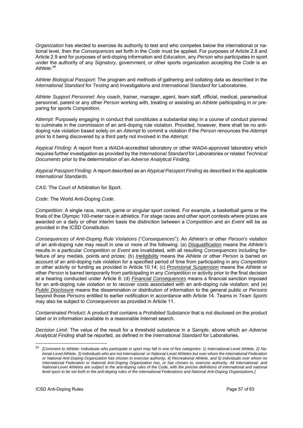*Organization* has elected to exercise its authority to test and who competes below the international or national level, then the *Consequences* set forth in the *Code* must be applied. For purposes of Article 2.8 and Article 2.9 and for purposes of anti-doping information and *Education*, any *Person* who participates in sport under the authority of any *Signatory*, government, or other sports organization accepting the *Code* is an *Athlete*. **77**

*Athlete Biological Passport*: The program and methods of gathering and collating data as described in the *International Standard* for *Testing* and Investigations and *International Standard* for Laboratories.

*Athlete Support Personnel*: Any coach, trainer, manager, agent, team staff, official, medical, paramedical personnel, parent or any other *Person* working with, treating or assisting an *Athlete* participating in or preparing for sports *Competition*.

*Attempt*: Purposely engaging in conduct that constitutes a substantial step in a course of conduct planned to culminate in the commission of an anti-doping rule violation. Provided, however, there shall be no antidoping rule violation based solely on an *Attempt* to commit a violation if the *Person* renounces the *Attempt* prior to it being discovered by a third party not involved in the *Attempt*.

*Atypical Finding*: A report from a *WADA*-accredited laboratory or other *WADA*-approved laboratory which requires further investigation as provided by the *International Standard* for Laboratories or related *Technical Documents* prior to the determination of an *Adverse Analytical Finding*.

*Atypical Passport Finding*: A report described as an *Atypical Passport Finding* as described in the applicable *International Standards*.

*CAS*: The Court of Arbitration for Sport.

*Code*: The World Anti-Doping *Code*.

*Competition*: A single race, match, game or singular sport contest. For example, a basketball game or the finals of the Olympic 100-meter race in athletics. For stage races and other sport contests where prizes are awarded on a daily or other interim basis the distinction between a *Competition* and an *Event* will be as provided in the ICSD Constitution.

*Consequences of Anti-Doping Rule Violations* ("*Consequences*"): An *Athlete's* or other *Person's* violation of an anti-doping rule may result in one or more of the following: (a) *Disqualification* means the *Athlete's* results in a particular *Competition* or *Event* are invalidated, with all resulting *Consequences* including forfeiture of any medals, points and prizes; (b) *Ineligibility* means the *Athlete* or other *Person* is barred on account of an anti-doping rule violation for a specified period of time from participating in any *Competition* or other activity or funding as provided in Article 10.14; (c) *Provisional Suspension* means the *Athlete* or other *Person* is barred temporarily from participating in any *Competition* or activity prior to the final decision at a hearing conducted under Article 8; (d) *Financial Consequences* means a financial sanction imposed for an anti-doping rule violation or to recover costs associated with an anti-doping rule violation; and (e) *Public Disclosure* means the dissemination or distribution of information to the general public or *Persons* beyond those *Persons* entitled to earlier notification in accordance with Article 14. Teams in *Team Sports* may also be subject to *Consequences* as provided in Article 11.

*Contaminated Product*: A product that contains a *Prohibited Substance* that is not disclosed on the product label or in information available in a reasonable Internet search.

*Decision Limit*: The value of the result for a threshold substance in a *Sample*, above which an *Adverse Analytical Finding* shall be reported, as defined in the *International Standard* for Laboratories.

**<sup>77</sup>** *[Comment to Athlete: Individuals who participate in sport may fall in one of five categories: 1) International-Level Athlete, 2) National-Level Athlete, 3) individuals who are not International- or National-Level Athletes but over whom the International Federation or National Anti-Doping Organization has chosen to exercise authority, 4) Recreational Athlete, and 5) individuals over whom no International Federation or National Anti-Doping Organization has, or has chosen to, exercise authority. All International- and National-Level Athletes are subject to the anti-doping rules of the Code, with the precise definitions of international and national level sport to be set forth in the anti-doping rules of the International Federations and National Anti-Doping Organizations.]*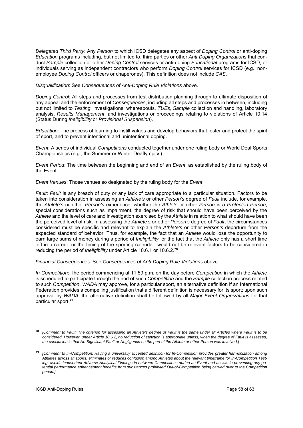*Delegated Third Party*: Any *Person* to which ICSD delegates any aspect of *Doping Control* or anti-doping *Education* programs including, but not limited to, third parties or other *Anti-Doping Organizations* that conduct *Sample* collection or other *Doping Control* services or anti-doping *Educational* programs for ICSD, or individuals serving as independent contractors who perform *Doping Control* services for ICSD (e.g., nonemployee *Doping Control* officers or chaperones). This definition does not include *CAS*.

*Disqualification*: See *Consequences of Anti-Doping Rule Violations* above.

*Doping Control*: All steps and processes from test distribution planning through to ultimate disposition of any appeal and the enforcement of *Consequences*, including all steps and processes in between, including but not limited to *Testing*, investigations, whereabouts, *TUEs*, *Sample* collection and handling, laboratory analysis, *Results Management*, and investigations or proceedings relating to violations of Article 10.14 (Status During *Ineligibility* or *Provisional Suspension*).

*Education*: The process of learning to instill values and develop behaviors that foster and protect the spirit of sport, and to prevent intentional and unintentional doping.

*Event*: A series of individual *Competitions* conducted together under one ruling body or World Deaf Sports Championships (e.g., the Summer or Winter Deaflympics).

*Event Period*: The time between the beginning and end of an *Event*, as established by the ruling body of the Event.

*Event Venues*: Those venues so designated by the ruling body for the *Event*.

*Fault*: *Fault* is any breach of duty or any lack of care appropriate to a particular situation. Factors to be taken into consideration in assessing an *Athlete's* or other *Person's* degree of *Fault* include, for example, the *Athlete's* or other *Person's* experience, whether the *Athlete* or other *Person* is a *Protected Person*, special considerations such as impairment, the degree of risk that should have been perceived by the *Athlete* and the level of care and investigation exercised by the *Athlete* in relation to what should have been the perceived level of risk. In assessing the *Athlete's* or other *Person's* degree of *Fault*, the circumstances considered must be specific and relevant to explain the *Athlete's* or other *Person's* departure from the expected standard of behavior. Thus, for example, the fact that an *Athlete* would lose the opportunity to earn large sums of money during a period of *Ineligibility,* or the fact that the *Athlete* only has a short time left in a career, or the timing of the sporting calendar, would not be relevant factors to be considered in reducing the period of *Ineligibility* under Article 10.6.1 or 10.6.2.**<sup>78</sup>**

*Financial Consequences*: See *Consequences of Anti-Doping Rule Violations* above.

*In-Competition*: The period commencing at 11:59 p.m. on the day before *Competition* in which the *Athlete* is scheduled to participate through the end of such *Competition* and the *Sample* collection process related to such *Competition*. *WADA* may approve, for a particular sport, an alternative definition if an International Federation provides a compelling justification that a different definition is necessary for its sport; upon such approval by *WADA*, the alternative definition shall be followed by all *Major Event Organizations* for that particular sport.**<sup>79</sup>**

**<sup>78</sup>** *[Comment to Fault: The criterion for assessing an Athlete's degree of Fault is the same under all Articles where Fault is to be considered. However, under Article 10.6.2, no reduction of sanction is appropriate unless, when the degree of Fault is assessed,*  the conclusion is that No Significant Fault or Negligence on the part of the Athlete or other Person was involved.]

**<sup>79</sup>** *[Comment to In-Competition: Having a universally accepted definition for In-Competition provides greater harmonization among Athletes across all sports, eliminates or reduces confusion among Athletes about the relevant timeframe for In-Competition Testing, avoids inadvertent Adverse Analytical Findings in between Competitions during an Event and assists in preventing any potential performance enhancement benefits from substances prohibited Out-of-Competition being carried over to the Competition period.]*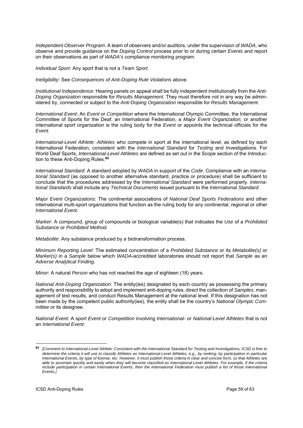*Independent Observer Program*: A team of observers and/or auditors, under the supervision of *WADA*, who observe and provide guidance on the *Doping Control* process prior to or during certain *Events* and report on their observations as part of *WADA's* compliance monitoring program.

*Individual Sport*: Any sport that is not a *Team Sport.*

*Ineligibility*: See *Consequences of Anti-Doping Rule Violations* above.

*Institutional Independence*: Hearing panels on appeal shall be fully independent institutionally from the *Anti-Doping Organization* responsible for *Results Management*. They must therefore not in any way be administered by, connected or subject to the *Anti-Doping Organization* responsible for *Results Management*.

*International Event*: An *Event* or *Competition* where the International Olympic Committee, the International Committee of Sports for the Deaf, an International Federation, a *Major Event Organization,* or another international sport organization is the ruling body for the *Event* or appoints the technical officials for the *Event.*

*International-Level Athlete*: *Athletes* who compete in sport at the international level, as defined by each International Federation, consistent with the *International Standard* for *Testing* and Investigations. For World Deaf Sports, *International-Level Athletes* are defined as set out in the Scope section of the Introduction to these Anti-Doping Rules.**<sup>80</sup>**

*International Standard*: A standard adopted by *WADA* in support of the *Code*. Compliance with an *International Standard* (as opposed to another alternative standard, practice or procedure) shall be sufficient to conclude that the procedures addressed by the *International Standard* were performed properly. *International Standards* shall include any *Technical Documents* issued pursuant to the *International Standard*.

*Major Event Organizations*: The continental associations of *National Deaf Sports Federations* and other international multi-sport organizations that function as the ruling body for any continental, regional or other *International Event*.

*Marker*: A compound, group of compounds or biological variable(s) that indicates the *Use* of a *Prohibited Substance* or *Prohibited Method.* 

*Metabolite*: Any substance produced by a biotransformation process.

*Minimum Reporting Level*: The estimated concentration of a *Prohibited Substance* or its *Metabolite(s)* or *Marker(s)* in a *Sample* below which *WADA*-accredited laboratories should not report that *Sample* as an *Adverse Analytical Finding*.

*Minor*: A natural *Person* who has not reached the age of eighteen (18) years.

*National Anti-Doping Organization*: The entity(ies) designated by each country as possessing the primary authority and responsibility to adopt and implement anti-doping rules, direct the collection of *Samples*, management of test results, and conduct Results Management at the national level. If this designation has not been made by the competent public authority(ies), the entity shall be the country's *National Olympic Committee* or its designee.

*National Event*: A sport *Event* or *Competition* involving *International-* or *National-Level Athletes* that is not an *International Event*.

<sup>80</sup> **<sup>80</sup>** *[Comment to International-Level Athlete: Consistent with the International Standard for Testing and Investigations, ICSD is free to determine the criteria it will use to classify Athletes as International-Level Athletes, e.g., by ranking, by participation in particular International Events, by type of license, etc. However, it must publish those criteria in clear and concise form, so that Athletes are able to ascertain quickly and easily when they will become classified as International-Level Athletes. For example, if the criteria*  include participation in certain International Events, then the International Federation must publish a list of those International *Events.]*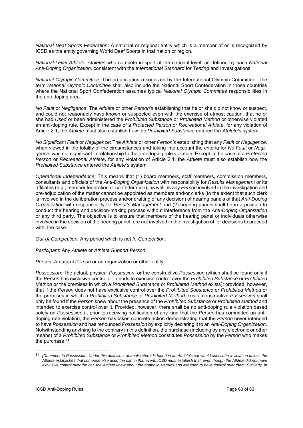*National Deaf Sports Federation*: A national or regional entity which is a member of or is recognized by ICSD as the entity governing World Deaf Sports in that nation or region.

*National-Level Athlete*: *Athletes* who compete in sport at the national level, as defined by each *National Anti-Doping Organization,* consistent with the *International Standard* for *Testing* and Investigations.

*National Olympic Committee:* The organization recognized by the International Olympic Committee. The term *National Olympic Committee* shall also include the National Sport Confederation in those countries where the National Sport Confederation assumes typical *National Olympic Committee* responsibilities in the anti-doping area.

*No Fault* or *Negligence*: The *Athlete* or other *Person's* establishing that he or she did not know or suspect, and could not reasonably have known or suspected even with the exercise of utmost caution, that he or she had *Used* or been administered the *Prohibited Substance* or *Prohibited Method* or otherwise violated an anti-doping rule*.* Except in the case of a *Protected Person* or *Recreational Athlete*, for any violation of Article 2.1, the *Athlete* must also establish how the *Prohibited Substance* entered the *Athlete's* system.

*No Significant Fault* or *Negligence*: The *Athlete* or other *Person's* establishing that any *Fault* or *Negligence*, when viewed in the totality of the circumstances and taking into account the criteria for *No Fault* or *Negligence*, was not significant in relationship to the anti-doping rule violation. Except in the case of a *Protected Person* or *Recreational Athlete*, for any violation of Article 2.1, the *Athlete* must also establish how the *Prohibited Substance* entered the *Athlete's* system.

*Operational Independence*: This means that (1) board members, staff members, commission members, consultants and officials of the *Anti-Doping Organization* with responsibility for *Results Management* or its affiliates (e.g., member federation or confederation), as well as any *Person* involved in the investigation and pre-adjudication of the matter cannot be appointed as members and/or clerks (to the extent that such clerk is involved in the deliberation process and/or drafting of any decision) of hearing panels of that *Anti-Doping Organization* with responsibility for *Results Management* and (2) hearing panels shall be in a position to conduct the hearing and decision-making process without interference from the *Anti-Doping Organization* or any third party. The objective is to ensure that members of the hearing panel or individuals otherwise involved in the decision of the hearing panel, are not involved in the investigation of, or decisions to proceed with, the case.

*Out-of-Competition*: Any period which is not *In-Competition*.

*Participant*: Any *Athlete* or *Athlete Support Person*.

*Person*: A natural *Person* or an organization or other entity.

*Possession*: The actual, physical *Possession*, or the constructive *Possession* (which shall be found only if the *Person* has exclusive control or intends to exercise control over the *Prohibited Substance* or *Prohibited Method* or the premises in which a *Prohibited Substance* or *Prohibited Method* exists); provided, however, that if the *Person* does not have exclusive control over the *Prohibited Substance* or *Prohibited Method* or the premises in which a *Prohibited Substance* or *Prohibited Method* exists, constructive *Possession* shall only be found if the *Person* knew about the presence of the *Prohibited Substance* or *Prohibited Method* and intended to exercise control over it. Provided, however, there shall be no anti-doping rule violation based solely on *Possession* if, prior to receiving notification of any kind that the *Person* has committed an antidoping rule violation, the *Person* has taken concrete action demonstrating that the *Person* never intended to have *Possession* and has renounced *Possession* by explicitly declaring it to an *Anti-Doping Organization*. Notwithstanding anything to the contrary in this definition, the purchase (including by any electronic or other means) of a *Prohibited Substance* or *Prohibited Method* constitutes *Possession* by the *Person* who makes the purchase.**<sup>81</sup>**

**<sup>81</sup>** *[Comment to Possession: Under this definition, anabolic steroids found in an Athlete's car would constitute a violation unless the Athlete establishes that someone else used the car; in that event, ICSD must establish that, even though the Athlete did not have exclusive control over the car, the Athlete knew about the anabolic steroids and intended to have control over them. Similarly, in*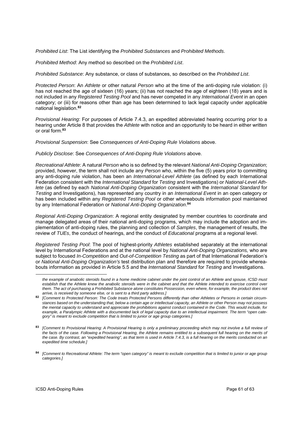*Prohibited List*: The List identifying the *Prohibited Substances* and *Prohibited Methods*.

*Prohibited Method*: Any method so described on the *Prohibited List*.

*Prohibited Substance*: Any substance, or class of substances, so described on the *Prohibited List*.

*Protected Person*: An *Athlete* or other natural *Person* who at the time of the anti-doping rule violation: (i) has not reached the age of sixteen (16) years; (ii) has not reached the age of eighteen (18) years and is not included in any *Registered Testing Pool* and has never competed in any *International Event* in an open category; or (iii) for reasons other than age has been determined to lack legal capacity under applicable national legislation.**82** 

*Provisional Hearing*: For purposes of Article 7.4.3, an expedited abbreviated hearing occurring prior to a hearing under Article 8 that provides the *Athlete* with notice and an opportunity to be heard in either written or oral form.**<sup>83</sup>**

*Provisional Suspension*: See *Consequences of Anti-Doping Rule Violations* above.

*Publicly Disclose*: See *Consequences of Anti-Doping Rule Violations* above.

*Recreational Athlete*: A natural *Person* who is so defined by the relevant *National Anti-Doping Organization*; provided, however, the term shall not include any *Person* who, within the five (5) years prior to committing any anti-doping rule violation, has been an *International-Level Athlete* (as defined by each International Federation consistent with the *International Standard* for *Testing* and Investigations) or *National-Level Athlete* (as defined by each *National Anti-Doping Organization* consistent with the *International Standard* for *Testing* and Investigations), has represented any country in an *International Event* in an open category or has been included within any *Registered Testing Pool* or other whereabouts information pool maintained by any International Federation or *National Anti-Doping Organization*. **84**

*Regional Anti-Doping Organization*: A regional entity designated by member countries to coordinate and manage delegated areas of their national anti-doping programs, which may include the adoption and implementation of anti-doping rules, the planning and collection of *Samples*, the management of results, the review of *TUEs*, the conduct of hearings, and the conduct of *Educational* programs at a regional level.

*Registered Testing Pool*: The pool of highest-priority *Athletes* established separately at the international level by International Federations and at the national level by *National Anti-Doping Organizations,* who are subject to focused *In-Competition* and *Out-of-Competition Testing* as part of that International Federation's or *National Anti-Doping Organization's* test distribution plan and therefore are required to provide whereabouts information as provided in Article 5.5 and the *International Standard* for *Testing* and Investigations.

*the example of anabolic steroids found in a home medicine cabinet under the joint control of an Athlete and spouse, ICSD must*  establish that the Athlete knew the anabolic steroids were in the cabinet and that the Athlete intended to exercise control over *them. The act of purchasing a Prohibited Substance alone constitutes Possession, even where, for example, the product does not arrive, is received by someone else, or is sent to a third party address.]*

**<sup>82</sup>** *[Comment to Protected Person: The Code treats Protected Persons differently than other Athletes or Persons in certain circumstances based on the understanding that, below a certain age or intellectual capacity, an Athlete or other Person may not possess the mental capacity to understand and appreciate the prohibitions against conduct contained in the Code. This would include, for example, a Paralympic Athlete with a documented lack of legal capacity due to an intellectual impairment. The term "open category" is meant to exclude competition that is limited to junior or age group categories.]* 

**<sup>83</sup>** *[Comment to Provisional Hearing: A Provisional Hearing is only a preliminary proceeding which may not involve a full review of the facts of the case. Following a Provisional Hearing, the Athlete remains entitled to a subsequent full hearing on the merits of the case. By contrast, an "expedited hearing", as that term is used in Article 7.4.3, is a full hearing on the merits conducted on an expedited time schedule.]* 

**<sup>84</sup>** *[Comment to Recreational Athlete: The term "open category" is meant to exclude competition that is limited to junior or age group categories.]*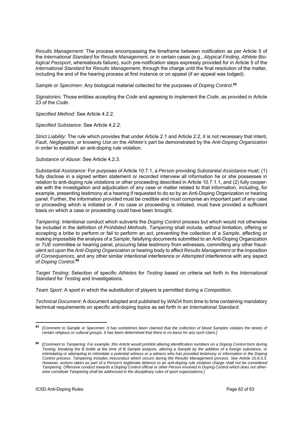*Results Management*: The process encompassing the timeframe between notification as per Article 5 of the *International Standard* for *Results Management*, or in certain cases (e.g., *Atypical Finding*, *Athlete Biological Passport*, whereabouts failure), such pre-notification steps expressly provided for in Article 5 of the *International Standard* for *Results Management*, through the charge until the final resolution of the matter, including the end of the hearing process at first instance or on appeal (if an appeal was lodged).

*Sample* or *Specimen*: Any biological material collected for the purposes of *Doping Control*. **85**

*Signatories*: Those entities accepting the *Code* and agreeing to implement the *Code*, as provided in Article 23 of the *Code*.

*Specified Method:* See Article 4.2.2.

*Specified Substance*: See Article 4.2.2.

*Strict Liability*: The rule which provides that under Article 2.1 and Article 2.2, it is not necessary that intent, *Fault*, *Negligence*, or knowing *Use* on the *Athlete's* part be demonstrated by the *Anti-Doping Organization* in order to establish an anti-doping rule violation.

#### *Substance of Abuse*: See Article 4.2.3.

*Substantial Assistance*: For purposes of Article 10.7.1, a *Person* providing *Substantial Assistance* must: (1) fully disclose in a signed written statement or recorded interview all information he or she possesses in relation to anti-doping rule violations or other proceeding described in Article 10.7.1.1, and (2) fully cooperate with the investigation and adjudication of any case or matter related to that information, including, for example, presenting testimony at a hearing if requested to do so by an Anti-Doping Organization or hearing panel. Further, the information provided must be credible and must comprise an important part of any case or proceeding which is initiated or, if no case or proceeding is initiated, must have provided a sufficient basis on which a case or proceeding could have been brought.

*Tampering*: Intentional conduct which subverts the *Doping Control* process but which would not otherwise be included in the definition of *Prohibited Methods*. *Tampering* shall include, without limitation, offering or accepting a bribe to perform or fail to perform an act, preventing the collection of a *Sample*, affecting or making impossible the analysis of a *Sample*, falsifying documents submitted to an Anti-Doping Organization or *TUE* committee or hearing panel, procuring false testimony from witnesses, committing any other fraudulent act upon the *Anti-Doping Organization* or hearing body to affect *Results Management* or the imposition of *Consequences*, and any other similar intentional interference or *Attempted* interference with any aspect of *Doping Control*. **86** 

*Target Testing*: Selection of specific *Athletes* for *Testing* based on criteria set forth in the *International Standard* for *Testing* and Investigations.

*Team Sport*: A sport in which the substitution of players is permitted during a *Competition*.

*Technical Document*: A document adopted and published by *WADA* from time to time containing mandatory technical requirements on specific anti-doping topics as set forth in an *International Standard*.

<sup>-</sup>**<sup>85</sup>** *[Comment to Sample or Specimen: It has sometimes been claimed that the collection of blood Samples violates the tenets of certain religious or cultural groups. It has been determined that there is no basis for any such claim.]* 

**<sup>86</sup>** *[Comment to Tampering: For example, this Article would prohibit altering identification numbers on a Doping Control form during Testing, breaking the B bottle at the time of B Sample analysis, altering a Sample by the addition of a foreign substance, or intimidating or attempting to intimidate a potential witness or a witness who has provided testimony or information in the Doping Control process. Tampering includes misconduct which occurs during the Results Management process. See Article 10.9.3.3. However, actions taken as part of a Person's legitimate defence to an anti-doping rule violation charge shall not be considered Tampering. Offensive conduct towards a Doping Control official or other Person involved in Doping Control which does not otherwise constitute Tampering shall be addressed in the disciplinary rules of sport organizations.]*